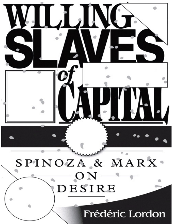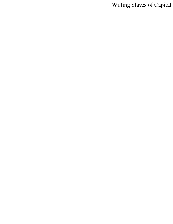# Willing Slaves of Capital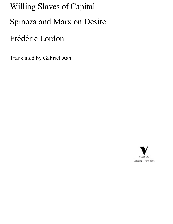# Willing Slaves of Capital Spinoza and Marx on Desire Frédéric Lordon

Translated by Gabriel Ash

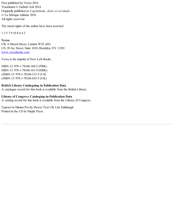First published by Verso 2014 Translation © Gabriel Ash 2014 Originally published as *Capitalisme, désir et servitude* © La fabrique éditions 2010 All rights reserved

The moral rights of the author have been asserted

1 3 5 7 9 10 8 6 4 2

#### **Verso**

UK: 6 Meard Street, London W1F oEG US: 20 Jay Street, Suite 1010, Brooklyn, NY 11201 [www.versobooks.com](http://www.versobooks.com)

Verso is the imprint of New Left Books

ISBN-13: 978-1-78168-160-2 (PBK) ISBN-13: 978-1-78168-161-9 (HBK) eISBN-13: 978-1-78168-213-5 (US) eISBN-13: 978-1-78168-635-5 (UK)

#### **British Library Cataloguing in Publication Data**

A catalogue record for this book is available from the British Library.

#### **Library of Congress Cataloging-in-Publication Data**

A catalog record for this book is available from the Library of Congress.

Typeset in Minion Pro by Hewer Text UK Ltd, Edinburgh Printed in the US by Maple Press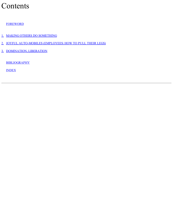# Contents

#### **FOREWORD**

- 1. MAKING OTHERS DO SOMETHING
- 2. JOYFUL AUTO-MOBILES (EMPLOYEES: HOW TO PULL THEIR LEGS)
- 3. DOMINATION, LIBERATION

**BIBLIOGRAPHY** 

**INDEX**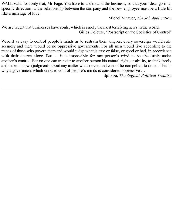WALLACE: Not only that, Mr Fage. You have to understand the business, so that your ideas go in a specific direction … the relationship between the company and the new employee must be a little bit like a marriage of love.

Michel Vinaver, *The Job Application*

We are taught that businesses have souls, which is surely the most terrifying news in the world. Gilles Deleuze, 'Postscript on the Societies of Control'

Were it as easy to control people's minds as to restrain their tongues, every sovereign would rule securely and there would be no oppressive governments. For all men would live according to the minds of those who govern them and would judge what is true or false, or good or bad, in accordance with their decree alone. But ... it is impossible for one person's mind to be absolutely under another's control. For no one can transfer to another person his natural right, or ability, to think freely and make his own judgments about any matter whatsoever, and cannot be compelled to do so. This is why a government which seeks to control people's minds is considered oppressive ...

Spinoza, *Theological-Political Treatise*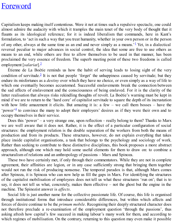# Foreword

<span id="page-6-0"></span>Capitalism keeps making itself contentious. Were it not at times such a repulsive spectacle, one could almost admire the audacity with which it tramples the main tenet of the very body of thought that it flaunts as its ideological reference; for it is indeed liberalism that commands, here in Kant's formulation, to 'act in such a way that you treat humanity, whether in your own person or in the person of any other, always at the same time as an end and never simply as a means.<sup> $1$ </sup> Yet, in a dialectical reversal peculiar to major advances in social control, the idea that some are free to use others as means to an end, while others are free to allow themselves to be used in that manner, has been proclaimed the very essence of freedom. The superb meeting point of these two freedoms is called employment [*salariat*]. [2](#page-8-1)

<span id="page-6-2"></span><span id="page-6-1"></span>Étienne de La Boétie reminds us how the habit of serving leads to losing sight of the very condition of servitude.<sup>[3](#page-8-2)</sup> It is not that people 'forget' the unhappiness caused by servitude; but they endure its misfortunes as a *destiny* over which they have no choice, or even simply as a way of life to which one eventually becomes accustomed. Successful enslavements break the connection between the sad affects of enslavement and the consciousness of being enslaved. For it is the clarity of the latter realisation that always risks rekindling thoughts of revolt. La Boétie's warning must be kept in mind if we are to return to the 'hard core' of capitalist servitude to square the depth of its incrustation with how little amazement it elicits. But amazing it is: a few – we call them bosses – have the 'power'<sup>[4](#page-8-3)</sup> to convince the many to adopt their employers' desires as if they were their own and to occupy themselves in their service.

<span id="page-6-3"></span>Does this 'power' – a very strange one, upon reflection – really belong to them? Thanks to Marx we are well aware that it does not. Rather, it is the effect of a particular configuration of social structures: the employment relation is the double separation of the workers from both the means of production and from its products. These structures, however, do not explain everything that takes place inside capitalist organisations, a task that belongs to the psychology and sociology of work. Rather than seeking to contribute to these distinctive disciplines, this book proposes a more abstract approach, although one which may hold some useful elements for them to draw on: to combine a structuralism of relations and an anthropology of passions – Marx and Spinoza.

These two have certainly met, if only through their commentators. While they are not in complete agreement, their affinities are legion, or in any case sufficiently strong that bringing them together would not run the risk of producing nonsense. The temporal paradox is that, although Marx comes after Spinoza, it is Spinoza who can now help us fill the gaps in Marx. For identifying the structures of the capitalist mobilisation of employees does not tell us what these structures 'run on'; that is to say, it does not tell us what, concretely, makes them effective – not the ghost but the engine in the machine. The Spinozist answer is *affects*.

Social life is just another name for the collective passionate life. Of course, this life is organised through institutional forms that introduce considerable differences, but within which affects and forces of desire continue to be the *primum mobile*. Recognising their deeply structured character does not therefore preclude a re-examination of the employment question 'through the passions', thus asking afresh how capital's few succeed in making labour's many work for them, and according to which regimes of mobilisation. On the contrary, returning to this question may even make it possible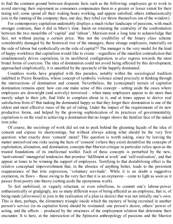to find the common ground between disparate facts such as the following: employees go to work to avoid starving; their enjoyment as consumers compensates them to a greater or lesser extent for their taxing toil; some spend all their waking hours working, and appear satisfied; others enthusiastically join in the running of the company; then, one day, they rebel (or throw themselves out of the window).

<span id="page-7-0"></span>For contemporary capitalism undeniably displays a much richer landscape of passions, with much stronger contrasts, than it did in Marx's time. Intent on retaining the centrality of the confrontation between the two monoliths of 'capital' and 'labour', Marxism took a long time to acknowledge that fact, not without paying a certain price. Was not the credibility of the binary class scheme considerably damaged by the historical rise of the managers, those strange employees, materially on the side of labour but symbolically on the side of capital?<sup>[5](#page-8-4)</sup> The manager is the very model for the kind of happy workforce that capitalism would like to create – regardless of the manifest contradiction that simultaneously drives capitalism, in its neoliberal configuration, to *also* regress towards the most brutal forms of coercion. The idea of domination could not avoid being affected by this development; approached simplistically, it is unsettled by the spectacle of the happily dominated.

Countless works have grappled with this paradox, notably within the sociological tradition indebted to Pierre Bourdieu, whose concept of symbolic violence aimed precisely at thinking through the intersections of domination and consent. Nevertheless, the (conceptual) terrain of capitalist domination remains open: how can one make sense of this concept – setting aside the cases where employees are downright (and actively) terrorised – when many employees appear to do more than merely adapt to their job, find little to complain about in it, and at times appear to derive real satisfaction from it? But making the dominated happy so that they forget their domination is one of the oldest and most effective ruses of the art of ruling. Under the impact of the requirements of its new productive forms, and helped by the growing sophistication of its practices of governmentality, capitalism is on the road to achieving a domination that no longer shows the familiar face of the naked iron yoke.

Of course, the sociology of work did set out to peek behind the gleaming façade of the idea of consent and expose its shortcomings, but without always asking what should be the very first question: what exactly does 'consent' mean? This question is worth asking, since by leaving the matter unresolved one risks seeing the facts of 'consent' (where they exist) destabilise the concepts of exploitation, alienation, and domination, concepts that Marxist critique in particular relies upon as the trusted foundations of its intellectual toolkit. Each of these concepts is perturbed by the new, 'motivational' managerial tendencies that promise 'fulfilment at work' and 'self-realisation', and that appear at times to be winning the support of employees. Testifying to that destabilising effect is the relative conceptual impoverishment that, in the absence of anything better, leads to the persistent reappearance of that trite expression, 'voluntary servitude'. While it is no doubt a suggestive oxymoron, its flaws – those owing to the very fact that it is an oxymoron – come to light as soon as it passes from poetry into theory (setting aside the eponymous work).

To feel mobilised, or vaguely reluctant, or even rebellious, to commit one's labour-power enthusiastically or grudgingly, are so many different ways of being affected as an employee, that is, of being made [*déterminé*] to join in the realisation of a plan (a desire) that was not initially one's own. This is then, perhaps, the elementary triangle inside which the mystery of being recruited in another person's service (in its capitalist form) should be resituated: one person's desire, others' power of acting, and the affects – produced by the structures of the employment relation that determine their encounter. It is here, at the intersection of the Spinozist anthropology of passions and the Marxist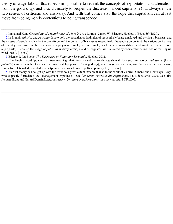theory of wage-labour, that it becomes possible to rethink the concepts of exploitation and alienation from the ground up, and thus ultimately to reopen the discussion about capitalism (but always in the two senses of criticism and analysis). And with that comes also the hope that capitalism can at last move from being merely contentious to being transcended.

 $\overline{\phantom{a}}$ 

<span id="page-8-4"></span>[5](#page-7-0) Marxist theory has caught up with this issue to a great extent, notably thanks to the work of Gérard Duménil and Dominique Lévy, who explicitly formulated the 'management hypothesis'. See *Économie marxiste du capitalisme*, La Découverte, 2003. See also Jacques Bidet and Gérard Duménil, *Altermarxisme. Un autre marxisme pour un autre monde*, PUF, 2007.

<span id="page-8-1"></span><span id="page-8-0"></span>[<sup>1</sup>](#page-6-0) Immanuel Kant, *Grounding of Metaphysics of Morals*, 3rd ed., trans. James W. Ellington, Hackett, 1993, p. 36 (4:429).

[<sup>2</sup>](#page-6-1) In French, *salariat* and *patronat* denote both the condition or institution of respectively being employed and owning a business, and the classes of people involved – the workforce and the owners of businesses respectively. Depending on context, the various derivations of 'employ' are used in the first case (employment, employee, and employee-class, and wage-labour and workforce when more appropriate). Because the usage of *patronat* is idiosyncratic, it and its cognates are translated by comparable derivations of the English word 'boss'. [Trans.]

<span id="page-8-3"></span><span id="page-8-2"></span>[<sup>3</sup>](#page-6-2) Étienne de La Boétie, *The Discourse of Voluntary Servitude*, Hackett, 2012.

[<sup>4</sup>](#page-6-3) The English word 'power' has two meanings that French (and Latin) distinguish with two separate words. *Puissance* (Latin *potentia*) can be thought of as inherent power (ability, power of acting, doing), whereas *pouvoir* (Latin *potestas*), as in the case above, *s*tands for relational, differential power (power over, social power, political power, etc.). [Trans.]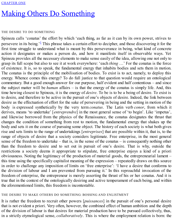# Making Others Do Something

## THE DESIRE TO DO SOMETHING

Spinoza calls 'conatus' the effort by which 'each thing, as far as it can by its own power, strives to persevere in its being.<sup>'1</sup> This phrase takes a certain effort to decipher, and those discovering it for the first time struggle to understand what is meant by this perseverance in being, what kind of concrete action it designates or makes a person do, and how it manifests itself in observable ways. Yet Spinoza provides all the necessary elements to make sense easily of the idea, allowing one not only to grasp its full scope but also to see it at work everywhere: 'each *thing* …' For the conatus is the force of existence. It is, so to speak, the fundamental energy that inhabits bodies and sets them in motion. The conatus is the principle of the mobilisation of bodies. To exist is to act, namely, to deploy this energy. Whence comes this energy? To do full justice to that question would require an ontological commentary. But a good enough answer for our purpose, half evident and half contentious – and since the subject matter will be *human* affairs – is that the energy of the conatus is simply life. And, this time hewing closest to Spinoza, it is the energy of *desire*. To be is to be a being of desire. To exist is to desire, and therefore to be active in the pursuit of one's objects of desire. Indeed, the link between desire as the effectuation of effort for the sake of persevering in being and the setting in motion of the body is expressed synthetically by the very term *conatus*. The Latin verb *conor*, from which it derives, means 'to undertake' [*entreprendre*] in the most general sense of 'to begin'. Like 'impetus', and likewise borrowed from the physics of the Renaissance, the conatus designates the thrust that changes the condition of something from rest to motion, the fundamental energy that shakes up the body and sets it on the course of pursuing some object. The history of each society is what both gives rise and sets limits to the range of undertakings [*entreprises*] that are possible within it, that is, to the range of objects of desire that a society considers legitimate. Free enterprise, in the most general sense of the freedom to undertake – that is, in the sense of the conatus – is consequently nothing other than the freedom to desire and to set out in pursuit of one's desire. That is why, outside the restrictions a society deems it appropriate to stipulate, free enterprise enjoys a kind of a priori obviousness. Noting the legitimacy of the production of material goods, the entrepreneurial lament – this time using the specifically capitalist meaning of the expression – repeatedly draws on this source in order to challenge any imposition of limits on 'free enterprise': 'I have a desire that conforms to the division of labour and I am prevented from pursuing it.' In this reproachful invocation of the freedom of enterprise, the entrepreneur is merely asserting the thrust of his or her conatus. And it is true that in the context of the ontologically desiring and active temperament of each being, and within the aforementioned limits, this freedom is incontestable.

### THE DESIRE TO MAKE OTHERS DO SOMETHING: BOSSING AND ENLISTMENT

It is rather the freedom to recruit other powers [*puissances*] in the pursuit of one's personal desire that is not evident a priori. Very often, however, the combined effect of human ambition and the depth of the division of labour is that desires for material production have to be pursued collectively, thus, in a strictly etymological sense, *collaboratively*. This is where the employment relation is born: the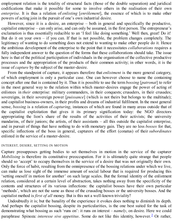employment relation is the totality of structural facts (those of the double separation) and juridical codifications that make it possible for some to involve others in the realisation of their own *enterprise*. It is thus a relation of *enlisting* [*enrôlement*], the essence of which is to make other powers of acting join in the pursuit of one's own industrial desire.

However, since it is a desire, an enterprise – both in general and specifically the productive, capitalist enterprise – can only arise, and can only be assumed, in the first person. The entrepreneur's exclamation is thus essentially reducible to an 'I feel like doing something.' Well then, great! Do it! But do it on your own  $-$  if you can. If that is not possible, the problem changes completely. The legitimacy of wanting to do something does not extend to wanting to make other people do it. Hence the ambitious development of the enterprise to the point that it necessitates *collaborations* requires a fully independent answer to the question of the forms that these collaborations should take. The issue here is that of the political participation of individuals in the organisation of the collective productive processes and the appropriation of the products of their common activity; in other words, it is the issue of *capture* by the subject of the master-desire.

From the standpoint of capture, it appears therefore that *enlistment* is the more general category, of which employment is only a particular case. One can however choose to name the containing concept after one that is contained by it. Thus it is possible to use the term *bossing* [*patronat*] to refer in the most general way to the relation within which master-desires engage the power of acting of enlistees in *their* enterprise: military commanders, in their conquests; crusaders, in their crusades; sovereigns, in their sovereign power [*puissance*] (which is not theirs but belongs to the multitude); and capitalist business-owners, in their profits and dreams of industrial fulfilment. In the most general sense, *bossing* is a relation of *capturing*, instances of which are found in many areas outside that of the capitalist exploitation that gives it its primary signification today: the NGO directors appropriating the lion's share of the results of the activities of their activists; the university mandarins, of their juniors; the artists, of their assistants – all this outside the capitalist enterprise, and in pursuit of things that have nothing to do with monetary gain. They are no less *bosses* for that, specific inflections of the boss in general, capturers of the effort (conatus) of their *subordinates* enlisted in the service of a master-desire.

#### INTEREST, DESIRE, SETTING IN MOTION

Capture presupposes getting bodies to set themselves in motion in the service of the capturer *Mobilising* is therefore its constitutive preoccupation. For it is ultimately quite strange that people should so 'accept' to occupy themselves in the service of a desire that was not originally their own. Only the force of habit, resulting from the omnipresence of the bossing relations under which we live, can make us lose sight of the immense amount of social labour that is required for producing this 'setting oneself in motion for another' on such large scales. But the formal identity of the enlistment relation, considered at a certain level of abstraction, takes nothing away from the specificity of the contents and structures of its various inflections: the capitalist bosses have their own particular 'methods', which are not the same as those of the crusading bosses or the university bosses. And the capitalist method is *first of all* money. But is this not a well-known triviality?

Undoubtedly it is; but the banality of the experience it evokes does nothing to diminish its depth. And perhaps the capitalist bossing, despite its particularities, is the one best suited for the task of demonstrating what bossing as such 'runs on': it runs on interest – *namely*, on desire. Here we could paraphrase Spinoza: *interesse sive appetitus*. Some do not like this identity, however. <sup>2</sup> Or rather,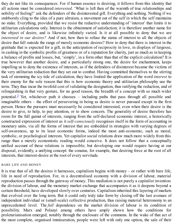they do not like its consequences. For if human essence is desiring, it follows from this identity that all actions must be considered *interested*. 'What is left then of the warmth of true relationships and nobility of feeling?' ask the defenders of the disinterested gift. Everything and nothing. Nothing if we stubbornly cling to the idea of a pure altruism, a movement out of the self in which the self maintains no stake. Everything, provided that we resist the reductive understanding of 'interest' that limits it to utilitarian calculations only. Interest is the obtainment of satisfaction; it is therefore another name for the object of desire, and is likewise infinitely varied. Is it at all possible to deny that we are *interested in our desires?* And if not, how then to refuse the status of interest to all the objects of desire that fall outside the range of merely economic desires? How to deny that there is interest in the gratitude that is expected for a gift, in the anticipation of reciprocity in love, in displays of largesse, in cashing in the symbolic profits of greatness or of a reputation for charity, just as much as in keeping a balance of profits and losses, but, 'simply', in a form other than that of the explicit calculation? It is true however that another desire, and a particularly strong one, the desire for enchantment, keeps impelling us to deny the existence of interests, as if the defenders of disinterest became the victims of the very utilitarian reduction that they set out to combat. Having committed themselves to the stirring task of stemming the icy tide of calculation, they have limited the application of the word *interest* to their enemy for the sole reason that this is how economic theory and utilitarian philosophy use the term. They thus incur the twofold cost of validating the designation, thus ratifying the reduction, and of relinquishing in that very gesture, for no good reason, the breadth of a concept with so much wider potential.<sup>3</sup> Yet, whichever path it chooses – including paths that pass through all possible and imaginable others – the effort of persevering in being as desire is never pursued except in the first person. Hence the pursuers must necessarily be considered interested, even when their desire is the desire to give, to help, to pay attention, or to show concern. The generality of desire therefore has room for the full gamut of interests, ranging from the self-declared economic interest, a historically constructed expression of interest as it *self-consciously* recognises itself in the form of accounting in monetary units, via all the forms of interest that are embedded in strategies with varying degrees of self-awareness, up to its least economic forms, indeed the most anti-economic, such as moral, symbolic, or psychological interests. Yet capitalist social relations draw much more widely from this range than a merely economistic reading would conceive. It does not follow that a conceptually unified account of these relations is impossible; but developing one would require having at our disposal, evidently, a unifying concept: the conatus, for example, that desiring force at the root of all interests, that interest-desire at the root of every servitude.

### BARE LIFE AND MONEY

It is true that of all the desires it harnesses, capitalism begins with money – or rather with bare life, life in need of reproduction. For, in a decentralised economy with a division of labour, material reproduction passes through the gateway of money. This mediation is not purely a capitalist invention: the division of labour, and the monetary market exchange that accompanies it as it deepens beyond a certain threshold, have developed slowly over centuries. Capitalism inherited this layering of markets that evolved over the long term. But it could only truly take form by closing off the last avenues of independent individual or (small-scale) collective production, thus raising material heteronomy to an unprecedented level. The *full* dependence on the market division of labour is its condition of possibility. Marx and Polanyi among others have amply shown how the conditions for proletarianisation emerged, notably through the enclosure of the commons. In the wake of that act of the most complete, organised immiseration, people were left with only one option, the sale of their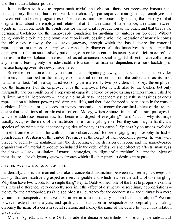undifferentiated labour-power.

It is tedious to have to repeat such trivial and obvious facts, yet necessary inasmuch as contemporary fictions, built on 'work enrichment', 'participative management', 'employee em powerment' and other programmes of 'self-realisation' are successfully erasing the memory of that original truth about the employment relation: that it is a relation of dependence, a relation between agents in which one holds the conditions for the material reproduction of the other, and that this is the permanent backdrop and the immoveable foundation for anything that unfolds on top of it. Without being reducible to it, the employment relation is only possible when the mediation of money becomes the obligatory gateway, the exclusive gateway, through which the basal desire for material reproduction must pass. As employees repeatedly discover, all the incentives that the capitalist employment relation successively put on stage in order to enrich its scenery and elicit more refined interests in the workplace – interests such as advancement, socialising, 'fulfilment' – can collapse at any moment, leaving only the indestructible foundation of material dependence, a stark backdrop of menace hanging over life newly made bare.

Since the mediation of money functions as an obligatory gateway, the dependence on the provider of money is inscribed in the strategies of material reproduction from the outset, and as its most fundamental fact. Yet in a capitalist economy there are only two providers of money: the employer and the financier. For the employee, it is the employer; later it will also be the banker, but only marginally and on condition of a repayment capacity backed by pre-existing remuneration. Pushed to its limit, material heteronomy – namely, the inability to independently supply the necessities of one's reproduction as labour-power (and simply as life), and therefore the need to participate in the market division of labour – makes access to money imperative and money the cardinal object of desire, the desire that conditions all or almost all others. Money, writes Spinoza in one of the rare passages in which he addresses economics, has become a 'digest of everything?', and 'that is why its image usually occupies the mind of the multitude more than anything else. For they can imagine hardly any species of joy without the accompanying idea of money as its cause.<sup> $4$ </sup> Spinoza by no means excluded himself from the common lot with this sharp observation.<sup>5</sup> Before engaging in philosophy, he had to polish lenses. A citizen of the United Provinces at the height of their economic power, he was well placed to identify the mutations that the deepening of the division of labour and the market-based organisation of material reproduction induced in the order of desires and collective affects: money, as the almost exclusive mediation of material strategies, 'the digest of everything', became the object of meta-desire – the obligatory gateway through which all other (market) desires must pass.

### CURRENCY-RELATION, MONEY-DESIRE

Incidentally, this is the moment to make a conceptual distinction between two terms, *currency* and *money*, that are intuitively grasped as interchangeable and which few see the utility of disentangling. Why then have two words for a single thing? Pepita Ould-Ahmed, one of the first to properly examine this lexical difference, very correctly sees in it the effect of distinctive disciplinary appropriations – money for the anthropologists (and sociologists), currency for the economists – and ultimately a mere variation in perspective relative to what remains fundamentally one and the same object.<sup>6</sup> We can however extend this analysis, and qualify this 'variation in perspective' conceptually by making currency the name of a certain social relation, and money the name of the desire to which this relation gives birth.

Michel Aglietta and André Orléan made the decisive contribution of refuting the substantial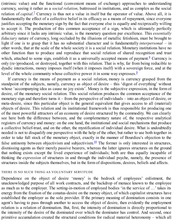(intrinsic value) and the functional (convenient means of exchange) approaches to understanding currency, seeing it rather as a *social relation*, buttressed in institutions, and as complex as the social relation of *capital*. <sup>7</sup> Currency is thus not a value in itself but the operator of value. Above all, it is fundamentally the effect of a collective belief in its efficacy as a means of repayment, since everyone justifies accepting the monetary sign by the fact that everyone else is equally and reciprocally willing to accept it. The production of this common acceptance of a sign, which is ultimately perfectly arbitrary since it lacks any intrinsic value, is the monetary question par excellence. This *essentially fiduciary* nature of currency, long occluded by the illusions of metallic fetishism, must be brought to light if one is to grasp that it has no substantial character and is fundamentally *interpersonal* – in other words, that at the scale of the whole society it is a social relation. Monetary institutions have no other function than to produce and reproduce that social relation of shared recognition and trust which, attached to some sign, establish it as a universally accepted means of payment.<sup>8</sup> Currency is only (re-)produced, or destroyed, together with this relation. That is why, far from being reducible to dyadic interactions, money imposes itself (when it imposes itself) with a sovereign force, and at the level of the whole community whose collective power it in some way expresses. $\frac{9}{5}$ 

If currency is the means of payment as a social relation, money is currency grasped from the standpoint of the subjects, namely, currency as object of desire – this 'digest of everything' without whose 'accompanying idea as cause no joy exists'. Money is the subjective expression, in the form of desire, of the monetary social relation. This social relation produces the common acceptance of the monetary sign and therefore turns it – from the perspective of individuals – into an object of desire, or meta-desire, since this particular object is the general equivalent that gives access to all (material) objects of desire. This relation and its institutional framework is thus responsible for producing one of the most powerful attractors of an economy of desire structured by the commodity. We can clearly see here both the difference between, and the complementary nature of, the respective analytical registers of currency and money: on the one hand, the institutional and social mechanisms that produce a collective belief-trust, and on the other, the mystification of individual desire. What is undoubtedly needed is not to disqualify one perspective with the help of the other, but rather to use both together in order to take full stock of the monetary object, exactly in the manner of Bourdieu's objection to the false antinomy between objectivism and subjectivism. $\frac{10}{10}$  The former is only interested in structures, dismissing agents as their merely passive bearers, whereas the latter ignores structures on the ground that nothing exists except the lived experience of individuals; both are thus equally incapable of thinking the *expression* of structures in and through the individual psyche, namely, the presence of structures inside the subjects themselves, but in the form of dispositions, desires, beliefs and affects.

### THERE IS NO SUCH THING AS VOLUNTARY SERVITUDE

Dependence on the object of desire 'money' is the bedrock of employees' enlistment, the unacknowledged purpose of all work contracts, and the backdrop of menace known to the employee as much as to the employer. The setting-in-motion of employed bodies 'in the service of …' takes its energy from the fixation of the conatus-desire on the money object, of which capitalist structures have established the employer as the sole provider. If the primary meaning of domination consists in one agent's having to pass through another to access the object of desire, then evidently the employment relation is a relation of domination. But, first, the intensity of domination is directly proportional to the intensity of the desire of the dominated over which the dominator has control. And second, once primitive accumulation created the structural conditions for radical material heteronomy – which all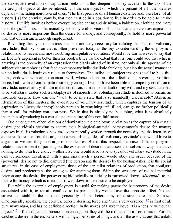the subsequent evolution of capitalism seeks to further deepen – money accedes to the top of the hierarchy of objects of desire-interest; it is the one object on which the pursuit of all other desires depends – including non-material ones. 'The first premise of all human existence and, therefore, of all history, [is] the premise, namely, that men must be in a position to live in order to be able to "make history." But life involves before everything else eating and drinking, a habitation, clothing and many other things.<sup> $11$ </sup> Thus, in the monetary economy with division of labour that characterises capitalism, no desire is more imperious than the desire for money, and consequently, no hold is more powerful than that of enlistment through employment.

Revisiting this type of obvious fact is manifestly necessary for refuting the idea of 'voluntary servitude', that oxymoron that is often presented today as the key to understanding the employment relation and its recent and most troubling manipulative evolution. Would it be fair however to say that La Boétie's argument is better than his book's title? To the extent that it is, one could add that what is amazing is the precocity of an expression that distils ahead of its time, not only all the aporiae of the subjectivist metaphysics that feed contemporary individualistic thinking, but also the actual manner in which individuals intuitively relate to themselves. The individual-subject imagines itself to be a free being, endowed with an autonomous will, whose actions are the effects of its sovereign volition: hence, had I wanted emancipation strongly enough, I would have been able to escape my condition of servitude; consequently, if I am in this condition, it must be the fault of my will, and my servitude has to be voluntary. Under such a metaphysics of subjectivity, voluntary servitude is doomed to remain an insoluble enigma. How can one 'want' to be in a state that is so manifestly undesirable? Absent an illumination of this mystery, the evocation of voluntary servitude, which captures the tension of an aspiration to liberty that inexplicably persists in remaining unfulfilled, can go no further politically than a call for raising consciousness. While that is already no bad thing, what it is absolutely incapable of producing is a causal understanding of this non-fulfilment.

One among many other relations of domination, the employment relation as the capture of a certain desire (individuals striving to secure their biological-material perseverance's desire for money) exposes in all its nakedness how enslavement really works: through the necessity and the intensity of a desire. To rescue from this argument a rehabilitated idea of 'voluntary servitude' one would have to argue that we are fully in charge of our desires. But in this respect, the case of the employment relation has the merit of pointing out the existence of desires that assert themselves in ways that have nothing to do with free choice – otherwise one would also have to speak of voluntary servitude in the case of someone threatened with a gun, since such a person would obey any order because of the (powerful) desire not to die, captured (the person and the desire) by the hostage-taker. It is the social structures, in the case of employment, those of the capitalist relations of production, that configure desires and predetermine the strategies for attaining them. Within the structures of radical material heteronomy, the desire for persevering biologically-materially is narrowed down [*déterminé*] to the desire for money, which is in turn narrowed down to the desire to be employed.

But while the example of employment is useful for making patent the heteronomy of the desire associated with it, to remain confined to its particularity would have the opposite effect. No one strove to establish the absolute generality of the heteronomy of desire more than Spinoza. Ontologically speaking, the conatus, generic desiring force and 'man's very essence',  $\frac{12}{12}$  is first of all pure momentum, and has no definite direction. In the words of Laurent Bove, it is a 'desire without an object.<sup>'13</sup> It finds objects to pursue soon enough, but they will be indicated to it from outside. For one catches a desire in the encounters with things, memories of things, and all the associations that unfold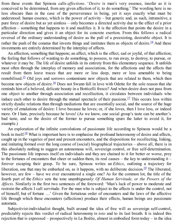from these events that Spinoza calls *affections*. '*Desire* is man's very essence, insofar as it is conceived to be determined, from any given affection of it, to do something.' The wording here is no less obscure than in the case of the perseverance in being, yet it says exactly what must be understood: human essence, which is the power of activity – but generic and, as such, intransitive, a pure force of desire but as yet aimless – only becomes a directed activity due to the effect of a prior affection – something that happens to it and modifies it. It is the affection that points the desire in a particular direction and gives it an object for its concrete exertion. From this follows a radical reversal of the ordinary understanding of desire as the pull of a preexisting, desirable object. It is rather the push of the conatus that invests things and institutes them as objects of desire. $\frac{14}{14}$  And these investments are entirely determined by the interplay of affects.

An affection, something that happens; an affect, which is the effect, sad or joyful, of that affection; the feeling that follows of wanting to do something, to possess, to run away, to destroy, to pursue, or whatever it may be. The life of desire unfolds in its entirety from this elementary sequence. It unfolds most often through the interplay of memory and associations, for the affections and the affects that result from them leave traces that are more or less deep, more or less amenable to being remobilised.<sup>15</sup> Old joys and sorrows contaminate new objects that are related to them, which then become new objects of desire.<sup>16</sup> Does not Swann fall in love with Odette for the sole reason that she reminds him of a beloved, delicate beauty in a Botticelli fresco? And when desire does not pass from one object to another through association and recollection, it circulates between individuals who induce each other to desire through the mutual spectacle of their passions. $\frac{17}{17}$  This occurs less within strictly dyadic relations than through mediations that are essentially social, and the source of the huge variety of emulations of desire: I love because he loves; or, if she loves, then I love less, or indeed more. Or I hate, precisely because he loves! (As we know, one social group's taste can be another's bad taste, and so the desire of the former to pursue something spurs the latter to avoid it, for example.)

An exploration of the infinite convolutions of passionate life according to Spinoza would be a book in itself.<sup>18</sup> What is important here is to emphasise the profound heteronomy of desire and affects, caught up in the vagaries of past and present encounters, and the dispositions for recollecting, linking, and imitating formed over the long course of (social) biographical trajectories – above all, there is in this absolutely nothing to suggest an autonomous will, sovereign control, or free self-determination. The passionate life imposes itself on individuals and they are chained to it for better or worse, prey to the fortunes of encounters that cheer or sadden them, its real causes – the key to understanding it – forever escaping their grasp. To be sure, Spinoza writes an *Ethics*, outlining a trajectory for liberation, one that may be embarked on, as it happens, with no deliberate decision.<sup>19</sup> The liberated, however, are few – have we ever encountered a single one? As for the common lot, the title of the fourth part of the *Ethics* sets the tone unambiguously: *Of Human Servitude, or the Powers of the Affects*. Similarly in the first two sentences of the foreword: 'Man's lack of power to moderate and restrain the affects I call servitude. For the man who is subject to the affects is under the control, not of himself, but of fortune …' Given the fortuitous order of encounters and the laws of the affective life through which these encounters (affections) produce their effects, human beings are passionate automata.

Subjectivist-individualist thought, built around the idea of free will as sovereign self-control, predictably rejects this verdict of radical heteronomy *in toto* and to its last breath. It is indeed this rejection that is expressed – prospectively in La Boétie, almost in embodied form today – in the idea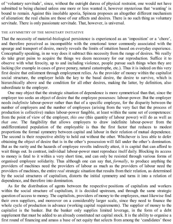of 'voluntary servitude', since, without the outright duress of physical restraint, one would not have submitted to being chained unless one more or less wanted it, however mysterious that 'wanting' is bound to remain. Against this insoluble aporia, Spinoza proposes an altogether different mechanism of alienation: the real chains are those of our affects and desires. There is no such thing as voluntary servitude. There is only passionate servitude. That, however, is universal.

#### THE ASYMMETRY OF THE MONETARY INITIATIVE

That the necessity of material-biological persistence is experienced as an 'imposition' or a 'chore', and therefore perceived as incompatible with the emotional tenor commonly associated with the upsurge and transport of desire, merely reveals the limits of intuition based on everyday experience. Conceptually speaking, in no way does it subtract this necessity from the range of desires. We really do take great pains to acquire the things we deem necessary for our reproduction. Suffice it to observe with what ferocity, up to and including violence, people pursue such things when they are lacking (for example in cases of grave penury, natural catastrophe, etc.). Thus it is indeed on this very first desire that enlistment through employment relies. As the provider of money within the capitalist social structure, the employer holds the key to the basal desire, the desire to survive, which is hierarchically above and the condition for all other desires, making the latter, by definition, also subordinate to the employer.

One may object that the strategic situation of dependence is more symmetrical than that, since the employer too seeks an object of desire that the employee possesses: labour-power. But the employer needs *indefinite* labour-power rather than that of a specific employee, for the disparity between the number of employers and the number of employees (arising from the very fact that the process of production is collective) makes labour-power fungible, at least within the same set of competences: from the point of view of the employer, *this one* (this quantity of labour power) will do as well as *that one*. The fungibility that allows employers to draw indefinite labour-power from the undifferentiated population of the employable is thus the first factor that reduces to modest proportions the formal symmetry between capital and labour in their relation of mutual dependence. The second is their respective ability to hold out without the other. Whichever is less able to defer obtaining the object of desire that is in the other's possession will fall under the other's domination. But as the rarity and the hazards of employee revolts indirectly attest, it is capital that can afford to wait things out. In contrast, individual labour-power must reproduce itself daily. Blocking its access to money is fatal to it within a very short time, and can only be resisted through various forms of organised employee solidarity. Thus although one can say that, *formally*, to produce anything the providers of machines need the providers of labour as much as the providers of labour need the providers of machines, the entire *real* strategic situation that results from their relation, as determined by the social structures of capitalism, distorts the initial symmetry and turns it into a relation of dependence, and therefore into domination.

As for the distribution of agents between the respective positions of capitalists and workers within the social structure of capitalism, it is decided upstream, and through the same strategic question of access to money. The capitalists, providers of money to the employees, must likewise find their own suppliers, and moreover on a considerably larger scale, since they need to finance the whole cycle of production in advance (working capital requirements). The supplier of money to the capitalist is the banker. But the banker only supplies limited leverage, in the form of a debt supplement that must be added to an already constituted net capital stock. It is the ability to organise a first round of financing and amass a base of net equity that selects from among the 'candidates' those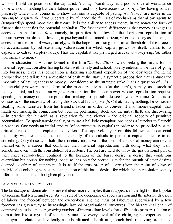who will hold the position of the capitalist. Although 'candidacy' is a poor choice of word, since those who own nothing but their labour-power, and only have access to money *after* having sold it, precisely where what counts is to show that one is capable of paying *in advance*, are never in the running to begin with. If we understand by 'finance' the full set of mechanisms that allow agents to (temporarily) spend more than they earn, it is the ability to access money in the non-wage form of finance that identifies the potential capitalist. The fundamental difference is that money as wages is accessed in the form of *flow*, namely, in quantities that allow for the short-term reproduction of labour-power but do not allow a glimpse beyond this limited horizon, whereas money as financing is accessed in the form of *stock*, namely, with the hope of crossing the critical threshold of the process of accumulation by self-sustaining valorisation (in which capital grows by itself, thanks to its capacity to extract surplus-value). Thus the capitalist has privileged access to *money-capital*, rather than simply to money.

The character of Antoine Doinel in the film *The 400 Blows*, who, seeking the means for his material reproduction after having broken with family and school, briefly entertains the idea of going into business, gives his companion a dazzling shorthand exposition of the obstacles facing the prospective capitalist: 'It's a question of cash at the start', a synthetic proposition that captures the imperative of having access to money – considered as the strategic stake ('it is a question of …') – but crucially *ex ante*, in the form of the monetary advance ('at the start'), namely, as a stock of money-capital, and not as an *ex post* remuneration for labour-power whose reproduction requires spending the money on consumption, thus making it impossible to see beyond. Antoine Doinel is so conscious of the necessity of having this stock at his disposal *first* that, having nothing, he considers stealing some furniture from his friend's father in order to convert it into money-capital, thus intuitively making the connection between the preliminary stock and the initial theft, and discovering – in practice for himself, as a revelation for the viewer – the original robbery of primitive accumulation. To speak tautologically, or to use a ballistic metaphor, one needs a launcher to 'launch' a business. One needs an initial amount (of energy/start-up capital) in order to be propelled past the critical threshold – the capitalist equivalent of escape velocity. From this follows a fundamental inequality with respect to the social capacity of individuals to pursue a capitalist desire to do something. Only those who hold the monetary initiative in the form of a stock of money can devote themselves to a career that combines their material reproduction with doing what they want, sometimes even with the constitution of a fortune. The rest are held down by the gravitational pull of their mere reproduction, confined to the horizon of the basal desire, a desire that conditions everything but counts for nothing, because it is only the prerequisite for the pursuit of other desires deemed worthier of attainment. It is as if the true order of desire (from the point of view of individuals) only begins past the satisfaction of this basal desire, for which the only solution society offers is to be enlisted through employment.

### DOMINATION AT EVERY LEVEL

The landscape of domination is nevertheless more complex than it appears in the light of the bipolar antagonism that Marx analysed. As a result of the deepening of specialisation and the internal division of labour, the face-off between the owner-boss and the mass of labourers supervised by a few foremen has given way to increasingly layered organisational structures. The hierarchical chain of command includes an ever-growing number of intermediate levels that diffract the primary relation of domination into a myriad of secondary ones. At every level of the chain, agents experience the employment relation ambivalently as subordinated-subordinating, each both receiving orders and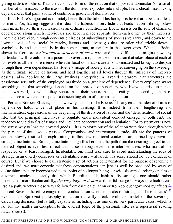giving orders to others. Thus the canonical form of the relation that opposes a dominator (or a small number of dominators) to the mass of the dominated explodes into multiple, hierarchical, interlocking dependencies that paint a kind of continuous gradient of domination.

If La Boétie's argument is infinitely better than the title of his book, it is here that it best manifests its merit. For, having suggested the idea of a habitus of servitude that leads nations, through slow inurement, to live their submission as an ordinary condition, La Boétie insists on the role of chains of dependence along which individuals are kept in place separate from each other by their interests. From the sovereign, through concentric circles of subordinates of successive ranks, and down to the lowest levels of the social hierarchy, favours and advantages that are often vital trickle down – symbolically and existentially in the higher strata, materially in the lower ones. What La Boétie shows is therefore a *hierarchical structure of servitude*, and it is difficult to imagine how any particular 'will' would be in a position to overturn it, since the domination that takes place at each of its levels is all the more intense when the local dominators are also dominated and brought to despair through their own dependence. La Boétie's image of society as a whole, converging on the sovereign as the ultimate source of favour, and held together at all levels through the interplay of interestdesires, also applies to the large business enterprise, a layered hierarchy that structures the passionate servitude of the employed multitude on a gradient of dependence. Every employee wants something, and that something depends on the approval of superiors, who likewise strive to pursue their own will, to which they subordinate their subordinates, creating an ascending chain of dependence to which corresponds a descending chain of instrumentalisation.

Perhaps Norbert Elias is, in his own way, an heir of La Boétie.<sup>20</sup> In any case, the idea of chains of dependence holds a central place in his thinking. It is indeed from their lengthening and intensification, expressions of the deepening of the division of labour and the 'densification' of social life, that the principal incentives to regulate one's individual conduct emerge, to both curb the tendency to yield to fits of temper and inculcate concentration and calculation. For to storm out is now the surest way to lose the coveted goods – it is to storm out of the relation with those through whom the pursuit of these goods passes. Compromises and intertemporal trade-offs are the patterns of actions slowly instilled through training in this new relational context characterised by drawn-out strategic mediations. 'Strategic mediation' signifies here that the path from the desiring subject to the desired object is ever less direct and passes through ever more intermediaries, who must all be respected or at least managed. Incidentally, one must take care to avoid understanding the idea of strategy in an overtly conscious or calculating sense – although this sense should not be excluded, of course. But if we choose to call strategic a set of actions concatenated for the purpose of reaching a desired end, we must concede that these concatenations can just as well be produced by ways of doing things that are incorporated to the point of no longer being consciously aimed, relying on almost automatic modes – exactly that which Bourdieu calls habitus. By strategic one should rather understand, more fundamentally, *the very logic of desire* and the full range of ways in which it cuts itself a path, whether these ways follow from calm calculation or from conduct governed by affects.<sup>21</sup> Laurent Bove is therefore caught in no contradiction when he speaks of 'strategies of the conatus',  $\frac{22}{2}$ even as the Spinozist philosophy of action radically breaks with the model of the sovereign, calculating decision (but is fully capable of including it as one of its very particular cases, which is not for that matter an exception to the overall logic of the passionate life, as a superficial reading might suggest).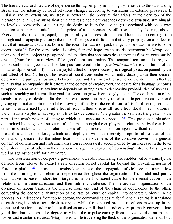The hierarchical architecture of dependence through employment is highly sensitive to the surrounding stress and the intensity of local relations changes according to variations in external pressures. If initially, and by extension, we treat as 'external' the pressure that arises at the very top of the hierarchical chain, any intensification that takes place there cascades down the structure, straining all its levels successively. At each rung, the desire to keep the advantages associated with one's own position can only be satisfied at the price of a supplementary effort exacted by the rung above. Everything else remaining equal, the probability of success diminishes. The injunction coming from on high and propagating through the thick of the system diffuses in that very propagation an effect of fear, that 'inconstant sadness, born of the idea of a future or past, things whose outcome we to some extent doubt.<sup>223</sup> By the very logic of desire, fear and hope are its nearly permanent backdrop once taking hold of the object is postponed, and the time that separates desire from fulfilment 'necessarily' creates (from the point of view of the agent) some uncertainty. This temporal tension in desire gives the pursuit of its object its ambivalent passionate coloration (*fluctuatio animi*, the vacillation of the mind, as Spinoza calls it), since the joyful affect of hope (success) is (logically) accompanied by the sad affect of fear (failure). The 'external' conditions under which individuals pursue their desires determine the particular balance between hope and fear in each case, hence the dominant affective tonality that accompanies their effort. In the context of employment, the desire for advantage becomes wrapped in fear when its attainment depends on strategies with decreasing probabilities of success – such as reaching an intermediate goal that seems to grow increasingly distant. The combination of the steady intensity of desire – for the employee, access to money remains as imperative as ever, and giving up is not an option – and the growing difficulty of the conditions of its fulfilment generates a tension characterised by the sad affect of fear. Furthermore, as all sad affects do, this fear induces in the conatus a surplus of activity as it tries to overcome it: 'the greater the sadness, the greater is the part of the man's power of acting to which it is necessarily opposed.<sup>24</sup> This passionate situation, determined by the general structure of enlistment through the employment relation and by the ambient conditions under which the relation takes effect, imposes itself on agents without recourse and prescribes all their efforts, which are deployed with an intensity proportional to that of the commanding desire. But the intensification of the movements of the conative power in a general context of domination and instrumentalisation is necessarily accompanied by an increase in the level of violence against others – those whom the agent is capable of dominating/instrumentalising – as well as against oneself, for that matter.

The reorientation of corporate governance towards maximizing shareholder value – namely, the demand from 'above' to extract a rate of return on net capital far beyond the prevailing norms of Fordist capitalism<sup>25</sup> – provides a textbook example of the propagation of violence that may follow from the straining of the chain of dependence throughout the organisation. The brutal and purely quantitative increase in short-term targets is in itself sufficient cause for the intensification of the relations of instrumentalisation and their intrinsic violence. The hierarchical organisation of the division of labour transmits the impulse from one end of the chain of dependence to the other, converting the economic abstraction of the rate of return on capital into concrete violence in the process. As it descends from top to bottom, the commanding desire for financial returns is translated at each rung into short-term desires/targets, while the captured product of efforts moves up in the opposite direction in order to be totalised as an overall rise in productivity, promptly converted into yield for shareholders. The degree to which the impulse coming from above avoids transmission losses and maintains its *mobilising* power while traversing the thick of the organisation depends both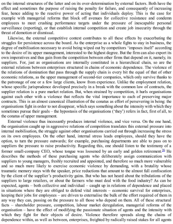on the internal structures of the latter and on its over-determination by external factors. Both have the effect and sometimes the purpose of raising the penalty for failure, and consequently of increasing fear, hence adding to the reactive power of acting that individuals deploy. This is the case for example with managerial reforms that block off avenues for collective resistance and condemn employees to meet crushing performance targets under the pressure of inescapable personal surveillance (reporting), or that establish internal competition and create job insecurity through the threat of demotion or dismissal.

Likewise, the external competitive context contributes to all these effects by exacerbating the struggles for persistence across the board. As the enterprise as a whole fights to stay in business, the degree of mobilisation necessary to avoid being wiped out by competitors 'imposes itself' according to the desire of its upper management, interested to the highest degree. But the firm can also export its own imperatives and thus gain from the competition between other firms that depend on it, namely, its suppliers. For, just as organisations are internally constituted in a hierarchical chain, so are the external relations between enterprises structured in chains of economic dependence. The violence of the relations of domination that pass through the supply chain is every bit the equal of that of other economic relations, as the upper management of second-tier companies, which only survive thanks to the patronage of one or a few large clients, know from experience. Unlike the employment relation, whose specific jurisprudence developed precisely in a break with the common law of contracts, the supplier relation is a pure market relation. But, when strained by competition, it hurls organisations against each other with a violence that reflects the vital importance to each of preserving major contracts. This is an almost canonical illustration of the conatus as effort of persevering in being: the organisations fight in order to not disappear, which says something about the intensity with which they sometimes pursue their goals – the hypostasis of the organisations ('they') refers in fact, first of all, to the conatus of upper management.

External violence thus incessantly produces internal violence, and vice versa. On the one hand, the organisation caught up in aggressive relations of competition translates this external pressure into internal mobilisation, the struggle against other organisations carried out through increasing the stress on its own employees. On the other hand, internal stress leads employees, should they have the option, to turn the pressure outwards; for example, purchasing departments are able to pass on to suppliers the pressure to raise productivity. Regarding this, one should listen to the testimony of a former small-company CEO, whose tongue was loosened by an early and golden retirement.<sup>26</sup> He describes the methods of these purchasing agents who deliberately assign communication with suppliers to young managers, freshly recruited and appointed, and therefore so much more vulnerable and so much more likely to exercise economic violence by demanding, with a brutality whose traumatic memory stays with the speaker, price reductions that amount to the almost full confiscation by the client of the supplier's productivity gains. But who has not heard about the tribulations of the suppliers to large retailers, or about the farmers who must deal with the food industry? As can be expected, agents – both collective and individual – caught up in relations of dependence and placed in situations where they are obliged to defend vital interests – economic survival for enterprises, keeping their jobs for employees – are driven to externalise the bulk of the effort required of them in any way they can, passing on the pressure to all those who depend on them. All of these structural facts – shareholder pressure, competition, labour market deregulation, managerial reforms of the organisation – have the effect of modifying the passionate situation of agents and the intensity with which they fight for their objects of desire. Violence therefore spreads along the chains of dependence within, as well as between, enterprises, freighted by radically raised stakes for all agents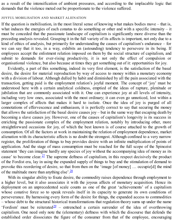as a result of the intensification of ambient pressures, and according to the implacable logic that demands that the violence meted out be proportionate to the violence suffered.

#### JOYFUL MOBILISATION AND MARKET ALIENATION

If the question is mobilisation, in the most literal sense of knowing what makes bodies move – that is, what induces the energies of each conatus to do something or other and with a specific intensity – it must be conceded that the passionate landscape of capitalism is significantly more diverse than the preceding analysis revealed. Grasping it in the full variety of its affects is important, not only due to a kind of ethics of analysis, but primarily for understanding the causes of capitalism's endurance – for we can say that it too, in a way, exhibits an (astounding) tendency to persevere in its being. If employees accept the enlistment relation imposed on them by the social structure of capitalism, and submit to demands for ever-rising productivity, it is not only the effect of compulsion or organisational violence, but also because at times they get something out of it: opportunities for joy.

Evidently, a part of this something, indeed its very first element, is the satisfaction of the basal desire, the desire for material reproduction by way of access to money within a monetary economy with a division of labour. Although dulled by habit and diminished by all the pain associated with the transaction, getting paid is the employment relation's joyful moment. The concept of 'joy' must be understood here with a certain analytical coldness, emptied of the ideas of rapture, plenitude or jubilation that are commonly associated with it. One can experience joy at all levels of intensity, including very low ones, associated with the most ordinary; it can even go unnoticed, lost within a larger complex of affects that makes it hard to isolate. Once the idea of joy is purged of all connotations of effervescence and enthusiasm, it is perfectly correct to say that securing the money that allows the satisfaction of the basal desire causes joy – but in the same way that escaping death by becoming a slave causes joy. However, one of the causes of capitalism's longevity is its success in enriching the passionate complex of the employment relation, notably by introducing other, more straightforward occasions for joy, of which the best known is of course attached to the growth of consumption. Of all the factors at work in maintaining the relation of employment dependence, market alienation with its characteristic affects is no doubt the strongest. Although confined to a very narrow register, the proliferation of things to buy provides desire with an infinite multiplication of points of application. And the stage of mass consumption must be reached for the full scope of the Spinozist statement 'they can imagine hardly any species of joy without the accompanying idea of money as its cause' to become clear.  $\frac{27}{1}$  The supreme deftness of capitalism, in this respect decisively the product of the Fordist era, lay in using the expanded supply of things to buy and the stimulation of demand to provoke this reordering of desire, so that from then on the 'image [of money] … occupie[d] the mind of the multitude more than anything else'. $\frac{28}{10}$ 

With its singular ability to fixate desire, the commodity raises dependence through employment to a higher level, but it also associates it with the joyous affects of monetary acquisition. Hence its deployment on an unprecedented scale counts as one of the great 'achievements' of a capitalism whose conative force so to speak reveals itself in its capacity to generate its own conditions of perseverance. By harnessing every form of the desire for things, the expanded access to commodities – whose debt to the structural historical transformations that regulation theory sums up under the name 'Fordism' must be reiterated<sup>29</sup> – entrenched a certain surrender of the idea of overthrowing capitalism. One need only note the (elementary) deftness with which the discourse that defends the established order dissociates the figure of the consumer from that of the employee, encouraging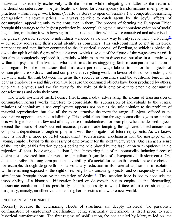individuals to identify exclusively with the former while relegating the latter to the realm of incidental considerations. The justifications offered for contemporary transformations in employment practices – from longer work hours ('it allows stores to open on Sundays') to competition-enhancing deregulation ('it lowers prices') – always contrive to catch agents by 'the joyful affects' of consumption, appealing only to the consumer in them. The process of forming the European Union brought this strategy to the highest perfection by accomplishing the almost complete eviction of social legislation, replacing it with laws against unfair competition which were conceived and advertised as the greatest possible service to individuals – indeed as the only way to truly serve their well-being  $\frac{30}{20}$ – but solely addressing their social identity as consumers. This end-point must be put in historical perspective and then further connected to the 'historical success' of Fordism, to which is obviously owed the uplift of this figure of the consumer, which rose out of the figure of the wage-earner until it has almost completely replaced it, certainly within mainstream discourse, but also in a certain way within the psyches of individuals who perform at times staggering feats of compartmentalisation in this regard. For the mediations that link each person's wage-labour to his or her objects of consumption are so drawn-out and complex that everything works in favour of this disconnection, and very few make the link between the gains they receive as consumers and the additional burden they bear as employees – and this, crucially, because the consumed objects have been produced by others, who are anonymous and too far away for the yoke of their employment to enter the consumers' consciousness and echo their own.

The whole system of market desire (marketing, media, advertising, the means of transmission of consumption norms) works therefore to consolidate the submission of individuals to the central relations of capitalism, since employment appears not only as the sole solution to the problem of material reproduction, but also all the more attractive the more the range of objects offered to the acquisitive appetite expands indefinitely. This joyful alienation through commodities goes so far that it is willing to take on a few sad affects, those of indebtedness for example, when the desired objects exceed the means of one's current income, yet are made tempting through credit mechanisms that compound dependence through employment with the obligation of future repayments. As we know, there is hardly a more powerful employment 'socialisation' mechanism than the mortgage of the 'young couple', bound to the necessity of employment for the next twenty years. One can get a sense of the intensity of this fixation by considering the role played by the fascination with opulence in the rejection of 'actually existing socialisms', the shimmering face of the commodity-inducing forces of desire fast converted into adherence to capitalism (regardless of subsequent disillusionments). One doubts therefore the long-term passionate viability of a social formation that would make the choice – for example, through de-growth – of a voluntary reduction in its material aspirations in isolation, while remaining exposed to the sight of its neighbours amassing objects, and consequently to all the stimulations brought about by the imitation of desire.<sup>31</sup> The intention here is not to conclude the impossibility of a historical bifurcation based on de-growth, but to emphasise the (demanding) passionate conditions of its possibility, and the necessity it would face of first constructing an imaginary, namely, an affective and desiring hermeneutics of a whole new world.

### ENLISTMENT AS ALIGNMENT

Precisely because the determining effects of structures are deeply historical, the passionate configuration of employment mobilisation, being structurally determined, is itself prone to such historical transformations. The first regime of mobilisation, the one studied by Marx, relied on 'the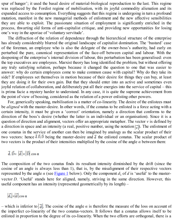spur of hunger'; it used the basal desire of material-biological reproduction to the last. This regime was replaced by the Fordist regime of mobilisation, with its joyful commodity alienation and its expanded access to consumption. Everything suggests that this regime is undergoing in turn a profound mutation, manifest in the new managerial methods of enlistment and the new affective sensibilities they are able to exploit. The passionate situation of employment is significantly enriched in the process, thwarting old forms of anti-capitalist critique, and providing new opportunities for losing one's way in the aporiae of 'voluntary servitude'.

The diffraction of the relation of dependence through the hierarchical structure of the enterprise has already considerably blurred the original landscape of capitalist domination. The 'bastard' case of the foreman, an employee who is also the delegate of the owner-boss's authority, had early on perturbed the pure, canonical representation of the face-off between capital and labour. With the deepening of the enterprise's internal division of labour, this perturbation has been generalised: even the top executives are employees. Marxist theory has long identified the problem, but without offering any truly satisfying solution, perhaps because it changed the question to one that was easier to answer: why do certain employees come to make common cause with capital? Why do they take its side? If employees set themselves in motion because of their desire for things they can buy, at least they are doing it for their own gain. But that they should enter into an active and sometimes even joyful relation of collaboration, and deliberately put all their energies into the service of capital – this is prima facie a mystery harder to understand. In any case, it is quite the supreme achievement from the point of view of bossing, considered as the relation of a power enlisting other powers.

For, generically speaking, mobilisation is a matter of co-linearity. The desire of the enlistees must be *aligned* with the master-desire. In other words, if the conatus to be enlisted is a force acting with a certain intensity, it must be given a 'correct' orientation, namely a direction that conforms to the direction of the boss's desire (whether the latter is an individual or an organisation). Since it is a question of direction and alignment, vectors offer an appropriate metaphor. The vector *v* is defined by a direction in space and an intensity (a real, positive number, using the notation  $\vec{v}$ ). The enlistment of one conatus in the service of another can then be imagined by analogy as the scalar product of their two vectors: hence  $\vec{d}$ ,  $\vec{D}$ ,  $\vec{D}$  being the master-desire and  $\vec{d}$  the enlisted conatus. The scalar product of two vectors is the product of their intensities multiplied by the cosine of the angle  $\alpha$  between them:

 $\vec{d} \cdot \vec{D} = |\vec{d}| \times |\vec{D}| \cos \alpha$ 

The composition of the two conatus finds its resultant intensity diminished by the drift (since the cosine of an angle is always less than 1), that is, by the misalignment of their respective vectors represented by the angle  $\alpha$  (see Figure 1 below). Only the component  $d_1$  of  $d$  is 'useful' to the mastervector *D*. 'Useful' stands here for aligned, namely, striving in the same direction. However, this useful component has an intensity (represented geometrically by its length) –

 $\vec{d}_1 = \vec{d} \cos \alpha$ 

– which is inferior to  $\left|\vec{d}\right|$ . The cosine of the angle  $\alpha$  is therefore the measure of the loss on account of the imperfect co-linearity of the two conatus-vectors. It follows that a conatus allows itself to be enlisted in proportion to the degree of its co-linearity. When the two efforts are orthogonal, there is a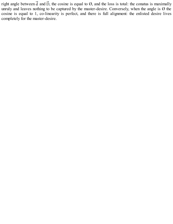right angle between  $\vec{d}$  and  $\vec{D}$ , the cosine is equal to  $\emptyset$ , and the loss is total: the conatus is maximally unruly and leaves nothing to be captured by the master-desire. Conversely, when the angle is  $\varnothing$  the cosine is equal to 1, co-linearity is perfect, and there is full alignment: the enlisted desire lives completely for the master-desire.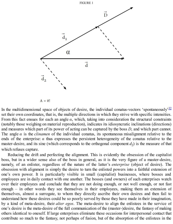

 $A = \emptyset!$ 

In the multidimensional space of objects of desire, the individual conatus-vectors 'spontaneously' $\frac{32}{2}$ set their own coordinates, that is, the multiple directions in which they strive with specific intensities. From this fact ensues for each an angle  $\alpha$ , which, taking into consideration the structural constraints (notably those weighing on material reproduction), indicates its idiosyncratic inclinations (directions) and measures which part of its power of acting can be captured by the boss *D*, and which part cannot. The angle  $\alpha$  is the *clinamen* of the individual conatus, its spontaneous misalignment relative to the ends of the enterprise:  $\alpha$  thus expresses the persistent heterogeneity of the conatus relative to the master-desire, and its sine (which corresponds to the orthogonal component  $d_2$ ) is the measure of that which refuses capture.

Reducing the drift and perfecting the alignment. This is evidently the obsession of the capitalist boss, but in a wider sense also of the boss in general, as it is the very figure of a master-desire, namely, of an enlister, regardless of the nature of the latter's *enterprise* (object of desire). The obsession with alignment is simply the desire to turn the enlisted powers into a faithful extension of one's own power. It is particularly visible in small (capitalist) businesses, where bosses and employees are in daily contact with one another. The bosses (and owners) of such enterprises watch over their employees and conclude that they are not doing enough, or not well enough, or not fast enough – in other words they see themselves in their employees, making them an extension of themselves, almost a surrogate, to whom they directly ascribe their own desires and then fail to understand how these desires could be so poorly served by those they have made in their imagination, by a kind of meta-desire, their *alter egos*. The meta-desire to align the enlistees in the service of one's desire is the meta-desire of the full communication of the (master-)desire, the fantasy of making others identical to oneself. If large enterprises eliminate these occasions for interpersonal contact that contribute so much to the fantasy, not perhaps of fusion, but of the absorption of the enlistees in the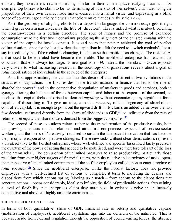enlister, they nonetheless retain something similar in their commonplace edifying maxims – for example, top bosses who claim to be 'as demanding of others as of themselves', thus transmuting the projections of their own desire, made master-desire, into a moral virtue, and expressing in a blind adage of conative egocentricity the wish that others make that desire fully their *own*.

As if the geometry of aligning efforts left a deposit in language, the common usage gets it right when it gives certain master-desires the title of 'directors'. This is indeed what it is about: orienting the conatus-vectors in a certain direction. The spur of hunger and the promise of expanded consumption were the first two mechanisms producing the alignment of the enlisted conatus with the vector of the capitalist boss's conatus. It would seem that neither achieved the goal of perfect colinearisation, since for the last few decades capitalism has felt the need to 'switch methods'. Let us say immediately that if the method is changing, it is because the ambition has changed. The residual *α*s that used to be tolerated have become intolerable. The neoliberal enterprise has reached the conclusion that *α* is always too large. Its new goal is  $\alpha = \emptyset$ . Indeed, the formula  $\alpha = \emptyset$  corresponds very closely to what increasing research in the sociology of organisations reveals about a goal of *total* mobilisation of individuals in the service of the enterprise.

As a first approximation, one can attribute this desire of total enlistment to two evolutions in the structures of capitalism. The first resides in the transformations in finance that led to the rise of shareholder power<sup>33</sup> and in the competitive deregulation of markets in goods and services, both in synergy altering the balance of forces between capital and labour at the expense of the second, so much so that capital feels authorised to demand *anything* without encountering any significant force capable of dissuading it. To give an idea, almost a *measure*, of this hegemony of shareholdercontrolled capital, it is enough to point out the upward drift in its claims on added value over the last few decades, estimated directly from the share of dividends in GDP,  $\frac{34}{3}$  or indirectly from the rate of return on net equity that shareholders demand from the biggest companies.<sup>35</sup>

The second of these evolutions relates rather to the transformation of the productive tasks, both the growing emphasis on the relational and attitudinal competences expected of service-sector workers, and the forms of 'creativity' required to sustain the fast-paced innovation that has become the principal weapon of competitive strategies. These new tasks without clear demarcations represent a break relative to the Fordist enterprise, whose well-defined and specific tasks fixed fairly precisely the quantum of the power of acting that needed to be mobilised, and were therefore tolerant of the loss of the 'remainder'. The conjunction of unlimited pressures to raise productivity, particularly those resulting from ever higher targets of financial return, with the relative indeterminacy of tasks, opens the perspective of an unlimited commitment of the self for employees called upon to enter a regime of *total vocation*. <sup>36</sup> Since the neoliberal enterprise, unlike the Fordist factory, does not provide employees with a well-defined list of actions to complete, it turns to moulding the desires and dispositions from which actions spring. Moving up a notch – from actions to the dispositions that generate actions – opens considerably, ideally to infinity, the field of predictable actions, thus gaining a level of flexibility that enterprises claim they must have in order to survive in an intensely competitive and above all highly unstable environment.

#### THE INTENSIFICATION OF FEAR

In terms of both quantitative (share of GDP, financial rate of return) and qualitative capture (mobilisation of employees), neoliberal capitalism tips into the delirium of the unlimited. That is because, aside from external regulation through the opposition of countervailing forces, the absence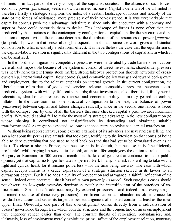of limits is in fact part of the very concept of the capitalist conatus; in the absence of such forces, economic power [*puissance*] seeks its own unlimited increase. Capital's delirium of the unlimited is therefore firstly a strategic symptom, the index of a certain landscape of forces and notably of the state of the forces of resistance, more precisely of their non-existence. It is thus unremarkable that capitalist conatus push their advantage indefinitely, since only the encounter with a contrary and superior force could persuade them to desist. This landscape of forces is none other than that produced by the structures of the contemporary configuration of capitalism, for the structures and the position of agents within these alone determine the distribution of the resources of power [*pouvoir*] (to speak of power in that sense, although eloquent, is not ideal, since the word gives a substantial connotation to what is entirely a relational effect). It is nevertheless the case that the equilibrium of the capital–labour relation is significantly different in the two configurations of capitalism in which it can be analysed.

In the Fordist configuration, competitive pressures were moderated by trade barriers, relocations were almost impossible because of the system of control of direct investments, shareholder pressure was nearly non-existent (rump stock market, strong takeover protections through networks of crossownership, international capital flow controls), and economic policy was geared toward both growth and employment, due to the relative emphasis on internal growth. In the current configuration, the liberalisation of markets of goods and services releases competitive pressures between socioproductive systems with widely different standards; direct investments, also liberalised, freely permit relocations, shareholder pressure is intense, and economic policy is mostly geared to curbing inflation. In the transition from one structural configuration to the next, the balance of power [*puissance*] between capital and labour changed radically, since in the second one labour is faced with the collapse, one by one, of all the barriers that once checked capital's push towards maximum profits. Why would capital fail to make the most of its strategic advantage in the new configuration (to whose shaping it contributed not insignificantly by demanding and obtaining suitable transformations)? As might be expected, so long as it encounters no resistance, capital marches on.

Without being representative, some extreme examples of its advances are nevertheless telling, and say a lot about the permissive attitude that took over, testifying to the intoxication that comes of being able to dare everything that one used to hold back on (and that had yet to be formulated even as an idea). To close a site in France, not because it is in deficit, but because it is 'insufficiently profitable', while paying lip service to the obligation to offer employees the option to relocate – to Hungary or Romania for 300 euros a month – is the kind of gesture that continues to shock public opinion, yet that capital no longer hesitates to permit itself. Infamy is a risk it is willing to take with a light and cynical heart, for it remains powerless – for the time being, anyway. The ease with which capital accepts infamy is a crude expression of a strategic situation skewed in its favour to an outrageous degree. But it also adds a quality of provocation and arrogance, a faithful reflection of the sense – indeed quite accurate – that it has of its own power [*puissance*]. Such egregious cases should not obscure its lowgrade everyday domination, notably the intensification of the practices of colinearisation. Since it is 'made necessary' by external pressures – and indeed since everything is permitted (because of those very pressures) – co-linearisation can abandon its old tolerance for residual deviations and set as its target the perfect alignment of enlisted conatus, at least as the ideal upper limit. Obviously, one part of this over-alignment comes directly from a radicalisation of bosses' governance through fear, which both the structures and the conjuncture of mass unemployment they engender render easier than ever. The constant threats of relocation, redundancies, and, ultimately, loss of employment merely exploit the primal affect of the employment relation, monetary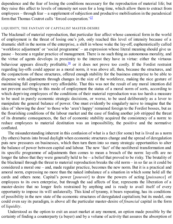dependence and the fear of losing the conditions necessary for the reproduction of material life; but they raise this affect to levels of intensity not seen for a long time, which allow them to extract from employees – through fear – a supplement of subjection and productive mobilisation in the paradoxical form that Thomas Coutrot calls 'forced cooperation.<sup>37</sup>

### LIQUIDITY, THE FANTASY OF CAPITALIST MASTER-DESIRE

The blackmail of material reproduction, that particular fear affect whose canonical form in the world of employment is the threat of losing one's job, only reached this level of intensity because of a dramatic shift in the norms of the enterprise, a shift in whose wake the lay-off, euphemistically called 'workforce adjustment' or 'social programme' – an expression whose literal meaning should give us pause – became a regular practice of management. There is no such thing as autonomous morality, and the virtue of agents develops in proximity to the interest they have in virtue: either the virtuous behaviour appears directly profitable,  $\frac{38}{30}$  or it does not prove too costly. If the Fordist restraint regarding lay-offs could appear as a moral norm, it was above all, then, because the structures, and the conjunctions of these structures, offered enough stability for the business enterprise to be able to dispense with adjustments through changes in the size of the workforce, making the nice gesture of maintaining full employment very affordable. That this was not the result of any moral intention did not prevent ascribing to this mode of employment the status of a moral norm of sorts, according to which depriving employees of the conditions of their material reproduction was too harsh a measure to be used in purely economic strategic decisions, or worse, to be used deliberately as a lever to manipulate the general balance of power. One must evidently be singularly naive to imagine that the idea of 'showing the door' to those who 'aren't happy' remained foreign to the Fordist bosses, but as the flourishing conditions of the labour market and the ease of finding another job stripped the threat of its dramatic consequences, the fact of economic stability acquired the consistency of a norm: to reduce employees to material destitution was an impossibility, the positive and the normative conflated.

The misunderstanding inherent in this confusion of what is a fact (for some) but is lived as a norm (by others) bursts into broad daylight when economic structures change and the spread of deregulation puts new pressures on businesses, which then turn them into so many strategic opportunities to alter the balance of power between capital and labour. The new 'fact' of the neoliberal transformation and its specific programme of adjustments then comes to mean a breach of the norm: lay-offs are no longer the taboo that they were generally held to be – a belief that proved to be risky. The brutality of the blackmail through the threat to material reproduction breaks the old norm – in so far as it could be considered a moral one – and, made regular practice, becomes the new norm. But it is a practical and amoral norm, expressing no more than the naked imbalance of a situation in which some hold all the cards and others none. Capital's power [*pouvoir*] to draw the powers of acting [*puissance*] of employees to its own enterprise, but through the sad affects of fear, represents the liberation of a master-desire that no longer feels restrained by anything and is ready to avail itself of every opportunity to impose its will unilaterally. This kind of tyranny, it bears repeating, has its conditions of possibility in the new state of the economic structures of deregulated capitalism; but its model, one could even say its paradigm, is above all the particular master-desire of *financial* capital in the form of *liquidity*.

Understood as the option to exit an asset market at any moment, an option made possible by the certainty of finding a counterparty (a buyer) and by a volume of activity that assures the absorption of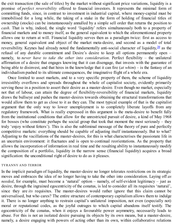the exit transaction (the sale of titles) by the market without significant price variations, liquidity is a promise of *perfect reversibility* offered to financial investors. It represents the minimal form of committing funds, since, in contrast to investment in industrial capital, where money-capital must be immobilised for a long while, the taking of a stake in the form of holding of financial titles of ownership (stocks) can be instantaneously annulled by a simple sell order that returns the position to *cash*. That is why, indeed, the single word 'liquidity' refers simultaneously both to a property of financial markets and to money itself, as the general equivalent to which the aforementioned property allows one to return at will. Financial liquidity serves then as a paradigm twice: first as access to money, general equivalent and object of the market meta-desire, and second as a model of total reversibility. Keynes had already noted the fundamentally anti-social character of liquidity,  $\frac{39}{2}$  as the refusal of any durable commitment and Desire's desire to keep all options permanently open – namely, to *never have to take the other into consideration*. Perfect flexibility – the unilateral affirmation of a desire that engages knowing that it can disengage, that invests with the guarantee of being able to disinvest, and that hires in the knowledge that it can fire (*at whim*) – is the fantasy of an individualism pushed to its ultimate consequences, the imaginative flight of a whole era.

Once limited to asset markets, and to a very specific property of them, the scheme of liquidity irresistibly overflows and spreads throughout the whole of capitalist society, evidently primarily serving those in a position to assert their desire as a master-desire. Even though no market, especially not that of labour, can attain the degree of flexibility-reversibility of financial markets, liquidity draws the bullseye and pushes the master-desires towards obtaining the structural transformations that would allow them to get as close to it as they can. The most typical example of that is the capitalist argument that the only way to lower unemployment is to completely liberate layoffs from any regulatory framework. What is really expressed in this argument is the meta-desire to benefit fully from the institutional conditions that allow for the unrestricted pursuit of desire, a kind of May 1968 for bosses (who constitute perhaps the social group that took that moment the most seriously – they truly 'enjoy without fetters'). This is also the subliminal message of the theory of pure and perfectly competitive markets: everything should be capable of adjusting itself instantaneously. But to what? Adjusting to the vacillations of the master-desires, for this is what characterises the passionate life in an uncertain environment: it fluctuates and is open to continual reorientations. As the property that allows the incorporation of information in real time and the resulting ability to instantaneously modify the composition of a portfolio, liquidity in the narrow sense (financial liquidity) acquires a broad signification: the unconditional right of desire to do as it pleases.

### TYRANNY AND TERROR

In the implicit paradigm of liquidity, the master-desire no longer tolerates restrictions on its strategic moves and embraces the idea of no longer having to take the other into consideration. Laying off *as needed*, for example, must become a 'natural' option – namely, of self-evident legitimacy – just as desire, through the ingrained egocentricity of the conatus, is led to consider all its requisites 'natural', since they are *its* requisites. The master-desires would rather ignore that this claim cannot be universalised, but who cares? The entire structure of contemporary capitalism allows them to indulge it. There is no longer anything to restrain capital's unilateral imposition, not even (especially not) moral or reputational codes, as the joyful outrages to which capital abandons itself testify. The egocentricity of the conatus, when it enjoys a favourable power asymmetry, necessarily leads to abuse. For this is not an isolated desire pursuing its objects by its own means, but a master-desire, namely, a desire engaging with powers of acting other than its own, within collaborative relations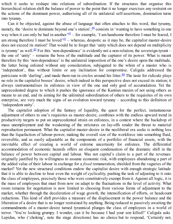which it seeks to reshape into relations of subordination. If the structures that organise this hierarchical relation shift the balance of power to the point that it no longer exercises any restraint on the actions of the dominant power, authorising all of its unilateral self-assertions, domination turns into tyranny.

Can it be objected, against the abuse of language that often attaches to this word, that tyranny, namely, the 'desire to dominate beyond one's station',  $\frac{40}{10}$  consists in 'wanting to have something in one way when it can only be had in another  $\frac{41}{4}$  – for example, 'I am handsome therefore I must be feared, I am strong therefore I must be loved<sup> $42$ </sup> – whereas, despotic as it may be, the capitalist master-desire does not exceed its station? That would be to forget that 'unity which does not depend on multiplicity is tyranny' as well.<sup>43</sup> For this 'non-dependence' is evidently not a non-relation; the sovereign-tyrant – the one of 'unity' – remains the boss of the multitude and the capturer of its power. What is meant therefore by this 'non-dependence' is the unilateral imposition of the one's desire upon the multitude, the latter being enlisted without any consideration, subjugated to the whim of a master who is 'independent', thus without limits or any inclination for compromise. Caligula addressed the patricians with 'darling', and made them run in circles around his litter.  $\frac{44}{1}$  The taste for ridicule plays no role in the capitalist bosses' desire, which indeed in this perspective does not exceed its station; it always instrumentalises its enlistees in view of the one and only goal of accumulation. Yet the unprecedented degree to which it pushes the ignorance of the Kantian maxim of not using others as means to an end, and its aiming for the unlimited subordination of others to the requisites of its own enterprise, are very much the signs of an evolution toward tyranny – according to this definition of 'independent unity'.

The capitalist adoption of the fantasy of liquidity, the quest for the perfect, instantaneous adjustment of others to one's requisites as master-desire, combines with the endless upward trend in productivity targets to put an unprecedented strain on enlistees, in a context where the backdrop of mass unemployment and the weakening of the strictures on lay-offs render the threat to material reproduction permanent. What the capitalist master-desire in the neoliberal era seeks is nothing less than the liquefaction of labour-power, making the overall size of the workforce into something fluid, reversible, and as easily adjustable as the components of a portfolio of financial assets, with the inevitable effect of creating a world of extreme uncertainty for enlistees. The differential accommodation of economic hazards offers an eloquent condensation of the dramatic shift in the balance of power between capital and labour. Was not capital's claim to a part of the revenues originally justified by its willingness to assume economic risk, with employees abandoning a part of the added value of their labour in exchange for a *fixed* remuneration, shielded from the vagaries of the market? Yet the new structural conditions endow the capitalist desire with enough strategic latitude that it is able to decline to bear even the weight of cyclicality, pushing the task of adjusting to it onto the class of employees, precisely those who were constitutively exempt from it. Against all logic, it is the mass of employees that must from now on adapt to the fluctuations in the level of activity. What room remains for negotiation is now limited to choosing from various forms of adjustment to the market, whether through the deceleration of wage growth, the intensification of efforts, or headcount reductions. This kind of shift provides a measure of the displacement in the power balance and the liberation of a desire that is no longer restrained by anything. Being reduced to passively awaiting the commandments of a master-desire turned tyrannical plunges the class of employees in a world of terror. 'You're looking grumpy. I wonder, can it be because I had your son killed?' Caligula asks Lepidus, who ('choking', note the stage directions) has no choice but to respond, 'Certainly not,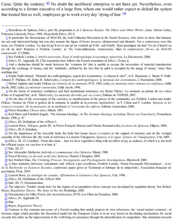Caius. Quite the contrary.<sup> $45$ </sup> No doubt the neoliberal enterprise is not there yet. Nevertheless, even according to a former executive of a large firm, whom one would rather expect to defend the system that treated him so well, employees go to work every day 'dying of fear.<sup>246</sup>

3 See Frédéric Lordon, *L'intérêt souverain. Essai d'anthropologie économique spinoziste*, La Découverte, 2006.

4 *Ethics*, IV, Appendix 28. [The translation here follows the French translation of *Ethics*. (Trans.)]

 $\overline{5}$  And a distinction should be made between the 'common lot' that is unable to escape the necessities of material reproduction through the exchange of money, and the 'multitude', defined by the fact that its spirit is occupied by the image of money 'more than anything else'.

6 Pepita Ould-Ahmed, 'Monnaie des anthropologues, argent des économistes : à chacun le sien?', in E. Baumann, L. Bazin, P. Ould-Ahmed, P. Phélinas, M. Selim, R. Sobel (eds), *L'argent des anthropologues, la monnaie des économistes*, L'Harmattan, 2008.

7 Michel Aglietta and André Orléan, *La violence de la monnaie*, PUF, 1982; (eds), *La monnaie entre violence et confiance*, Odile Jacob, 2002; (eds), *La monnaie souveraine*, Odile Jacob, 1998.

8 On the forms of monetary confidence and their institutional armatures, see Bruno Théret, 'La monnaie au prisme de ses crises d'hier et d'aujourd'hui', in B. Théret (ed.), *La monnaie dévoilée par ses crises*, Éditions de l'EHESS, 2007.

9 On the idea of the sovereignty of the currency as manifestation of the power of the community, see Frédéric Lordon and André Orléan, 'Genèse de l'État et genèse de la monnaie: le modèle de la *potentia multitudinis*', in Y. Citton and F. Lordon, *Spinoza et les sciences sociales. De la puissance de la multitude à l'économie des affects*, Éditions Amsterdam, 2008.

10 Pierre Bourdieu, *Choses dites*, Minuit, 1987.

11 Karl Marx and Friedrich Engels, 'The German Ideology', in *The German Ideology including Theses on Feuerbach*, Prometheus Books, 1998, p. 47.

12 *Ethics*, III, Definitions of the Affects I.

13 Laurent Bove, '*Éthique*, partie III,' in Pierre-François Moreau and Charles Ramond (eds), *Lectures de Spinoza*, Ellipses, 2006. 14 *Ethics*, III, 9, Scholium.

15 On the importance of the traceable body, the body that keeps traces (*vestigia*) as the support of memory, and on the vestigial causality of the affective life, the work of reference is Lorenzo Vinciguerra, *Spinoza et le signe. Genèse de l'imagination*, Vrin, 2005.

16 *Ethics*, III, 15, Corollary: 'From this alone – that we have regarded a thing with an affect of joy or sadness, of which it is not itself the efficient cause, we can love it or hate it.'

17 Ibid., III, 27.

 $\overline{\phantom{a}}$ 

18 See Alexandre Matheron, *Individu et communauté chez Spinoza*, Minuit, 1988.

19 Pascal Sévérac, *Le devenir actif chez Spinoza*, Honoré Champion, 2005.

20 See Norbert Elias, *The Civilizing Process: Sociogenetic and Psychogenetic Investigations*, Blackwell, 2000.

21 A false antinomy (between 'calculation' and 'affects') par excellence, Frédéric Lordon, 'Homo Passionalis OEconomicus', *Actes de la Recherche en Sciences Sociales*, conference paper given at 'Economie et fabrique de la subjectivité', Association française de psychiatrie, Paris, 2010.

22 Laurent Bove, *La stratégie du conatus. Affirmation et résistance chez Spinoza*, Vrin, 1996.

23 *Ethics*, III, Definitions of the Affects XIII.

24 Ibid., III, 37, Demonstration.

25 The adjective 'Fordist' stands here for the regime of accumulation whose concept was developed by regulation theory. See Robert Boyer, *Regulation Theory: The State of the Art*, Routledge, 2002.

26 Documentary by Gilles Perret, *Ma mondialisation*, DVD, Les Films du Paradoxe, 2006.

27 *Ethics*, IV, Appendix 28.

28 Ibid.

29 Boyer, *Regulation Theory*.

30 Contrary to the common non-sense of a French reading that unduly projects its own references, the 'social market economy', of German origin, which provides the theoretical model for the European Union, is in no way based on developing mechanisms for social security but rather on the improvement of the well-being of consumers through the intensification of competition: 'this orientation towards

<sup>1</sup> Benedictus de Spinoza, *Ethics*, part III, proposition 6, in *A Spinoza Reader, The Ethics and Other Works* , trans. Edwin Curley, Princeton University Press, 1994. Henceforth *Ethics*, III, 6.

<sup>2</sup> In particular the theoreticians of MAUSS, the Anti-Utilitarian Movement in the Social Sciences, who strive to show that humans are not only interested beings but can also assume the figure of *homo donator*, disinterested and altruistic. For a controversy over this issue, see Frédéric Lordon, 'Le don tel qu'il est et non qu'on voudrait qu'il fût', and Falafil, 'Quel paradigme du don? En clé d'intérêt ou en clé de don? Réponse à Frédéric Lordon', in 'De l'anti-utilitarisme. Anniversaire, bilan et controverses', *Revue du MAUSS semestrielle* 27 (2006).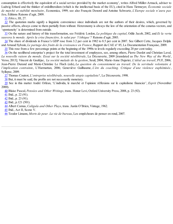consumption is effectively the equivalent of a social service provided by the market economy', writes Alfred Müller-Armack, adviser to Ludwig Erhard and the thinker of ordoliberalism (which is the intellectual basis of the EU), cited in Hans Tietmeyer, *Économie sociale de marché et stabilité monétaire* , Economica, 1999; see also François Denord and Antoine Schwartz, *L'Europe sociale n'aura pas lieu*, Éditions Raisons d'agir, 2009.

31 *Ethics*, III, 27.

32 The quotation marks signify a linguistic convenience since individuals are not the authors of their desires, which, governed by passive affects, always come to them partially from without. Heteronomy is always the law of the orientation of the conatus-vectors, and 'spontaneity' is determined from outside.

33 On the nature and history of this transformation, see Frédéric Lordon, *La politique du capital*, Odile Jacob, 2002, and *Et la vertu sauvera le monde. Après la crise financière, le salut par 'l'éthique'?* Raisons d'agir, 2003.

 $\frac{34}{21}$  The share of dividends in France's GDP rose from 3.2 per cent in 1982 to 8.5 per cent in 2007. See Gilbert Cette, Jacques Delpla and Arnaud Sylvain, *Le partage des fruits de la croissance en France*, Rapport du CAE n° 85, La Documentation Française, 2009.

35 This rose from a few percentage points at the beginning of the 1990s to levels regularly exceeding 20 per cent today.

36 On the neoliberal enterprise's project for the total investment of employees, see, among others, Pierre Dardot and Christian Laval, La nouvelle raison du monde. Essai sur la société néolibérale, La Découverte, 2009 [translated as The New Way of the World, Verso, 2013]; Vincent de Gauléjac, *La société malade de la gestion*, Seuil, 2004; Marie-Anne Dujarier, *L'idéal au travail*, PUF, 2006; Jean-Pierre Durand and Marie-Christine Le Floch (eds), *La question du consentement au travail. De la servitude volontaire à l'implication contrainte*, L'Harmattan, 2006; Geneviève Guilhaume, *L'ère du coaching. Critique d'une violence euphémisée* , Syllepse, 2009.

37 Thomas Coutrot, *L'entreprise néolibérale, nouvelle utopie capitaliste?*, La Découverte, 1998.

38 But, it must be said, the profits are not necessarily monetary.

39 See in this matter André Orléan, 'L'individu, le marché et l'opinion: réflexions sur le capitalisme financier', *Esprit* (November 2000).

40 Blaise Pascal, *Pensées and Other Writings*, trans. Honor Levi, Oxford University Press, 2008, p. 23 (92).

41 Ibid., p. 22 (91).

 $\frac{42}{10}$  Ibid., p. 23 (91).

43 Ibid., p.121 (501).

44 Albert Camus, *Caligula and Other Plays*, trans. Justin O'Brien, Vintage, 1962.

45 Ibid., Act II, Scene V.

46 Teodor Limann, *Morts de peur. La vie de bureau*, Les empêcheurs de penser en rond, 2007.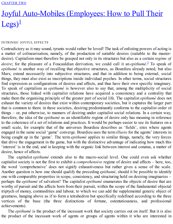# Joyful Auto-Mobiles (Employees: How to Pull Their  ${\rm Legs})^1$  ${\rm Legs})^1$

#### INTRINSIC JOYFUL EFFECTS

Contradictory as it may sound, tyrants would rather be loved! The task of enlisting powers of acting is a matter of colinearisation, namely, of the production of suitable desires (suitable to the masterdesire). Capitalism must therefore be grasped not only in its structures but also as a certain *regime of desire*; for the pleasure of a Foucauldian derivation, we could call it an *epithumè*. [2](#page-58-1) To speak of *epithumè* is another way of recalling that objective structures, as Bourdieu already noted, but also Marx, extend necessarily into subjective structures, and that in addition to being external, social things, they must also exist as inscriptions inside individual psyches. In other terms, social structures find expression as configurations of desires and affects, and thus have their own specific imaginary. To speak of capitalism as *epithumè* is however also to say that, among the multiplicity of social structures, those linked with capitalist relations have acquired a consistency and a centrality that make them the organising principle of the greater part of social life. The capitalist *epithumè* does not exhaust the variety of desires that exist within contemporary societies, but it captures the larger part that is common to them: in these societies, desiring predominantly conforms to the capitalist order of things – or, put otherwise, to manners of desiring under capitalist social relations. In a certain way, therefore, the idea of the *epithumè* as an identifiable regime of desire only has meaning in reference to the coherence of a set of relations and practices. It would be perhaps easier to see its features on a small scale, for example that of the universes Bourdieu describes as 'fields', sites where agents engaged in the same social 'game' converge. Bourdieu uses the term *illusio* for the agents' interests in being caught up in the 'game'. The term *epithumè* applies to similar things, namely, the very forces that drive the engagement in the game, but with the distinctive advantage of indicating how much this 'interest' is in the end, and in keeping with the organic link between interest and conatus, a matter of desire, hence of affects.

The capitalist *epithumè* extends also to the macro-social level. One could even ask whether capitalist society is not the first to exhibit a *comprehensive* regime of desire and affects – here, too, the word 'comprehensive' does not signify exhaustiveness but rather gives a sense of the scale. Another question is how one should qualify the preceding *epithumè*, should it be possible to identify one with comparable properties in scope, consistency, and structuring hold on desiring imaginaries – perhaps the *epithumè* of salvation? The capitalist *epithumè* enumerates the objects of desire that are worthy of pursuit and the affects born from their pursuit, within the scope of the fundamental objectal triptych of money, commodities and labour, to which we can add the supplemental generic object of greatness, hanging above as if to form a tetrahedron but specifically redefined according to the three vertices of the base (the three distinctions of fortune, ostentatiousness, and professional achievements).

The *epithumè* is the product of the incessant work that society carries out on itself. But it is also the product of the incessant work of agents or groups of agents within it who are interested in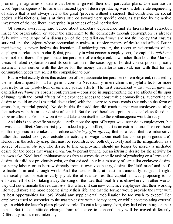promoting imaginaries of desire that better align with their own particular plans. One can use the word 'epithumogenesis' to name this second type of desire-producing work, a deliberate engineering of affects that is not always left to the great 'process without a subject' that constitutes the social body's self-affections, but is at times steered toward very specific ends, as testified by the active investment of the neoliberal enterprise in practices of co-linearisation.

Of course, everything said before about monetary dependence and its hierarchical refraction inside the organisation, or about the attachment to the commodity through consumption, is already fully within the scope of a discussion of the capitalist *epithumè*: are not the money that ensures survival and the objects whose accumulation makes us rejoice matters of desire and affect? But in manifesting as never before the intention of achieving zero  $\alpha$ , the recent transformations of the employment relation help clarify that, precisely in what concerns employment, the capitalist *epithumè* does not end there. The passionate temperament of employment, now richer than both the Marxian thesis of naked exploitation and its continuation in the sociology of Fordist consumption implicitly assumed, ends neither with the desire for the money that affords survival, nor with that for the consumption goods that solicit the compulsion to buy.

But in what exactly does this extension of the passionate temperament of employment, required by the neoliberal quest for full alignment, consist? Necessarily, in enrichment in joyful affects; or more precisely, in the production of *intrinsic* joyful affects. The first enrichment – that which gave the capitalist *epithumè* its Fordist configuration – consisted in supplementing the sad affects of the spur of hunger with the joyful affects of the expanded access to consumable commodities, augmenting the desire to avoid an evil (material destitution) with the desire to pursue goods (but only in the form of amassable, material goods). No doubt this first addition did much to motivate employees to align themselves with the master-desire of capital. But the neoliberal enterprise has nonetheless found this to be insufficient. From now on it would take upon itself to do the epithumogenic work directly.

And this is its specific strategic contribution: the spur of hunger was intrinsic to employment, but it was a sad affect. Consumerist joy is indeed a joyful affect, but it is an extrinsic one. The neoliberal epithumogenesis undertakes to produce *intrinsic joyful affects*, that is, affects that are intransitive rather than ceded to objects outside the activity of wage labour itself (as consumption goods are). Hence it is the activity *itself* that must be reconstructed, both objectively and in the imagination, as a source of *immediate* joy. The desire to find employment should no longer be merely a mediated desire for the goods that wages *circuitously* permit buying, but an intrinsic desire for the activity for its own sake. Neoliberal epithumogenesis thus assumes the specific task of producing on a large scale desires that did not previously exist, or that existed only in a minority of capitalist enclaves: desires for happy labour, or, to borrow directly from its own vocabulary, desires for 'fulfilment' and 'selfrealisation' in and through work. And the fact is that, at least instrumentally, it gets it right. Intrinsically sad or extrinsically joyful, the affects-desires that capitalism was proposing to its enlistees fell short of taking away the sting of the idea that 'real life is elsewhere'; in other words, they did not eliminate the residual  $\alpha$ -s. But what if it can now convince employees that their working life would more and more become simply their life, and that the former would provide the latter with its best opportunities for joy? Would any supplemental mobilisation be too much to expect? For employees used to surrender to the master-desire with a heavy heart, or while contemplating external joys in which the latter's plans played no role. To cut a long story short, they had other things on their minds. But if their attitude changes from reluctance to 'consent', they will be moved differently. Differently means more intensely.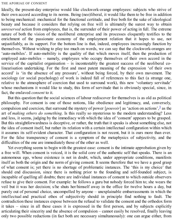#### THE APORIAE OF CONSENT

Ideally, the present-day enterprise would like clockwork-orange employees: subjects who strive of their own accord according to its norms. Being (neo)liberal, it would like them to be free in addition to being mechanical: mechanical for the functional certitude, and free both for the sake of ideological beauty and because it considers that relying on free will is ultimately the surest way to obtain *unreserved* action from employees, that is, the surrender of their power of acting in full. The extreme nature of both the vision of the neoliberal enterprise and its processes eloquently testifies to the enrichment of the passionate economy of the employment relation that it hopes to use, not unjustifiably, as its support. For the bottom line is that, indeed, employees increasingly function by themselves. Without wishing to play too much on words, we can say that the clockwork-oranges are 'auto-mobiles'. If auto-mobility is the quality of that which moves itself, then the production of employed auto-mobiles – namely, employees who occupy themselves of their own accord in the service of the capitalist organisation – is incontestably the greatest success of the neoliberal colinearisation undertaking. For the first and most patent meaning of the expression 'of their own accord' is 'in the absence of any pressure', without being forced, by their own movement. The sociology (or social psychology) of work is indeed full of references to this fact (a strange one, relative to the atmosphere of coercion that used to surround work), this new 'voluntary servitude' whose mechanisms it would like to study, this form of servitude that is obviously special, since, in fact, the enslaved *consent* to it.

But this question that the social sciences of labour rediscover for themselves is as old as political philosophy. For consent is one of those notions, like obedience and legitimacy, and, conversely, compulsion and coercion, that surround the mystery of power [*pouvoir*] as 'action on actions', [3](#page-58-2) as the art of *making others do something*. Is this really so mysterious to the modern understanding? Less and less, it seems, judging by the immediacy with which the idea of 'consent' appears to be grasped. But this straightforwardness is deceptive, or rather, the truth that it speaks is about something else, not the idea of consent itself, but rather its relation with a certain intellectual configuration within which it assumes its self-evident character. That configuration is not recent, but it is ours more than ever. For the false transparency of consent is a symptom of the metaphysics of subjectivity, and the difficulties of the one are immediately those of the other as well.

Yet everything seems to begin with the greatest ease: consent is the intimate approbation given by a free will. When consent is voiced, it is the solid core of the authentic self that speaks. There is an autonomous ego, whose existence is not in doubt, which, under appropriate conditions, manifests itself as both the origin and the norm of giving consent. It seems therefore that we have a good grasp of what consent is; yet there is no shortage of problematic instances. The 'this is my choice' that should end discussion, since there is nothing prior to the founding and self-founded subject, is incapable of quelling all doubts; there are individual instances of consent to which outside observers refuse to give their consent. For example: he follows a guru but nobody forced him to; she wears the veil but it was her decision; s/he shuts her/himself away in the office for twelve hours a day, but purely out of personal choice, uncompelled by anyone – unexplainable embarrassments in which the intellectual and practical ethos of subjectivity should in principle find nothing to fault. The contradiction these instances expose between the refusal to validate the consent and the orthodox form it takes – since in all these cases it is expressed in the first person, and by subjects explicitly articulating their sincerity and the absence of compulsion – cannot easily be resolved, finally leaving only two possible reductions (in fact both are necessary simultaneously): one can argue either, from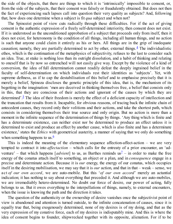the side of the objects, that there are things to which it is 'intrinsically' impossible to consent, or, from the side of the subjects, that their consent was falsely or fraudulently obtained. But does not then the fact of experiencing such lapses call into question their very quality as subjects? And, following that, how does one determine when a subject is fit *qua* subject and when not?

<span id="page-36-0"></span>The Spinozist point of view cuts radically through these difficulties. For if the act of giving consent is the authentic expression of a freely self-determined interiority, then consent does not exist. If it is understood as the unconditioned approbation of a subject that proceeds only from itself, then it does not exist, for heteronomy is the condition of all things, including all human things, and no action is such that anyone could claim it entirely as his or hers. All things are in the grip of inadequate causation; namely, they are partially determined to act by other, external things. $\frac{4}{3}$  $\frac{4}{3}$  $\frac{4}{3}$  The individualistic ethos, which is the continuation of the metaphysics of subjectivity, refuses to the last to consider such an idea. True, at stake is nothing less than its outright dissolution, and a habit of thinking and relating to oneself that is by now so entrenched will not easily give way. Except by the violence of a kind of conversion, the idea of full determination cannot readily defeat the deeply ingrained belief in the faculty of self-determination on which individuals rest their identities as 'subjects'. Yet, with supreme deftness, as if to cap the destabilisation of this belief and to emphasise precisely that it is merely a belief, Spinoza discloses the genetic principle of this idea, that is, the mechanism of its begetting in the imagination: 'men are deceived in thinking themselves free, a belief that consists only in this, that they are conscious of their actions and ignorant of the causes by which they are determined'.<sup>[5](#page-58-1)</sup> The idea of their freedom is merely the effect of a deficient capacity of intellection and the truncation that results from it. Incapable, for obvious reasons, of tracing back the infinite chain of antecedent causes, they record only their volitions and their actions, and take the shortest path, which consists in considering themselves their true source and only origin. But no action is more than a moment in the infinite sequence of the determination of things by things. 'Any thing which is finite and has a determinate existence, can neither exist nor be determined to produce an effect unless it is determined to exist and produce an effect by another cause, which is also finite and has a determinate existence,' states the *Ethics* with geometrical austerity, a manner of saying that we only do something when something happens to us. $\frac{6}{5}$  $\frac{6}{5}$  $\frac{6}{5}$ 

<span id="page-36-3"></span><span id="page-36-2"></span><span id="page-36-1"></span>This is indeed the meaning of the elementary sequence affection-affect-action – we are very tempted to contract it into *affectaction* – which calls for the entreaty of a prior encounter, an 'adventure' – that which happens [*advient*] to us, as Barthes reminds  $us^2$  – in order to make the free energy of the conatus attach itself to something, an object or a plan, and in *consequence* engage in a precise and determinate action. Because it is *our* energy, the energy of our conatus, which occupies itself in the desiring mobilisation, we may say that it is *our* action, and that in that – weak – sense, we act *of our own accord*, we are auto-mobile. But this '*of our own accord*' merely an actantial indication; it has nothing to say about everything that preceded it. And although we are auto-mobiles, we are irremediably hetero-determined. No doubt our force of desire, our power of acting, fully belongs to us. But it owes everything to the interpellations of things, namely, to external encounters, when the issue is knowing the path and the direction it takes.

The question of the authenticity or the ownership of desire vanishes once the subjectivist point of view is abandoned and attention is turned outside, to the infinite concatenation of causes, since it is equally true that, being exogenously determined, none of my desires is of my doing, and that as the very expression of my conative force, each of my desires is indisputably mine. And this is where the idea of consent begins to founder, shipwrecked together with its opposite, alienation. For if to be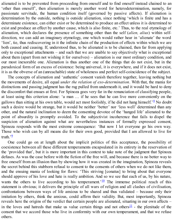alienated is to be prevented from proceeding from oneself and to find oneself instead chained to an 'other than oneself', then alienation is merely another word for heterodetermination, namely, for passionate servitude, the human condition itself (governed by passive affects). If alienation is determination by the outside, nothing is outside alienation, since nothing 'which is finite and has a determinate existence, can either exist or be determined to produce an effect unless it is determined to exist and produce an effect by another cause, which is also finite, etc.' Thus, to the real etymology of alienation, which declares the presence of something other than the self (*alien, alius*) within selfdirection, we can add an imaginary etymology, one which would rather hear in 'alienate' the word 'lien', tie, thus rediscovering in it the infinite chain of the production of effects within which we are both caused and causing. If, understood thus, to be alienated is to be chained, then far from applying only to exceptional attachments – and such that we are unable to say objectively what is exceptional about them (apart from not wishing it for ourselves) – alienation is our most ordinary condition, and our most inexorable one. Alienation is thus another one of the things that do not exist, but in the paradoxical form of an excess of existence: being universal, it is everywhere, and if it does not exist, it is as the obverse of an (unreachable) state of wholeness and perfect self-coincidence of the subject.

<span id="page-37-0"></span>The concepts of alienation and 'authentic' consent vanish therefore together, leaving nothing but the movements of desire, all equal *under the relation of exo-determination*. With that, the mania for distinctions and passing judgment has the rug pulled from underneath it, and it would be hard to deny the discomfort that ensues at first. For Spinoza goes very far in the renunciation of classifying people, at least using this criterion alone: 'a man … if he sees that he can live more conveniently on the gallows than sitting at his own table, would act most foolishly, if he did not hang himself.<sup>'[8](#page-58-4)</sup> No doubt such a desire would be strange, but it would be neither 'better' nor 'less well' determined than any other, and the natural inclination to deem the consenting devotee of the 'hanged life' alienated to the point of absurdity is promptly avoided. To the subjectivist incoherence that fails to dispel the suspicion of alienation against what are nevertheless instances of formally expressed consent, Spinoza responds with the most extreme consequence: 'But now I let everyone go his own way. Those who wish can by all means die for their own good, provided that I am allowed to live for truth.'<sup>[9](#page-58-5)</sup>

<span id="page-37-3"></span><span id="page-37-2"></span><span id="page-37-1"></span>One could go on at length about the implicit politics of this acceptance, the possibility of coexistence between all these different temperaments encapsulated in its entirety in the reservation of the 'provided that', but it is more important in this context to take note of the judgment that Spinoza defuses. As was the case before with the fiction of the free will, and because there is no better way to free oneself from an illusion than by showing how it was created in the imagination, Spinoza reveals the secret behind this stubborn refusal to consent to the consents of others when we do not like them, and the ensuing mania of looking for flaws: 'This striving [conatus] to bring about that everyone should approve of his love and hate is really ambition. And so we see that each of us, by his nature, wants the others to live according to his temperament.<sup> $10$ </sup> The immense political reach of this statement is obvious; it delivers the principle of all wars of religion and all clashes of civilisation, confrontations between ways of life anxious to be shared and thus validated – because only their imitation by others, think the anxious, could affirm their validity. But, most importantly, Spinoza reveals here the origins of the verdict that certain people are alienated, situating in our own affects – in the loves and hatreds that make us value certain things and not others $\frac{11}{1}$  $\frac{11}{1}$  $\frac{11}{1}$  - the plenitude of the consent that we accord those who live in conformity with our own temperament, and that we refuse others.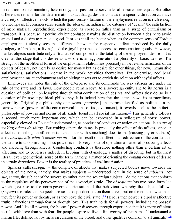#### JOYFUL OBEDIENCE

In relation to determination, heteronomy, and passionate servitude, all desires are equal. But other differences remain, for the determination to act that guides the conatus in a specific direction can have a variety of affective moods, which the passionate situation of the employment relation is rich enough to encompass. If common sense resists the idea of including in the category of 'desire' the satisfaction of mere material reproduction, experienced as coercion rather than as a surge of enthusiasm or transport, it is because it pertinently but confusedly makes the distinction between a desire to avoid an evil and a desire to pursue a good. It makes it all the better when, as the common sense of Fordist employment, it clearly sees the difference between the respective affects produced by the daily drudgery of 'making a living' and the joyful prospect of access to consumption goods. However, market objects contribute only a 'transitive' component to the totality of the employees' desire – it is clear at this stage that this desire as a whole is an agglomerate of a plurality of basic desires. The strength of the neoliberal form of the employment relation lies precisely in the re-internalisation of the objects of desire, not merely as desire for money but as desire for other things, for new, intransitive satisfactions, satisfactions inherent in the work activities themselves. Put otherwise, neoliberal employment aims at enchantment and rejoicing: it sets out to enrich the relation with joyful affects.

<span id="page-38-0"></span>Employees are under the rule of the enterprise and its commands the way citizens are under the rule of the state and its laws. How people remain loyal to a sovereign entity and to its norms is a question of political philosophy; through what combination of desires and affects they do so is a question of Spinozist political philosophy. It is indeed here that the latter shows its extraordinary generality. Originally a philosophy of powers [*pouvoirs*] and norms identified as political in the narrow sense (powers of the commonwealth and of its government), it reveals itself to be in fact a philosophy of powers and norms of all kinds, found in all social institution.<sup>[12](#page-58-8)</sup> This generality follows a second, much more important one, which can be expressed in a syllogism of sorts: power, especially viewed as Foucault understood it, as conduct of conducts or action on actions, is an *art of making others do things*. But making others do things is precisely the effect of the affects, since an affect is something an affection (an encounter with something) does to me (causing joy or sadness), and *consequently what it makes me do* – for the result of an affect is a redirection of the conatus and the desire to do something. Thus power is in its very mode of operation a matter of producing affects and inducing through affects. Conducting conducts is therefore nothing other than a certain art of affecting, and to govern is indeed, in keeping with etymology, a matter of directing, but in the most literal, even geometrical, sense of the term, namely, a matter of orienting the conatus-vectors of desire in certain directions. Power is the totality of practices of co-linearisation.

<span id="page-38-2"></span><span id="page-38-1"></span>Spinoza calls *obsequium* the complex of affects that makes subjected bodies move towards the objects of the norm, namely, that makes subjects – understood here in the sense of *subditus*, not *subjectum*, the subject *of* the sovereign rather than the sovereign subject – do the actions that conform to the requisites of the perseverance of the sovereign's rule. The *obsequium* has two pure formulae which give rise to the norm-governed orientation of the behaviour whereby the subject follows (*sequor*) the rule: the 'subjects are so far dependent not on themselves, but on the commonwealth, as they fear its power or threats, or as they love the civil state'.<sup>[13](#page-58-9)</sup> Here is then power's bipolar affective truth: it functions through fear or through love. This truth holds for all powers, including the bosses' power. And like all powers, the bosses' power discovers through experience that it is more efficient to rule with love than with fear, for people aspire to live a life worthy of that name: 'I understand a human life, defined not by mere circulation of the blood, and other qualities common to all animals'. <sup>[14](#page-58-10)</sup>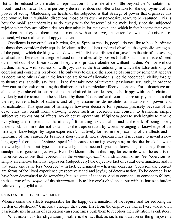But a life reduced to the material reproduction of bare life offers little beyond the 'circulation of blood', and no matter how imperiously desirable, does not offer a horizon for the deployment of the power of acting. Gladdening the hearts of the subjected is that strategy of power that organises this deployment, but in 'suitable' directions, those of its own master-desire, ready to be captured. This is how the mobiliser undertakes to do away with the 'reserve' of the mobilised, since the subjected rejoice when they are offered desires they mistake for their own, and which in fact become their own. It is then that they set themselves in motion without reserve, and enter the sweetened universe of consent, whose real name is happy obedience.

Obedience is nevertheless a burden, for, as Spinoza recalls, people do not like to be subordinate to those they consider their equals. Modern individualism rendered obsolete the symbolic strategies of the past, in which the king was endowed with divine attributes that gave him the air of possessing an absolute difference. In a regime based on formal equality, bosses (of all kinds – the enlisters) need other methods of co-linearisation if they are to produce obedience without burden. With or without burden, namely, with sadness or with joy: this is the true antinomy in which the false antinomy of coercion and consent is resolved. The only way to escape the aporiae of consent by some that appears as coercion to others (but in the intermediate form of alienation, since the 'coerced', visibly foreign to themselves, stupidly say 'yes'), is to first take note of universal passionate servitude, in order to *then* entrust the task of making the distinction to its particular affective contents. For although we are all equally enslaved to our passions and chained to our desires, to be happy with one's chains is evidently not the same as to be saddened by them. 'Coercion' and 'consent' are simply the names that the respective affects of sadness and of joy assume inside institutional situations of power and normalisation. This question of naming is however decisive for Spinoza, precisely because of the dead ends that result from allowing words such as coercion and consent to transform simple subjective expressions of affects into objective operations. If Spinoza goes to such lengths to rename everything, and in particular the affects,  $\frac{15}{10}$  $\frac{15}{10}$  $\frac{15}{10}$  frustrating lexical habits and at the risk of being poorly understood, it is in order not to fall into the traps created by words belonging to knowledge of the first type, knowledge 'by vague experience', intuitively formed in the proximity of the affects and in ignorance of true causes. As François Zourabichvili notes, Spinoza finds it necessary to invent a new language; <sup>[16](#page-58-12)</sup> there is a 'Spinoza-speak'<sup>[17](#page-58-13)</sup> because renaming everything marks the break between knowledge of the first type and knowledge of the second type, the knowledge of things from the standpoint of genetic objectivity. Even Durkheim falls in this trap, for example when he asserts on numerous occasions that 'coercion' is the *modus operandi* of institutional norms. Yet 'coercion' is simply an emotive term that expresses (subjectively) the objective fact of causal determination, and in that sense one is no less 'coerced' – in fact, determined – when one consents. Coercion and consent are forms of the lived experience (respectively sad and joyful) of determination. To be coerced is to have been determined to do something but in a state of sadness. And to consent – to consent to follow, in the sense of the *sequor* of the *obsequium* – is to live one's obedience, but with its intrinsic burden relieved by a joyful affect.

## <span id="page-39-2"></span><span id="page-39-1"></span><span id="page-39-0"></span>SPONTANEOUS RE-ENCHANTMENT

Whence come the affects responsible for the happy determination of the *sequor* and for reducing the burden of obedience? Curiously enough, they come first from the employees themselves, whose own passionate mechanisms of adaptation can sometimes push them to recolour their situation as enlistees.

What makes this transfiguration possible is the fact that, as such, no situation or thing imposes a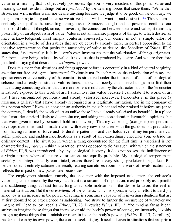<span id="page-40-0"></span>value or a meaning that it objectively possesses. Spinoza is very insistent on this point. Value and meaning do not reside in things but are *produced* by the desiring forces that seize them: 'We neither strive, nor will, neither want, nor desire anything because we judge it to be good; on the contrary, we judge something to be good because we strive for it, will it, want it, and desire it.<sup>'[18](#page-58-14)</sup> This statement certainly exemplifies the unsettling strangeness of Spinozist thought and its power to confound our most solid habits of thought, since, in inverting the connection between desire and value, it ruins any possibility of an objectivism of value. Value is not an intrinsic property of things, to which desire, as mere acknowledgment, must simply conform; conversely, our desire is not a simple effort of orientation in a world of desirables that are objectively already there. In perfect opposition to the intuitive representation that posits the anteriority of value to desire, the Scholium of *Ethics*, III, 9 states that, fundamentally, it is in desire's own investments that the valorisation of things originates. Far from desire being induced by value, it is value that is produced by desire. And we are therefore justified in saying that desire is an *axiogenic* power.

Does this mean that situations and things appear before us concretely in a kind of neutral virginity, awaiting our free, axiogenic investment? Obviously not. In each person, the valorisation of things, the spontaneous creative activity of the conatus, is structured under the influence of a set of axiological schemes and already constituted valorisations, into which newly encountered things must find their place along connecting chains that are more or less modulated by the characteristics of the 'encounter situation': exposed to this work of art, I attach to it this value because I can relate it to works of art that I have encountered previously and already valorised; moreover, I encounter it in this place (a museum, a gallery) that I have already recognised as a legitimate institution, and in the company of this person whom I likewise consider an authority in the subject and who praised it before me (or to the contrary, I identify the work of art as unlike those I have already valorised as beautiful, in a place that I consider a priori likely to disappoint me, and taking into consideration favourable opinions, but that were given to me by persons I hold in disfavour). That my valorising (axiogenic) temperament develops over time, and is made richer with every new encounter with things, does not preclude it from having its lines of force and its durable patterns – and this holds even if my temperament can suffer profound and sudden modifications as a result of an extraordinary encounter (one outside my ordinary context). The situation in which a thing encountered for the first time is valorised is not characterised *in practice* – this 'in practice' stands opposed to the 'as such' with which the statement of *Ethics*, III, 9, was introduced – by any axiological isotropy: it does not possess the indifference of a virgin terrain, where all future valorisations are equally probable. My axiological temperament, socially and biographically constituted, exerts therefore a very strong predetermining effect. But neither does it entirely saturate the result, leaving sometimes room for a work of revalorisation that reflects the impact of new passionate necessities.

The employment situation, namely, the encounter with the imposed task, enters the enlistee's valorising temperament, by the very fact that it is a situation of imposition, most probably as a painful and saddening thing, at least for as long as its sole motivation is the desire to avoid the evil of material destitution. But the *vis existendi* of the conatus, which is spontaneously an effort toward joy since joy is an increase in the power of acting, is sometimes capable of reinvesting situations that are at first doomed to be experienced as saddening. 'We strive to further the occurrence of whatever we imagine will lead to joy,' recalls *Ethics*, III, 28. Likewise *Ethics*, III, 12: 'the mind as far as it can, strives to imagine those things that increase or aid the body's power of acting', or, inversely, 'avoids imagining those things that diminish or restrain its or the body's power' (*Ethics*, III, 13, Corollary). As far as it can by its own power, the conatus seeks its joy. It seeks it even in situations that are prima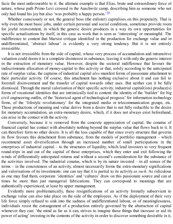facie the most unfavourable to it: the ultimate example is that Elias, brute and extraordinary force of nature, whose path Primo Levi crossed in the Auschwitz camp, describing him as someone who not only had found his joy but also 'was probably a happy person.<sup>'[19](#page-58-15)</sup>

<span id="page-41-0"></span>Whether consciously or not, the general boss (the enlister) capitalises on this propensity. That is why even the most basic jobs, under certain personal and social conditions, sometimes provide room for joyful reinvestment, in which the generic desire produces in a way its own opportunities for specific actualisations by itself, in this case as work that is seen as 'interesting' or meaningful. The indifference to content that Marxist critique identified in the production for exchange value and in undifferentiated, 'abstract labour' is evidently a very strong tendency. But it is not entirely irresistible.

It is not irresistible from the side of capital, whose very process of accumulation and intransitive valuation could doom it to a complete disinterest in substance, leaving it with only the generic interest in the extraction of monetary value. However, despite the sectoral indifference that favours the indiscriminate allocation of money-capital to this activity or that, solely according to the anticipated rate of surplus value, the captains of industrial capital *also* manifest forms of passionate attachment to their particular activity. Of course, this attachment has nothing exclusive about it and can fail to forestall disinvestment and the transfer of capital towards other uses. But neither can it be fully dismissed. Through the moral valorisation of their specific activity, industrial capital(ists) produce(s) forms of vocational identities that are intrinsically tied to content: the identity of the 'builder' for big civil engineering outfits, of the 'historical agent of technological progress' for information technology firms, of the 'lifestyle revolutionary' for the integrated media or telecommunication groups, etc. These productions of meaning and value derive from a desire that is not fully reducible to the desire for monetary accumulation, an extra-monetary desire, which, if it does not always exist beforehand, can arise in the contact with the activity.

Conversely, because it is removed from the concrete appreciation of capital, the conatus of financial capital has contact with absolutely nothing beyond the surplus value that flows back to it. It can therefore form no other desire. It is all the less capable of that since every structure that governs its flow favours this detachment from substance, from the models of portfolio management – which recommend asset diversification through an increased number of small participations in the enterprises of industrial capital – to the structures of liquidity, which lead investors to very frequent round-trips in and out of the capital of those enterprises, which they enter and exit following the winds of differentially anticipated returns and without a second's consideration for the substance of the activities involved. The industrial conatus, which is by its nature invested – in all senses of the terms – in the concreteness of an activity, almost necessarily forms the extra-monetary significations and valorisations of its investments: one can say that it is partial to its activity *as such*. As ridiculous as one may find them, corporate 'identities' and 'cultures' draw on this passionate source and can at times be more than just managerial fabrications. They can correspond to meanings that are authentically experienced, at least by upper management.

Evidently more problematically, these resignifications of an activity formally subservient to exchange value can also take place on the side of the employees. As if the deployment of their very life force simply refused to sink into the sadness of undifferentiated labour, or of meaninglessness, individuals resist the estrangement of a production entirely governed by the abstraction of capital whenever they can: 'the mind as far as it can, strives to imagine those things that increase or aid its power of acting' investing in the contents of the activity in order to discover something desirable in it,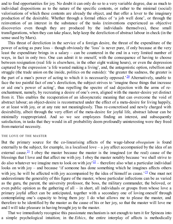and to find opportunities for joy. No doubt it can only do so to a very variable degree, due as much to individual dispositions as to the nature of the specific contents, or rather to the minimal (social) valorisations of which these contents are already the object, and that offer a lever to the imaginary production of the desirable. Whether through a formal ethics of 'a job well done', or through the reinvention of an interest in the substance of the tasks (reinventions experienced as objective discoveries even though they are produced by the individuals themselves), these small transfigurations, when they can take place, help keep the dereliction of abstract labour in check (in the sense used by Marx).

<span id="page-42-0"></span>This threat of dereliction in the service of a foreign desire, the threat of the expenditure of the power of acting as pure loss – though obviously the 'loss' is never pure, if only because at the very least the expenditure brings in a salary – can be countered in the end in a very limited number of ways, in fact in only two. One can admit it to oneself, with the consequence of having to choose between resignation (real life is elsewhere, in the other eight waking hours), or even the depression captured by the expression 'a life wasted making a living', and, the antagonistic option, rebellion and struggle (the trade union on the inside, politics on the outside): 'the greater the sadness, the greater is the part of a man's power of acting to which it is necessarily opposed.<sup>'[20](#page-58-16)</sup> Alternatively, unable to face the too painful fact of one's dereliction, the subject strives to 'imagine those things that increase or aid one's power of acting', thus repelling the spectre of sad dejection with the arms of reenchantment, namely, by recreating a desire of one's own, aligned with the master-desire yet distinct from it. This enables the recuperation of an idiosyncratic meaning that can overcome the void of abstract labour; an object-desire is reconstructed under the effect of a meta-desire for living happily, or at least with joy, or at any rate not meaninglessly. Thus re-concretised and newly charged with desirability, albeit through the very effort of the meta-desire for joyful life, abstract labour can be minimally reappropriated. And so we see employees finding an interest, and subsequently satisfaction, in tasks that they would in all probability deem profoundly uninteresting were they freed from material necessity.

## THE LOVE OF THE MASTER

<span id="page-42-3"></span><span id="page-42-2"></span><span id="page-42-1"></span>But the primary source for the co-linearising affects of the wage-labour *obsequium* is found externally to the subject, for example, in a localised love – a joy affect accompanied by the idea of an external cause.<sup>[21](#page-58-17)</sup> I obey the master because the master is the imagined (or the real) cause of the blessings that I love and that affect me with joy. I obey the master notably because 'we shall strive to do also whatever we imagine men to look on with joy<sup>[22](#page-58-18)</sup> – therefore also what a particular individual looks on with joy – and because 'if someone has done something which he imagines affects others with joy, he will be affected with joy accompanied by the idea of himself as cause.<sup>2[23](#page-58-19)</sup> One must not underestimate the generality of this figure of the master, whose particular inflections can be as varied as the guru, the parent, the university professor, the boss, the military commander, the beloved, or even public opinion as the gathering of all – in short, all individuals or groups from whose love a primary joyful affect can be anticipated, together with a secondary one of loving oneself through contemplating one's capacity to bring them joy: I do what allows me to please the master, and therefore to be identified by the master as the cause of his or her joy, so that the master will love me and I will take pleasure in having brought joy to the master.

That we immediately recognise this passionate mechanism is not enough to turn it for Spinoza into a simple psychological intuition; in the *Ethics*, the entire interplay of affects is methodically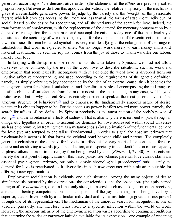generated according to 'the demonstrative order' (the statements of the *Ethics* are precisely called propositions). But even aside from this apodictic derivation, the relative simplicity of the mechanism gives it a remarkable generative power, to judge by the variety and the 'weight' of the passionate facts to which it provides access: neither more nor less than all the forms of attachment, individual or social, based on the desire for recognition, and all the variants of the search for love. Indeed, the transformation of employment, with the replacement of the demand for monetary compensation by a demand of recognition for commitment and accomplishments, is today one of the most hackneyed questions of the sociology of work. And rightly so, for the displacement of the sentiment of injustice towards issues that can be called symbolic is very real, testifying to the enlargement of the range of satisfactions that work is expected to offer. We no longer work merely to earn money and avoid material destitution; we seek the joy that comes from the joy of those to whom we offer our labour, namely their love.

<span id="page-43-1"></span><span id="page-43-0"></span>In keeping with the spirit of the reform of words undertaken by Spinoza, we must not allow ourselves to be confused by the use of the word love to describe situations, such as work and employment, that seem lexically incongruous with it. For once the word love is divorced from our intuitive affective understanding and used according to the requirements of the genetic definition, namely, as simply referring to joy accompanied by the idea of an external cause, then it becomes the most general term for objectal satisfaction, and therefore capable of encompassing the full range of possible objects of satisfaction, from the most modest to the most social, in any case, well beyond erotic love. That is why Laurent Bove is entirely correct to speak at the most general level of 'the amorous structure of behaviour',  $\frac{24}{3}$  $\frac{24}{3}$  $\frac{24}{3}$  and to emphasise the fundamentally amorous nature of desire, whatever its objects happen to be. For the conatus as power is effort toward more power, namely, the search for affects of joy, defined by Spinoza precisely as the augmentation of the body's power of acting,  $\frac{25}{3}$  $\frac{25}{3}$  $\frac{25}{3}$  and the avoidance of affects of sadness. That is also why there is no need to pass through an ontogenetic hypothesis in order to account for demands for love addressed within social universes such as employment, by treating them as a metamorphosis (by sublimation) of the fundamental demand for love (we are tempted to capitalise 'Fundamental', in order to signal the absolute primacy that psychoanalysis accords it) that forms the original bond between child and parents. The completely general mechanism of the demand for love is inscribed at the very heart of the conatus as force of desire and as striving towards joyful satisfaction, and especially in the identification of our capacity to please others in order to derive joy from being loved by them (*Ethics*, III, 29, 30). As parents are merely the first point of application of this basic passionate scheme, parental love cannot claim any essential psychogenetic primacy, but only a simple chronological precedence; $\frac{26}{7}$  $\frac{26}{7}$  $\frac{26}{7}$  subsequently the demand for love is reactivated as it diversifies in each new encounter with a situation suitable for offering it new opportunities.

<span id="page-43-2"></span>Employment socialisation is evidently one such situation. Among the many objects of desire simultaneously pursued by the overzealous, the conscientious, and the obsequious (the aptly named paragon of the *obsequium*), one finds not only strategic interests such as seeking promotion, receiving a raise, or beating competitors, but also the pursuit of the joy stemming from being loved by a superior, that is, loved both by a particular individual and by the institution (a great amorous power) through one of its representatives. The mechanism of the amorous search for recognition is one of absolute generality, and therefore lends itself to a specific inflection within the world of work. However, the amorous intensity of the employment relation varies according to contingent conditions that determine the wider or narrower latitude available for its expression – one example of widening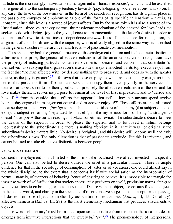latitude is the increasingly individualised management of 'human resources', which could be ascribed more generally to the contemporary tendency towards 'psychologising' social relations, and so on. In any case, the love of the boss-master, in the form of the search for recognition, has its rightful place in the passionate complex of employment as one of the forms of its specific 'alienation' – that is, as 'consent', since this love is a source of joyous affects. But by the same token it is also a source of colinearisation, since, *by its very nature*, the passionate mechanism of the demand for love leads the seeker to do what brings joy to the giver, hence to embrace/anticipate the latter's desire in order to conform one's own to it. As lines of dependence are *also* lines of dependence for recognition, the alignment of the subordinate with the superior, who is already aligned in the same way, is inscribed in the general structure – hierarchical and fractal – of passionate co-linearization.

<span id="page-44-1"></span><span id="page-44-0"></span>Thus shaped by both the general structure of the employment relation and its local actualisation in a business enterprise, the general affective mechanisms of the amorous search for recognition have the property of inducing particular conative movements – desires and actions – that contribute 'of themselves' to satisfying the organisation's master-desire (as embodied by its top executives). From the fact that 'the man affected with joy desires nothing but to preserve it, and does so with the greater desire, as the joy is greater',  $\frac{27}{2}$  $\frac{27}{2}$  $\frac{27}{2}$  it follows that those employees who are most deeply caught up in the net of this particular form of passionate servitude occupy themselves joyfully in the service of a desire that appears not to be theirs, but which precisely the affective mechanism of the demand for love makes theirs. It serves no purpose to remain at the level of first impressions and to 'deride and bewail',  $\frac{28}{3}$  $\frac{28}{3}$  $\frac{28}{3}$  from the outside, these efforts that appear 'alienated' – 'how can anyone spend twelve hours a day engaged in management control and moreover enjoy it!?' These efforts are not alienated because they are, as it were, *foreign* to the subject as a solid core of autonomy (that subject does not exist), a subject remaining 'separated from itself', in the mysterious form of being 'a stranger to oneself' that pre-Althusserian readings of Marx sometimes revisit. The subordinate's desire to meet the desire of the superior in order to please the superior and to be loved in return belongs incontestably to the subordinate and there is nothing 'foreign' in it. That it was not originally the subordinate's desire matters little. No desire is 'original', and this desire will become well and truly the subordinate's own. The only alienation is that of passionate servitude. But this is universal, and cannot be used to make objective distinctions between people.

#### VOCATIONAL IMAGES

Consent in employment is not limited to the form of the localised love affect, invested in a specific person. One can also be led to desire outside the orbit of a particular inducer. There is ample evidence for that in the sociology of consumption, of tastes or of vocations, one could almost say in the whole discipline, to the extent that it concerns itself with socialisation as the incorporation of norms – namely, of manners of behaving, hence of desiring to behave. It is impossible to untangle the immense work of self-affection that society incessantly performs on itself, producing norms, things to want, vocations to embrace, glories to pursue, etc. Desire without object, the conatus finds its objects in the social world, and chiefly in the spectacle of other conative surges, since, except for the passage of desire from one object to another by association or relatedness (*Ethics*, III, 15, Corollary), affective mimetism (*Ethics*, III, 27) is the most elementary mechanism that produces attachments to objects.

<span id="page-44-2"></span>The word 'elementary' must be insisted upon so as to refute from the outset the idea that desire emerges from imitative interactions that are purely *bilateral*. [29](#page-58-25) The phenomenology of interpersonal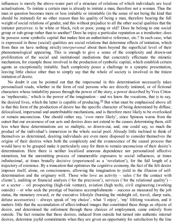influences is merely the above-water part of a structure of relations of which individuals are local actualisations. To imitate a certain man is already to imitate a man, therefore not a woman. Thus the man in question becomes more or less imitable or inimitable (in the sense of not being the kind that should be imitated) for no other reason than his quality of being a man, therefore bearing the full weight of social relations of gender, and this without prejudice to all the other social qualities that the imitator perceives: is he white or black, rich or poor, young or old? Does he belong to one social group or sub-group rather than to another? Does he enjoy a particular reputation as a trendsetter; does he possess some symbolic capital that makes him an authoritative reference, etc.? In each case, what is expressed in those (social) qualities are social relations that determine effects of imitation, which from then on have nothing strictly *interpersonal* about them beyond the superficial level of their phenomenological appearing. This is enough to give a sense of the complexity and drawn-out proliferation of the social and institutional mediations that concretely effectuate the mimetic mechanism, for example those involved in the production of symbolic capital, which establish certain agents as exceptionally imitable. Such complexity poses a challenge to a synoptic presentation, leaving little choice other than to simply say that the whole of society is involved in the tiniest imitation of desire.

<span id="page-45-0"></span>No doubt it can be pointed out that the impersonal in this determination necessarily takes personalised roads, whether in the form of real persons who are directly imitated, or of fictional characters whose imitability passes through the power of the story, a power described by Yves Citton as 'mythocratic,' which is the power of the imagination – and we know the vocations, that is to say, the desired lives, which the latter is capable of producing.<sup>[30](#page-58-26)</sup> But what must be emphasised above all is that this form of the production of desire has the specific character of being determined by diffuse, delocalised, impersonal and unattributable mechanisms, and is therefore more likely to be overlooked or remain unconscious. One should rather say, '*even* more likely', since Spinoza warns from the outset that our awareness of our acts and desires does not extend to the causes determining them, still less when these determinations are so multiple, so drawn-out, and, one could say, so much the product of the individual's immersion in the whole social pool. Already little inclined to think of themselves as determined, desiring individuals are even more disposed to consider themselves the origins of their desires when both the complexity and the evanescence of the causal process that would have to be grasped make it particularly easy for them to remain unconscious of their desire's determination. Here there is neither localised amorous dependence nor personalised affective mimetism, but the unremitting process of innumerable exposures to social influences, at times infinitesimal, at times brutally decisive (experienced as a 'revelation'), for the full length of a trajectory of existence. By a truncation that optimises the cognitive economy, the fact of the felt desire imposes itself, alone, on consciousness, allowing the imagination to yield to the illusion of selfdetermination and the originary will. Those who love an activity – sales ('for the contact with clients'), auditing or financial analysis ('for the precision'), services ('for the relational quality') – or a sector – oil prospecting (high-risk venture), aviation (high tech), civil engineering (working outside) – or who seek the prestige of business accomplishments – success as measured by the job status, the monetary reward, or the executive lifestyle (burning the midnight oil, travel, sharp suits, deluxe accessories) – always speak of 'my choice', what 'I enjoy', 'my' lifelong vocation, and it matters little that the accumulation of affect-imbued images that constituted these things as objects of desire, and determined the enlistment through these choices of employment, came entirely from outside. The fact remains that these desires, induced from outside but turned into authentic internal desires, determine joyful commitments when they are given an opportunity for satisfaction by the line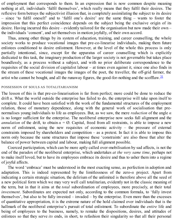of employment that corresponds to them. In an expression that is now common despite meaning nothing at all, individuals 'fulfil themselves', which really means that they fulfil their desires. The reflexive form betrays the subjectivist illusion that, in completely assimilating the subject to its desire – since 'to fulfil oneself' and to 'fulfil one's desire' are the same thing – wants to foster the impression that this perfect coincidence depends on the subject being the exclusive origin of its desire. Having incurred this desire – evidently tailored for the organisation but now made their own – the individuals 'consent', and set themselves in motion joyfully, of their own accord.

Thus, among other things by its system of education, training, and career counselling, the whole society works to produce vocational images that pre-co-linearise individuals, making them future enlistees conditioned to desire enlistment. However, at the level of the whole this process is only partially intentional, since, except for the apparatus of career counselling which is explicitly dedicated to this task, the imaginary production of the larger society is not governable but takes place boundlessly, as a process without a subject, and with no prior deliberate correspondence to the requisites of the social division of capitalist labour – at times even against it, since one also finds in the stream of these vocational images the images of the poet, the traveller, the off-grid farmer, the artist who cannot be bought, and all the runaway figures, the good-for-nothing and the scofflaw.<sup>[31](#page-58-27)</sup>

## <span id="page-46-0"></span>POSSESSION OF SOULS AS TOTALITARIANISM

The lesson of this is that pre-co-linearisation is far from perfect; more could be done to reduce the drift *α*. What the world outside the enterprise has failed to do, the enterprise will take upon itself to complete. It could have been satisfied with the work of the fundamental structures of the employment relation, those of monetary dependence, along with the general work of socialisation that prenormalises young individuals to life as employees. But, as we saw, the mere *reduction* of the angle *α* is no longer sufficient for the enterprise. The neoliberal enterprise now seeks full alignment and the *annulation* of the drift, to obtain  $\alpha = \emptyset$ . Capital, freed from all restraints, is able to impose a new norm of enlistment, using the new requisites of economic activity – the pressure of external constraints imposed by shareholders and competition – as a pretext. In fact it is able to impose this norm only because the same structures that impose these 'constraints' are also those that alter the balance of power between capital and labour, making full alignment possible.

Coerced participation, which can be more aptly called over-mobilisation by sad affects, is not the end of the paradox of the neoliberal enterprise, which undertakes *at the very same time*, perhaps not to make itself loved, but to have its employees embrace its desire and thus to usher them into a regime of joyful affects.

The word 'embrace' must be understood in the most exacting sense, as perfection in adoption and adaptation. This is indeed represented by the limitlessness of the zero-*α* project. Apart from indicating a certain strategic situation, the delirium of the unlimited is therefore above all the seed of a new political form which we may very well call totalitarian, evidently not in the classic meaning of the term, but in that it aims at the *total* subordination of employees, more precisely, at their total *investment*. Subordinates are expected not only, according to the common formula, to 'fully invest themselves', but also to be fully invested – invaded – by the enterprise. Even more than the excesses of quantitative appropriation, it is the extreme nature of the hold claimed over individuals that is the hallmark of the neoliberal enterprise's pursuit of total enlistment. To subordinate the *entire* life and being of employees to the business, namely, to remake the dispositions, desires, and attitudes of enlistees so that they serve *its* ends, in short, to refashion their singularity so that all their personal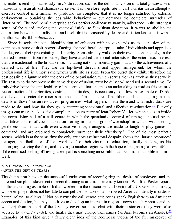inclinations tend 'spontaneously' in *its* direction, such is the delirious vision of a total *possession* of individuals, in an almost shamanistic sense. It is therefore legitimate to call totalitarian an attempt to exercise control in a manner so profound, so complete, that it is no longer satisfied by external enslavement – obtaining the desirable behaviour – but demands the complete surrender of 'interiority'. The neoliberal enterprise seeks perfect co-linearity, namely, adherence in the strongest sense of the word, making the vector *d* 'stick' to *D* without deviation. It wants to abolish the distinction between the individual and itself that is measured by desire and its tendencies – it wants, in other words, full *coincidence*.

Since it seeks the total identification of enlistees with its own ends as the condition of the complete capture of their power of acting, the neoliberal enterprise 'takes' individuals and appraises the degree of their pre-existing co-linearity. Some already walk on their own, spontaneously, in the desired direction; from the outset, they have attached their vital interests to the enterprise, interests that are existential in the broad sense, including not only monetary gain but also the achievement of a desired way of life. They are the top-level directors and upper management, for whom the professional life is almost synonymous with life as such. From the outset they exhibit therefore the best possible alignment with the ends of the organisation, which serves them as much as they serve it. The rest, who do not present the same degree of union, must be duly co-linearised a second time. To truly drive home the applicability of the term totalitarianism to an undertaking as mad as this tailored reconstruction of interiorities, desires, and attitudes, it is necessary to follow the example of Dardot and Laval and enter the inner sanctum of the 'manufacture of neoliberal subjects', going into the details of those 'human resources' programmes, what happens inside them and what individuals are made to do, and how far they go in attempting behavioural and affective re-education.<sup>[32](#page-58-28)</sup> But only images can truly shock us, for example the documentary of Jean-Robert Viallet, which takes us inside the normalising hell of a call centre in which the quantitative control of timing is joined by the qualitative control of vocal intonations, or again inside a group 'workshop' in which, with seeming gentleness but in fact with even worse violence, managers are made to laugh or play games on command, and are enjoined to completely surrender their affectivity. $\frac{33}{2}$  $\frac{33}{2}$  $\frac{33}{2}$  One of the most pathetic scenes, which is at the same time the only antidote against total despair, shows the 'human resources' manager, the facilitator of the 'workshop' of behavioural re-education, finally packing up his belongings, leaving the firm, and moving to another region with the hope of beginning 'a new life', as if the confused feeling of having taken part is something unbearable had become unbearable to him as well.

#### <span id="page-47-1"></span><span id="page-47-0"></span>*THE GIRLFRIEND EXPERIENCE* (AFTER THE GIFT OF TEARS)

<span id="page-47-3"></span><span id="page-47-2"></span>The distinction between the successful endeavour of reconfiguring the desire of employees and the pure and simple enslavement of reconditioning is at times extremely tenuous. Winifred Poster reports on the astounding example of Indian workers in the outsourced call centre of a US service company, whose employer does not hesitate to compel them to take on a borrowed American identity in order to better 'relate' to clients.<sup>[34](#page-58-30)</sup> Not only must the call centre employees speak English with an American accent and diction, but they also have to develop an interest in regional news (notably sports and the weather) from the part of the US they cover, so as to chat with their customers (they were also advised to watch *Friends*), and finally they must change their names (an Anil becomes an Arnold). [35](#page-59-0) Examples of this kind give a fairly clear idea of the neoliberal utopia of the full makeover of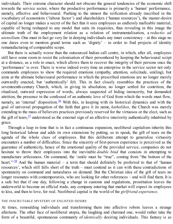individuals. Their extreme character should not obscure the general tendencies of the economic shift towards the service sector, where the productive performance is primarily a 'human' performance, namely, affective and behavioural. Pushing to the utmost the reification already inscribed in the vocabulary of economists ('labour factor') and shareholders ('human resources'), the master-desire of capital no longer makes a secret of the fact that it sees employees as endlessly malleable material, capable of being reshaped to any model that suits its requisites, thus revealing in this image the ultimate truth of the employment relation as a relation of instrumentalisation, a *reductio ad utensilium*. One must in fact go very far in denying individuals any inner consistency – at this stage no one dares even to mention grand terms such as 'dignity' – in order to find projects of identity remanufacturing of comparable scope.

But there is actually worse than the outsourced Indian call centre, in which, after all, employees still have some room to resist the colonisation of their personhood by keeping the behavioural script at a distance, as a role to enact, which allows them to recover the integrity of their persons once the 'performance' is over. There is worse indeed every time an enterprise in the service sector not only commands employees to show the required emotions (empathy, attention, solicitude, smiling), but aims at the ultimate behavioural performance in which the prescribed emotions are no longer merely outwardly enacted, but 'authentically' felt. This in fact closely resembles the practices of the seventeenth-century Church, which, in giving its absolution, no longer settled for contrition, the ritualised, outward expression of words, always suspected of hiding insincerity, but demanded attrition, the presence in the confessed of an authentic love of God from which the words must flow, namely, an 'internal' disposition. [36](#page-59-1) With this, in keeping with its historical dynamics and with the goal of universal propagation of the faith that gave it its name, *katholikos*, the Church was merely extending to the mass of believers practices previously reserved for the virtuosos or the elect, such as the gift of tears, <sup>[37](#page-59-2)</sup> understood as the external sign of an affective interiority authentically inhabited by grace.

<span id="page-48-2"></span><span id="page-48-1"></span><span id="page-48-0"></span>Through a leap in time that is in fact a continuous expansion, neoliberal capitalism inherits this long historical labour and adds its own extensions by putting, so to speak, the gift of tears on the agenda of the whole class of employees. But this deliberate attempt to generalise virtuosity encounters a number of difficulties. Since the sincerity of first-person experience is perceived as the guarantee of authenticity, hence of the emotional quality of the provided service, companies do not hesitate to throw their employees into the inevitable *double bind* that consists in attempting to manufacture artlessness. On command, the 'smile must be "true", coming from "the bottom of the heart."<sup>[38](#page-59-3)</sup> And the human material – a term that should definitely be preferred to that of 'human resources', which still falls short of the truth – must contend as it can with these contradictions of spontaneity on command and naturalness on demand. But the Christian idea of the gift of tears no longer resonates with contemporaries, who are looking for other references – and will find them. It is a safe bet that if one day, following a change in customs and regulations, prostitution leaves the underworld to become an official trade, any company entering that market will expect its employees to kiss, and then to love, for real. Neoliberal capital is the world of the *girlfriend experience*.

#### THE INSCRUTABLE MYSTERY OF ENLISTED DESIRE

At times, remoulding individuals and transforming them into affective robots leaves a strange aftertaste. The other face of neoliberal utopia, the laughing and charmed one, would rather take the form of a beautiful, spontaneous community of *identically* desiring individuals. This fantasy is as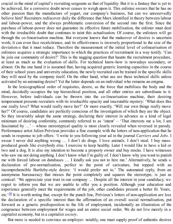crucial in the mind of capital's recruiting sergeants as that of liquidity. But it is a fantasy that is yet to be achieved, for a corrosive doubt never ceases to weigh upon it. This enlistee swears that he has no other passion than the manufacture of yogurt, our company's business, but can we unreservedly believe him? Recruiters rediscover daily the difference that Marx identified in theory between labour and labour-power, and the always problematic conversion of the second into the first. Since the purchase of labour-power does not guarantee its effective future mobilisation, the enlister must deal with the irreducible doubt that continues to taint this actualisation. Of course, the enlistees will go through the co-linearisation machine. But everyone knows that the makeover of desires is uncertain work; it can even face recalcitrance, and its effectiveness is inversely proportional to the size of the deviation  $\alpha$  that it must reduce. Therefore the measurement of the initial level of colinearisation of enlistees acquires a strategic importance to which the practices of recruitment in a way testify. 'Can he join our community of desire?' This is the nagging question that haunts the recruitment procedure, at least as much as the evaluation of skills. For technical know-how is nowadays secondary, or almost. On the one hand it is assumed that, having acquired generic learning capacities in the course of their school years and university education, the newly recruited can be trained in the specific skills they will need by the company itself. On the other hand, what use are these technical skills unless activated by an animating desire? Yet the latter depends on an individual who remains an enigma.

In the lexicographical order of requisites, desire, as the force that mobilises the body and the mind, decidedly occupies the top hierarchical position, and all other entries are subordinate to it. However, before individuals can be thrown into the co-linearisation machine, their desiring temperament presents recruiters with its irreducible opacity and inscrutable mystery: 'What does this one really love? What would really move her?' Or more exactly, 'Will our own things really move her?' Of course, candidates are perfectly conscious of the investigation of which they are the object. So they invariably adopt the same strategy, declaring their interest in advance as a kind of legal minimum of desiring conformity, commonly referred to as 'intent' – 'That interests me a lot, I am fascinated by …' – whose stereotypical quality is most clearly revealed when reversed in parody. Performance artist Julien Prévieux provides a fine example with the letters of non-application that he sends in response to job offers: 'I write to you following your ad in the journal *Carriers and Jobs*. I swear I never did anything wrong … I don't do drugs. I love animals. I don't steal. I buy massproduced goods like everybody else. I exercise to keep healthy. Later I would like to have a kid or two and a dog. It is also my intention to become a property owner and buy stocks. I have witnesses who saw me not doing anything. I don't know what I'm guilty of. I don't know why you want to punish me with forced labour on databases … I kindly ask you not to hire me.' Alternatively, he sends a declaration of pre-normalisation, perfect to the point of caricature, but topped with an incomprehensible Bartleby-style desire: 'I would prefer not to.' The automated reply, from an anonymous bureaucracy that misses the point completely and squares the stereotype, is just as comical: 'We appreciate your trust in our company … Despite all the interest in your candidacy, we regret to inform you that we are unable to offer you a position. Although your education and experience generally meet the requirements of the job, other candidates present a better fit. Yours, etc.<sup>'[39](#page-59-4)</sup> It is worth noting that, except for the punch line, Prévieux's letters of non-application are less the declaration of a specific interest than the affirmation of an overall social normalisation, put forward as a generic predisposition to the life of employment, incidentally an illustration of the congruence between employment for wages and an entire social order. We do not live merely in a capitalist economy, but in a capitalist *society*.

<span id="page-49-0"></span>But more is needed to convince an employer: notably, one must supply proof of authentic desires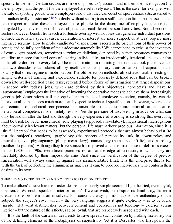<span id="page-50-0"></span>specific to the firm. Certain sectors are more disposed to 'passion', and in them the investigation (by the employer) and the proof (by the employee) are relatively easy. This is the case, for example, with the sale of sporting goods, where employers know that they can count on sport enthusiasts, assumed to be 'authentically passionate.<sup>'[40](#page-59-5)</sup> No doubt without seeing it as a sufficient condition, businesses can at least expect to make these employees more pliable to the discipline of employment, since it is mitigated by an environment of loved objects that recall loved personal activities. Not all economic sectors however benefit from such a fortunate overlap with hobbies that generate individual passions. Outside these fairly special cases, declarations of interest are more suspect, or at least require more intensive scrutiny. How to probe candidates' dispositions, ascertain the orientations of their power of acting, and be fully confident of their adequate automobility? We cannot hope to exhaust the inventory of extravagant practices, sometimes verging on delirium, deployed by human resources managers in an effort to pierce that hard core of desiring individuality, an irredeemably irrational endeavour that is therefore doomed to every folly. The transformation in recruiting methods that took place over the last two decades encapsulates all by itself the contemporary transformations of capitalism and notably that of its regime of mobilisation. The old selection methods, almost automatable, resting on simple criteria of training and experience, suitable for precisely defined jobs that can be broken down into well-specified basic tasks, retreated before forms of investigation that target dispositions, in accord with today's jobs, which are defined by their objectives ('projects') and leave to 'autonomous' employees the initiative of inventing the operative modes to achieve them. Increasingly generic job descriptions call for equivalent methods of employee selection, namely, by generic behavioural competences much more than by specific technical specifications. However, whereas the appreciation of technical competences is amenable to at least some rationalisation, that of behavioural competences is infinitely less so. Yet the pressure of discovering in advance what can only be known after the fact and through the very experience of working is so strong that everything must be tried, however nonsensical: role playing (supposedly revelatory), inquisitional interrogations about normally irrelevant matters (but the personal life must harbour precious information, since it is 'the full person' that needs to be assessed), experimental protocols that are almost behaviourist (to test the subject's reactions), graphology (the secrets of personality lurk in downstrokes and upstrokes), even physiognomy (plump means lazy), numerology (numbers don't lie), and astrology (neither do planets). Although they have somewhat improved after the first phase of delirious excess in the 1980s and '90s, recruitment practices remain at the edge of unreason, to which they are inevitably doomed by their impossible aims. And since the verification of the degree of pre-colinearisation will always come up against this insurmountable limit, it is the enterprise that is left with the task of perfecting the alignment as much as it can, to produce individuals who conform their desires to its own.

#### THERE IS NO INTERIORITY (AND NO INTERIORISATION EITHER)

To make others' desire like the master-desire is the utterly simple secret of light-hearted, even joyful, obedience. We could speak of 'interiorisation' if we so wish; but despite its familiarity, the term creates more problems than it solves. For consent always points back to the authenticity of the subject, the subject's *core*, which – the very language suggests it quite explicitly – is to be found 'inside'. But what distinguishes between consent and coercion is not topology – exterior versus interior – but the nature of the affects, sad or joyful, that are respectively associated with each.

It is the fault of the Cartesian dead ends to have spread such confusion by making interiority one of the defining elements of the metaphysics of subjectivity. Yet it is Descartes who first posits the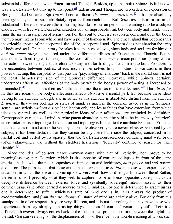<span id="page-51-1"></span><span id="page-51-0"></span>substantial difference between Extension and Thought. Besides, up to that point Spinoza is in his own way a Cartesian – but only up to that point. $\frac{41}{1}$  $\frac{41}{1}$  $\frac{41}{1}$  Extension and Thought are two orders of expression of Being – unlike Descartes, Spinoza will not call them *substances* but *attributes* [42](#page-59-7) – that are absolutely heterogeneous, and as such absolutely separate from each other. But Descartes fails to maintain the substantial difference between them. Turning back to the human person and wanting it to be a subject endowed with free will, Descartes searches for an improbable link between body and mind, which ruins the initial assumption of separation. For the soul to exercise sovereign command over the body, the two must interact somewhere and have a point of homogeneity. The pineal gland thus becomes this inextricable aporia of the corporeal site of the incorporeal soul. Spinoza does not abandon the unity of body and soul. On the contrary, he takes it to the highest level, since body and soul are for him *one and the same thing*, considered under the different attributes of Extension and Thought. But he abandons without regret (although at the cost of the most severe incomprehension) any causal interaction between them, and therefore also any need for finding a site common to both. Produced by the encounters between bodies, affects inscribe themselves first in bodies, as variations in their power of acting; this corporality, that puts the 'psychology of emotions' back in the mortal coil, is not the least characteristic sign of the Spinozist difference. However, while Spinoza certainly understands affects as 'affections of the body by which the body's power of acting is increased or diminished',  $\frac{43}{12}$  $\frac{43}{12}$  $\frac{43}{12}$  he also sees them as 'at the same time, the ideas of these affections.'<sup>[44](#page-59-9)</sup> Thus, *in so far as* they are ideas of the body's affections, affects *also* have a mental part. But because these ideas belong to the attribute Thought, and in so far as this attribute is absolutely distinct from the attribute *Extension*, they – our feelings or states of mind, as much in the common usage as in the Spinozist sense – are strictly *without a site*: localisation only applies to things that have extension, from which ideas in general, as well as the particular ideas of our affections, are excluded by definition. Consequently our states of mind, barring patent absurdity, cannot be said to be in any way 'interior', since 'interior' is a topological indication and topology is limited to the attribute Extension. From the fact that states of mind cannot be seen by an outside observer, yet are nevertheless experienced by the subject, it has been deduced that they cannot be anywhere but inside the subject, concealed in its mortal coil and veiled by its opacity: thus the Cartesian neurosciences, confusing mind with brain (often unknowingly and without the slightest hesitation), 'logically' continue to search for them 'inside'.<sup>[45](#page-59-10)</sup>

<span id="page-51-4"></span><span id="page-51-3"></span><span id="page-51-2"></span>Since the idea of consent makes common cause with that of interiority, both prove to be meaningless together. Coercion, which is the opposite of consent, collapses in front of the same aporia, and likewise the polar opposites of imposition and legitimacy, *hard power* and *soft power*, and so on. The point is not that these antinomies correspond to *nothing* – those who experience the situations in which these words come up know very well how to distinguish between them! Rather, the terms distort precisely what they seek to capture. None of these opposites correspond to the deceptive difference between exterior force and (evidently sovereign) interior assent, as their common usage (and often learned discourse as well) implies. For one is determined to assent just as one is determined to suffer: whichever state of mind one is in, it is always the product of exodetermination, and *from this standpoint* all states of mind are strictly alike. But only from this standpoint; in other respects they are very different, and it is not for nothing that they make those who experience them say sharply contrasting things, such as 'I consent' versus 'I yield'. Their true difference however always comes back to the fundamental polar opposition between the joyful and the sad. One can see a sign of the displacement of this difference in the double meaning of words such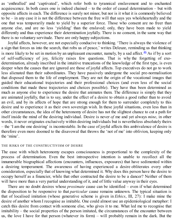as 'enthralled' and 'captivated', which refer both to tyrannical enslavement and to enchanted acquiescence. In both cases one is indeed chained – to the order of causal determination – but with opposite affects in each. The difference is surely not minor, but nor is it what it is commonly believed to be – in any case it is not the difference between the free will that says yes wholeheartedly and the one that was temporarily made to yield by a superior force. Those who consent are no freer than anyone else, and are no less 'yielding' than the enslaved; only, they have been made to yield differently and thus experience their determination joyfully. There is no consent, in the same way that there is no voluntary servitude. There are only happy subjections.

<span id="page-52-0"></span>Joyful affects, however, are not especially conducive to thinking. 'There is always the violence of a sign that forces us into the search, that robs us of peace,' writes Deleuze, reminding us that thinking is more likely to be set in motion by an unpleasant encounter, namely, by a sad affect.  $\frac{46}{1}$  $\frac{46}{1}$  $\frac{46}{1}$  As if by a sort of self-sufficiency of joy, felicity raises few questions. That is why the forgetting of exodetermination, already inscribed in the intuitive truncations of the knowledge of the first type, is even deeper when the causes that are ignored are those of joyful affects. Top executives do not go to work less alienated than their subordinates. They have passively undergone the social pre-normalisation that disposed them to the life of employment. They are not the origin of the vocational images that guided their educational trajectories and their professional choices (and even less of the social conditions that made these trajectories and choices possible). They have thus been determined as much as anyone else to experience the desire that animates them. The difference is simply that they are animated joyfully, that is to say, under the effect of a desire to obtain a good rather than to avoid an evil, and by its affects of hope that are strong enough for them to surrender completely to this desire and to experience it as their own sovereign wish. In these joyful situations, even less than in other circumstances, the idea of the heteronomy of desire has not the slightest chance to cut a path for itself inside the mind of the desiring individual. Desire is never *of* me and yet always *mine*, in other words, it never originates exclusively within desiring individuals but is nevertheless absolutely theirs – the 'I am the one desiring' is incontestable. In the case of joyful affects this ambivalence of desire is therefore even more doomed to the disavowal that throws the 'not of me' into oblivion, keeping only the 'mine'.

#### THE RISKS OF THE CONSTRUCTIVISM OF DESIRE

The ease with which heteronomy escapes consciousness is proportional to the complexity of the process of determination. Even the best introspective intention is unable to recollect all the innumerable biographical affections (encounters, influences, exposures) that have sedimented within a desiring temperament. The awareness of having experienced a desire obliterates every other consideration, especially that of knowing what determined it. Why does this person have the desire to occupy herself as a financier, while that other contracted the desire to be a dancer? Neither of them will have more than a very partial understanding of it, and of little value anyway in their eyes.

There are no doubt desires whose *proximate* cause can be identified – even if what determined the disposition to be responsive to that *particular* cause remains unknown. The typical situation is that of localised imitation (whose generative scheme is given in *Ethics*, III, 27): I make mine the desire of another whom I recognise as imitable. One could almost use an epidemiological metaphor: I catch this desire from contact with someone else, who gives it to me. What led me to recognise that imitability – the social properties of the person imitated, the circumstances of the encounter between us, the love I have for that person (whatever its form) – will probably remain in the dark. But the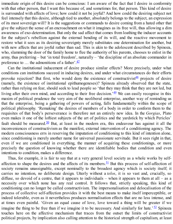immediate origin of this desire can be conscious: I am aware of the fact that I desire in conformity with that other person, that I want this because of, and sometimes for, that person. This kind of desire is surrounded with affects of love; how could it not be joyful? And how could the desiring subject not feel intensely that this desire, although tied to another, absolutely belongs to the subject, an expression of its most sovereign will? It is the suggestions or commands to desire coming from a hated other that give the subject the sense of an encroachment on what it imagines as its free will, thus allowing a dim awareness of exo-determination. But only the sad affect that comes from loathing the inducer accounts for the subject's rebellion against the external bending of its will, and the reactive movement to restore what it sees as its desiring sovereignty merely substitutes one determination for another, but with new affects that are joyful rather than sad. This is akin to the adolescent described by Spinoza, who, slamming the door of the family home to flee the authority of his parents, chooses to enlist in the army, thus preferring – but 'in total freedom', naturally – 'the discipline of an absolute commander in preference to ... the admonitions of a father'.<sup>[47](#page-59-12)</sup>

<span id="page-53-2"></span><span id="page-53-1"></span><span id="page-53-0"></span>Can the institutional inducement of desire produce similar effects? More precisely, under what conditions can institutions succeed in inducing desires, and under what circumstances do their efforts provoke rejection? But first, who would deny the existence of constructivist<sup>[48](#page-59-13)</sup> projects of desire (namely, the existence of institutional epithumogeneses)? Spinoza already observed that the state, rather than relying on fear, should seek to lead people so 'that they may think that they are not led, but living after their own mind, and according to their free decision.<sup> $49$ </sup> We can easily recognise in this maxim of political prudence the very aim of the neoliberal enterprise, another way of reminding us that the enterprise, being a gathering of powers of acting, falls fundamentally within the scope of political philosophy. 'Remaking' the desires of members of a body in order to conform them to the requisites of that body's perseverance is therefore not an entirely new idea. In the *Gorgias*, Plato even makes it one of the loftiest subjects of the art of politics and the yardstick by which Pericles' fault should be measured.<sup>[50](#page-59-15)</sup> But, at least in the modern era, this endeavour has against it all the inconveniences of constructivism as the manifest, external intervention of a conditioning agency. The modern consciousness errs in reserving the imputation of conditioning to this kind of intention alone, since conditioning is merely another name for universal passionate servitude. But it sees right in that, even if we are conditioned in everything, the manner of acquiring these conditionings, or more precisely the question of knowing whether there are identifiable bodies that condition and even intentions to condition, makes a difference.

<span id="page-53-5"></span><span id="page-53-4"></span><span id="page-53-3"></span>Thus, for example, it is fair to say that at a very general level society as a whole works by self-affection to shape the desires and the affects of its members.<sup>[51](#page-59-16)</sup> But this process of self-affection of society remains unassignable, except nominally to the broadest agency which is society itself; it carries no intention, no deliberate design. Utterly without a *telos*, it is so vast and, crucially, so diffuse, so devoid of a centre, that it appears to individuals – when it appears to them at all – as a necessity over which none has any real control. It follows that, strictly speaking, this kind of conditioning can no longer be called constructivism. The impersonalisation and delocalisation of the process of collective self-affection provides it with the best means to make itself imperceptible, or indeed tolerable, even as it nevertheless produces normalisation effects that are no less intense, and at times even painful. 'Given an equal cause of love, love toward a thing will be greater if we imagine the thing to be free than if we imagine it to be necessary. And similarly for hate.'  $\frac{52}{2}$  $\frac{52}{2}$  $\frac{52}{2}$  Spinoza touches here on the affective mechanism that traces from the outset the limits of constructivist political projects, by implication also calling attention to the historical strength of capitalism, at least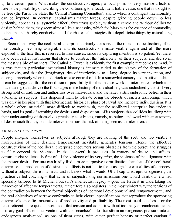up to a certain point. What makes the constructivist agency a focal point for very intense affects of hate is the possibility of ascribing the conditioning to a local, identifiable cause, one that is thought to be free (the Party, the State, the Central Planning Committee), and to which a contingent intentionality can be imputed. In contrast, capitalism's market forces, despite grinding people down no less violently, appear as a 'systemic effect', thus unassignable, without a centre and without deliberate design behind them; they seem almost like a necessity, which for Marx was the essence of commodity fetishism, and thereby conducive to all the rhetorical strategies that depoliticise things by naturalising them. $\frac{53}{2}$  $\frac{53}{2}$  $\frac{53}{2}$ 

<span id="page-54-0"></span>Seen in this way, the neoliberal enterprise certainly takes risks: the risks of relocalisation, of its intentionality becoming assignable and its constructivism made visible again and all the more exposed to the hate that is reserved to free causes, since its capturing intention is so patent. Yet there have been earlier institutions that strove to construct the 'interiority' of their subjects, and did so in the most visible of manners. The Catholic Church is evidently the first example that comes to mind. It is true that its particular institutional history is intimately tied to the history of the formation of subjectivity, and that the (imaginary) idea of interiority is to a large degree its very invention, and emerged precisely when it undertook to take control of it. In a somewhat cursory and intuitive fashion, it can be suggested that the condition of possibility for this intense work on interiorities, which took place during (and drove) the first stages in the history of individualism, was undoubtedly the still very strong hold of tradition and authorities over individuals, and the latter's still embryonic belief in their autonomy as subjects. This disposed them to tolerate being the objects of such a fashioning, which was only in keeping with that intermediate historical phase of larval and inchoate individualism. It is a whole other 'material', more difficult to work with, that the neoliberal enterprise has under its hands, and its goal of remaking the desires and dispositions of its subjects thus collides headlong with their understanding of themselves precisely as subjects, namely, as beings endowed with an autonomy of desire such that any outside intervention runs the risk of being seen as an interference.

## *AMOR FATI CAPITALISTIS*

<span id="page-54-1"></span>People imagine themselves as subjects although they are nothing of the sort, and too visible a manipulation of their desiring temperament inevitably generates tensions. Hence the affective constructivism of the neoliberal enterprise encounters serious obstacles from the outset, and struggles to fully conceal the violence in the 'consent' it produces. In matters of desire and affects, constructivist violence is first of all the violence of its very *telos*, the violence of the alignment with the master-desire. For one can hardly find a more purposive normalisation than that of the neoliberal enterprise. Its production of desires and affects is not left to the unassignable causalities of a process without a subject; there is a head, and it knows what it wants. Of all capitalist epithumogeneses, the practice called coaching – that acme of subjectivising normalisation one would think our era had specially tailored to fit Michel Foucault's intellectual legacy – goes the furthest in undertaking the makeover of affective temperaments. It therefore also registers in the most violent way the tensions of the contradiction between the formal objectives of 'personal development' and 'empowerment', and the real objectives of narrow conformity to behavioural specifications that reproduce the sponsoring enterprise's specific imperatives of productivity and profitability. The most lucid coaches – or the least reticent – are quite conscious of that tension and admit it without too many circumlocutions: the primary goal of their intervention with the 'coachee' is to 'transform an exogenous pressure into an endogenous motivation', as one of them states, with either perfect honesty or perfect candour. [54](#page-59-19)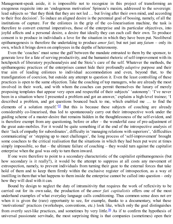Management-speak aside, it is impossible not to recognize in this project of transforming an exogenous requisite into an 'endogenous motivation' Spinoza's maxim, addressed to the sovereign: lead subjects so 'that they think that they are not led … but living after their own mind, and according to their free decision'. To induce an aligned desire is the perennial goal of bossing, namely, of all the institutions of capture. For the enlistees in the grip of the co-linearisation machine, the task is therefore to convert external imperatives, those of the enterprise and its particular objectives, into joyful affects and a personal desire, a desire that ideally they can each call their own. To produce consent is to produce in individuals a love for the situation in which they have been put. Neoliberal epithumogenesis is therefore the undertaking to produce *amor fati*; but not just any *fatum* – only its own, which it brings down on employees in the depths of heteronomy.

Even the 'coaches' must sense the gulf between the mandate entrusted to them by the sponsor, to generate love for a fate of serving productivity, and the humanist rhetoric of self-improvement with its hotchpotch of liberatory psychoanalysis and the Stoic's care of the self. Whatever the methods, the epithumogenic practices of the enterprises cannot hide their profoundly *adaptive* purpose and their true aim of leading enlistees to individual accommodation and even, beyond that, to the transfiguration of coercion, but outside any attempt to question it. Even the least controlling of these practices is open to the same objection. Take the coaching of top managers, who are already the most involved in their work, and with whom the coaches can permit themselves the luxury of merely proposing templates that appear very open and respectful of their subjects' 'autonomy': 'I've never been in a situation where I presented a problem and got an answer,' explains a high-level trainee; 'I described a problem, and got questions bounced back to me, which enabled me … to find the elements of a solution myself.<sup> $55$ </sup> But this is because these subjects of coaching are already considerably co-linearised, thus led to spontaneously carry out their introspective work under the guiding scheme of a master-desire that remains hidden in the thoughtlessness of the self-evident, and is therefore exempt from any questioning, before or after – the wonderful ease of pre-adjustment of the great auto-mobiles. For it would be quite something if at the end of the introspective analysis of their 'lack of empathy for subordinates', difficulty in 'managing relations with superiors', 'difficulties communicating' or 'stepping up to meet challenges', the long process of 'self-improvement' brought some coachees to the critical realisation that the situations in which they had been put were at times simply impossible, so that – the ultimate failure of coaching – they would turn against the capitalist enterprise when the goal was only to turn them inward.

<span id="page-55-0"></span>If one were therefore to point to a secondary characteristic of the capitalist epithumogenesis (but how secondary is it really?), it would be the attempt to suppress at all costs any movement of extrospection, namely, to prevent individuals from turning their gaze to the external forces that take hold of them and to keep them firmly within the exclusive register of introspection, as a way of instilling in them that what happens to them inside the enterprise cannot be called into question – only how they will deal with it can.

<span id="page-55-1"></span>Bound by design to neglect the duty of intransitivity that requires the work of reflexivity to be carried out for its own sake, the production of the *amor fati capitalistis* offers one of the most underhand examples of what everyday language calls conditioning. Thus common sense does not err when it is given the (rare) opportunity to see, for example, thanks to a documentary, what these 'motivational' practices (workshops, conventions, etc.) look like, which only the goal distinguishes from overtly sect-like practices, and sometimes by very little.<sup>[56](#page-59-21)</sup> As if to confirm the hypothesis of universal passionate servitude, the most surprising thing is that companies (sometimes) open their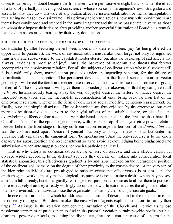doors to cameras, no doubt because the filmmakers were persuasive enough, but also under the effect of a kind of perfectly innocent good conscience, whose source is management's own straightforward assent to what they do – unaware of any blatant affective instrumentalisation or mental manipulation, thus seeing no reason to dissimulate. This primary adherence reveals how much the conditioners are themselves conditioned and steeped in the same imaginary and the same passionate universe as those on whom they impose their desire, thus providing another powerful illustration of Bourdieu's remark, that the dominators are dominated by their very domination.

## THE VEIL OF JOYFUL AFFECTS, THE BACKDROP OF SAD AFFECTS

Contradictorily, after lecturing the enlistees about *their* desire and *their* joy (at being offered the opportunity to pursue it), the work of co-linearisation must make them forget not only its ingrained transitivity and subservience to the capitalist master-desire, but also the backdrop of sad affects that always muddles its promise of joyful ones, the backdrop of sanctions and threats that forever accompanies the employment relation. For all the subjects of co-linearisation whose alignment still falls significantly short, normalisation proceeds under an impending sanction, for the failure of normalisation is not an option. The persistent deviants – in the literal sense of conatus-vector geometry – will meet the fate that the enterprise reserves to those who refuse it the promise of 'giving it their all'. The only choice it will give them is to undergo a makeover, so that they can give it all *with joy*. Instantaneously tearing away the veil of joyful desire, the failure to induce desire, the imperfect adaptation, and the incomplete accommodation at once bring back the iron fist of the employment relation, whether in the form of downward social mobility, demotion-reassignment, or, finally, pure and simple dismissal. The co-linearised are thus enjoined by the enterprise, but even more so by themselves, to convert to the joyful affects of the suitable desire, or else face the overwhelming affects of fear associated with the basal dependence and the threat to their bare life. Out of this 'depth' of the epithumogenic scene, with the backdrop of the asymmetric power relation forever behind the front-stage of happy co-linearisation, emerge the tensions of the *double bind* that tear the co-linearised apart: 'desire it yourself but only as I say; be autonomous but under my guidance', all variants of the canonical form 'be spontaneous'. And the only recourse is to use one's capacity for autosuggestion and re-enchantment so as to avoid acknowledging being bludgeoned into submission – when autosuggestion does not reach a pathological level.

That is why efforts of co-linearisation are never sure of success, and their effects cannot but diverge widely according to the different subjects they operate on. Taking into consideration local statistical anomalies, this effectiveness gradient is by and large indexed on the hierarchical position of the co-linearised, namely, on the degree of their proximity to the master-desire. At the very top of the hierarchy, individuals are pre-aligned to such an extent that effectiveness is maximal and the epithumogenic work is mostly methodological: its purpose is not to incite a desire which they possess almost in full already, but to marginally rearrange their passionate life so as to allow them to pursue it more effectively than they already willingly do on their own. In extreme cases the alignment relation is almost reversed: the individuals use the organisation to satisfy their own passionate goals.

<span id="page-56-0"></span>In one of the rare texts in which he addresses the question of desire – and in the minor form of the introductory dialogue – Bourdieu invokes the case where 'agents exploit institutions to satisfy their urges'.<sup>[57](#page-59-22)</sup> At issue is the relation between the institution of the Church and individuals whose passionate temperament pushes them to find in the pastoral vocation certain psychic profits, such as charisma, power over souls, mediating the divine, etc., that are a constant cause of concern for the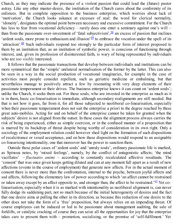<span id="page-57-0"></span>Church, as they may indicate the presence of a violent passion that could lead the (future) pastor astray. Like any other master-desire, the institution of the Church cares about the conformity of its enlistees. But in complete opposition to the business enterprise, which worries about lack of 'motivation', the Church looks askance at excesses of zeal: the word for clerical normality, 'idoneity', designates the optimal point between necessary and excessive commitment. For the Church has less to fear from vocational deficiency – rarely does one enter a seminary against one's will – than from the passionate over-investment of 'fatal subjectivism',  $\frac{58}{5}$  $\frac{58}{5}$  $\frac{58}{5}$  an excess of passion that inclines 'ardent souls, more prone to enthusiasm and illusion' $\frac{59}{2}$  $\frac{59}{2}$  $\frac{59}{2}$  to embrace the vocation under the spell of its 'attraction'. $\frac{60}{ }$  $\frac{60}{ }$  $\frac{60}{ }$  Such individuals respond too strongly to the particular form of interest proposed to them by an institution that, as an institution of symbolic power, is conscious of functioning through interest, and, given its profession of disinterested faith, is wary of being represented by individuals who are *too visibly* interested.

<span id="page-57-2"></span><span id="page-57-1"></span>It follows that the passionate transactions that develop between individuals and institutions can be more symmetrical that the 'simple' unilateral normalisation of the former by the latter. This can also be seen in a way in the social production of vocational imaginaries, for example in the case of activities most people consider repellent, such as geriatric medicine or embalming, but that nevertheless manage to positively attract a few by resonating with very deep elements of their passionate temperament or their drives. The business enterprise knows it can count on 'ardent souls'; unlike the Church, it seeks them out. For these souls, who are invested in the enterprise as much as it is in them, basic co-linearisation is immediate, although secondary realignments are still needed. But that is not how it goes, far from it, for all those subjected to neoliberal co-linearisation, especially when their passionate temperament does not suit the enterprise a priori to the degree reached by these great auto-mobiles. Acting for and on behalf of the enterprise cannot be taken for granted when the subjects' desire is not aligned from the outset. In these cases the alignment process always carries the risk of being experienced, either as simple coercion, or in the confused manner of a proposition that is marred by its backdrop of threat despite being worthy of consideration in its own right. Only a sociology of the employment relation could however shed light on the formation of such dispositions of recalcitrance or vexed acceptance, and on how these dispositions would respond to an assignable co-linearising intentionality, one that moreover has the power to sanction them.

<span id="page-57-3"></span>Outside these polar cases of 'ardent souls' and 'unruly souls', ordinary passionate life is marked, as Spinoza notes, by 'mixed feelings', namely, by the conflict of antagonistic affects; 'the mind vacillates' – *fluctuatio animi* – according to constantly recalculated affective resultants. The 'consent' that was once given keeps getting diluted and can at any moment fall apart as a result of new affections (events in the course of employment) that generate new affects. For in the actual moment of consent there is never more than the confrontation, internal to the psyche, between joyful affects and sad affects, following the elementary law of power according to which 'an affect cannot be restrained or taken away except by an affect opposite to, and stronger than, the affect to be restrained. <sup>'[61](#page-59-26)</sup> Yet colinearisation, especially when it is as marked with intentionality as neoliberal alignment is, can never fully dodge its saddening part, not so much because of the initial heterogeneity of desires and the fact that one desire aims at pulling the other in its direction, as because this reduction of one desire to the other does not take the form of a 'free' proposition, but always relies on an impending threat. Of course employees can be induced or led to be passionate about management auditing, the sale of forklifts, or catalytic cracking; of course they can seize all the opportunities for joy that the enterprise takes care to present them with – promotion, socialising, or the promise of 'self-fulfilment.' Yet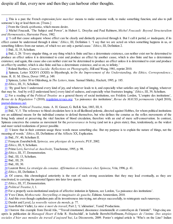despite all that, every now and then they can harbour other thoughts.

 This is a pun: the French expression *faire marcher* means to make someone walk, to make something function, and also to pull someone's leg or lead them on. [Trans.]

From the Greek *epithumia*, which means desire.

 Michel Foucault, 'The Subject and Power', in Hubert L. Dreyfus and Paul Rabinow, *Michel Foucault: Beyond Structuralism and Hermeneutics*, Harvester Press, 1982.

<span id="page-58-0"></span> 'I call that cause adequate whose effect can be clearly and distinctly perceived through it. But I call it partial, *or* inadequate, if its effect cannot be understood through it alone.' *Ethics*, III, Definition 1. 'I say that we are acted on when something happens in us, or something follows from our nature, of which we are only a partial cause.' *Ethics*, III, Definition 2.

<span id="page-58-2"></span><span id="page-58-1"></span>Ibid., II, 35, Scholium.

 $\overline{\phantom{a}}$ 

 Ibid., I, 28: 'Every singular thing, or any thing which is finite and has a determinate existence, can neither exist nor be determined to produce an effect unless it is determined to exist and produce an effect by another cause, which is also finite and has a determinate existence; and again, this cause also can neither exist nor be determined to produce an effect unless it is determined to exist and produce an effect by another, which is also finite and has a determinate existence, and so on, to infinity.'

<span id="page-58-4"></span><span id="page-58-3"></span>Roland Barthes, *Camera Lucida: Reflections on Photography*, Hill and Wang, 1981, reprint 2010.

 Spinoza, Letter XXXVI (XXIII) to Blyenbergh, in *On the Improvement of the Understanding, the Ethics, Correspondence* , trans. R. H. M. Elwes, Dover 1995, p. 349.

<span id="page-58-5"></span>Spinoza, Letter 30 to Oldenburg, in *The Letters*, trans. Samuel Shirley, Hackett, 1995, p. 185.

<span id="page-58-6"></span>*Ethics*, III, 31, Scholium.

<span id="page-58-7"></span> 'By good here I understand every kind of joy, and whatever leads to it, and especially what satisfies any kind of longing, whatever that may be. And by evil [I understand here] every kind of sadness, and especially what frustrates longing.' *Ethics*, III, 39, Scholium.

<span id="page-58-8"></span> For a reading of the *Political Treatise* as a general theory of social institutions, see Frédéric Lordon, 'L'empire des institutions', *Revue de la Régulation* 7 (2010), [regulation.revues.org](http://regulation.revues.org); 'La puissance des institutions', *Revue du MAUSS permanente* (April 2010), [journal-dumauss.net.](http://journal-dumauss.net)

<span id="page-58-10"></span><span id="page-58-9"></span>Spinoza, *Political Treatise*, trans. A. H. Gosset, G. Bell & Son, 1883, III, 8.

 Ibid., V, 5. The reference to blood circulation here is in all likelihood polemic, directed against Hobbes, for whom political institutions are an additional means for the individual conatus to defend themselves, but who defines the conatus as the reflex movements of the living body aimed at preserving the vital function of blood circulation, therefore with an end of mere self-conservation. In contrast, Spinoza conceives the conatus as movement for the *perseverance in being* (and not in a given state); thus, tendentiously, as the widest and most varied realizations of power possible.

<span id="page-58-11"></span> 'I know that in their common usage these words mean something else. But my purpose is to explain the nature of things, not the meaning of words.' *Ethics*, III, Definitions of the Affects XX, Explication.

<span id="page-58-12"></span>Ibid., IV, 40, Scholium II.

<span id="page-58-13"></span>François Zourabichvili, *Spinoza, une physique de la pensée*, PUF, 2002.

<span id="page-58-14"></span>*Ethics*, III, 9, Scholium.

<span id="page-58-15"></span>Primo Levi, *Survival at Auschwitz*, Touchstone, 1995, p. 98.

<span id="page-58-16"></span>*Ethics*, III, 37, Demonstration.

<span id="page-58-17"></span>Ibid., III, 13, Scholium.

<span id="page-58-18"></span>Ibid., III, 29.

<span id="page-58-19"></span>Ibid., III, 30.

<span id="page-58-20"></span>Laurent Bove, *La stratégie du conatus. Affirmation et résistance chez Spinoza*, Vrin, 1996, p. 41.

<span id="page-58-21"></span>*Ethics*, III, Definition 3.

<span id="page-58-22"></span> Of course, this chronological anteriority is the root of such strong associations that they may lead eventually, as they are reactivated, to carrying the parental figures into later love quests.

<span id="page-58-23"></span>*Ethics*, III, 37, Demonstration.

<span id="page-58-24"></span>*Political Treatise*, I, 1.

<span id="page-58-25"></span>For a properly socio-institutional analysis of affective imitation in Spinoza, see Lordon, 'La puissance des institutions'.

<span id="page-58-26"></span>Yves Citton, *Mythocratie. Storytelling et imaginaire de gauche*, Éditions Amsterdam, 2010.

<span id="page-58-27"></span>And this even though capitalism puts all its inventiveness into trying, not always successfully, to reintegrate such runaways.

<span id="page-58-28"></span>Dardot and Laval, *La nouvelle raison du monde*, p. 77.

<span id="page-58-29"></span>Jean-Robert Viallet, *La mise à mort du travail*, Part 2, 'L'aliénation', Yami2 Productions.

<span id="page-58-30"></span> I borrow this example from David Alis, "Travail émotionnel, dissonance émotionnelle et contrefaçon de l'intimité". Vingt-cinq ans après la publication de *Managed Heart* d'Arlie R. Hochschild', in Isabelle Berrebi-Hoffmann, *Politiques de l'intime. Des utopies sociales d'hier aux mondes du travail d'aujourd'hui*, La Découverte, 2009. Poster's original article is 'Who's on the Line? Indian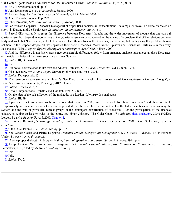Call Center Agents Pose as Americans for US-Outsourced Firms', *Industrial Relations* 46, n° 2 (2007).

<span id="page-59-0"></span>Alis, 'Travail émotionnel', p. 231.

<span id="page-59-1"></span>Jean Delumeau, *L'aveu et le pardon*, Fayard, 1990.

<span id="page-59-2"></span>Piroska Nagy, *Le don des larmes au Moyen-Âge*, Albin Michel, 2000.

<span id="page-59-3"></span>Alis, 'Travail émotionnel', p. 227.

<span id="page-59-4"></span>Julien Prévieux, *Lettres de non-motivation*, Archon, 2000.

<span id="page-59-5"></span> See William Gasparini, 'Dispositif managérial et dispositions sociales au consentement. L'exemple du travail de vente d'articles de sport', in Durand and Le Floch (eds), *La question du consentement au travail*.

<span id="page-59-6"></span> Pascal Gillot correctly stresses the difference between Descartes' thought and the wider movement of thought that one can call Cartesianism. For, beyond its eponymous author, Cartesianism can be conceived as the raising of a problem, that of the relations between body and soul, that 'Cartesians', not all of whom affiliate themselves with Descartes, made theirs, but each giving this problem its own solution. In this respect, despite all that separates them from Descartes, Malebranche, Spinoza and Leibniz are Cartesians in their way. See Pascale Gillot, *L'esprit, figures classiques et contemporaines*, CNRS Éditions, 2007.

<span id="page-59-7"></span> $\frac{42}{2}$  $\frac{42}{2}$  $\frac{42}{2}$  And the difference is not just words, since considerable differences follow from imagining multiple substances as does Descartes, or multiple attributes of the same substance as does Spinoza.

<span id="page-59-8"></span>*Ethics*, III, Definition 3.

<span id="page-59-9"></span>Ibid.

<span id="page-59-10"></span>But not all neuroscience is like this:see Antonio Damasio, *L'Erreur de Descartes*, Odile Jacob, 1995.

<span id="page-59-11"></span>Gilles Deleuze, *Proust and Signs*, University of Minnesota Press, 2004.

<span id="page-59-12"></span>*Ethics*, IV, Appendix 13.

<span id="page-59-13"></span> The term constructivism here is Hayek's. See Friedrich A. Hayek, 'The Persistence of Constructivism in Current Thought', in *Law, Legislation and Liberty*, Routledge, 2012. [Trans.]

<span id="page-59-14"></span>*Political Treatise*, X, 8.

<span id="page-59-15"></span>Plato, *Gorgias*, trans. Donald Zeyl, Hackett, 1986, 517 b-c.

<span id="page-59-16"></span>On the idea of the self-affection of the multitude, see Lordon, 'L'empire des institutions'.

<span id="page-59-17"></span>*Ethics*, III, 49.

<span id="page-59-18"></span> Episodes of intense crisis, such as the one that began in 2007, and the search for those 'in charge' and their inevitable 'responsibility' are needed in order to expose – provided that the search is carried out well – the hidden identities of those running the system and the role of particular interest groups in the contingent construction of 'necessity'. For the participation of the financial industry in setting up its own rules of the game, see Simon Johnson, 'The Quiet Coup', *The Atlantic*, [theatlantic.com](http://theatlantic.com), 2009; Frédéric Lordon, *La crise de trop*, Fayard, 2009, Chapter 1.

<span id="page-59-19"></span> Laurence Baranski, *Le manager éclairé, pilote du changement*, Éditions d'Organisation, 2001, citing Guilhaume, *L'ère du coaching*.

<span id="page-59-20"></span>Cited in Guilhaume, *L'ère du coaching*, p. 107.

<span id="page-59-21"></span> See Gérald Caillat and Pierre Legendre, *Dominus Mundi. L'empire du management*, DVD, Idéale Audience, ARTE France; Viallet, *La mise à mort du travail*.

<span id="page-59-22"></span>'Avant-propos dialogué', in Jacques Maître, *L'autobiographie d'un paranoïaque*, Anthropos, 1994, p. vi.

<span id="page-59-23"></span> Joseph Lahitton, *Deux conceptions divergentes de la vocation sacerdotale. Exposé. Controverse. Conséquences pratiques* , Lethielleux, 1910, cited by Maître, *L'autobiographie*, p. 16.

<span id="page-59-24"></span>Ibid.

<span id="page-59-25"></span>Ibid.

<span id="page-59-26"></span>*Ethics*, IV, 7.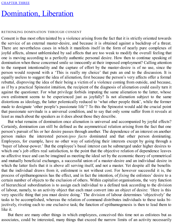# Domination, Liberation

## RETHINKING DOMINATION THROUGH CONSENT

Consent is thus most often tainted by a violence arising from the fact that it is strictly oriented towards the service of an external master-desire, and because it is obtained against a backdrop of a threat. There are nevertheless cases in which it manifests itself in the form of nearly pure complexes of joyful affects, almost unblemished by sad affects that are too weak to modify the overall feeling that one is moving according to a perfectly authentic personal desire. How then to continue speaking of domination when those concerned smile so innocently at their imposed employment? Calling attention to the rampant intentionality and the capture of effort by the master-desire is of no use, since the person would respond with a 'This is really my choice' that puts an end to the discussion. It is equally useless to suggest the idea of alienation, first because the person's very affects offer a formal rebuttal, disproving the idea of their being a victim of a violence coming from outside, and because, as if by a practical Spinozist intuition, the recipient of the diagnosis of alienation could easily turn it against the questioner. For what privilege forbids imputing the same alienation to the latter, whose own enlistment seems to be experienced just as joyfully? Is not alienation subject to the same distortions as ideology, the latter polemically reduced to 'what other people think', while the former made to designate 'other people's passionate life'? To this the Spinozist would add the crucial point that passionate servitude is a universal condition, and to say that only some suffer from it reveals at least as much about the speakers as it does about those they describe.

But what remains of domination once alienation is universal and accompanied by joyful effects? Certainly, domination can still be defined as the asymmetrical relation arising from the fact that one person's pursuit of his or her desire passes through another. The dependence of an interest on another person makes the interested person *ipso facto* dominated and that other person dominating. Employees, for example, have no other way of satisfying their interests except by going through a 'buyer of labour-power.' But the employee's basal interest can be submerged under higher desires to which one's job offers real satisfaction, to the point that the objective relation of dependence leaves no affective trace and can be imagined as meeting the ideal set by the economic theory of symmetrical and mutually beneficial exchanges, a successful union of a master-desire and an individual desire in which the latter feels that it is above all serving itself, and not a master. Yet despite all the benefits that the individual draws from it, enlistment is not without cost. For however successful it is, the process of epithumogenesis has the effect, and in fact the intention, of *fixing* the enlistees' desire to a certain number of objects to the exclusion of others. Within capitalist organisations, the very function of hierarchical subordination is to assign each individual to a defined task according to the division of labour, namely, to an activity object that each must convert into an object of desire: 'Here is this very specific thing that you must desire doing.' The division of labour determines 'objectively' the tasks to be accomplished, whereas the relation of command distributes individuals to these tasks bijectively, riveting each to one exclusive task; the function of epithumogenesis is then to lead them to like it.

But there are many other things in which employees, conceived this time not as enlistees but as associates, could be interested, many things that exceed the narrow limits of an activity necessarily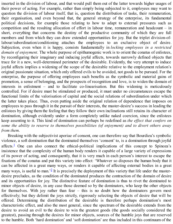inserted in the division of labour, and that would pull them out of the latter towards higher usages of their power of acting. For example, rather than simply being subjected to it, employees may want to question the division of labour itself, that is, question the distribution of tasks, their remuneration, their organisation, and even beyond that, the general strategy of the enterprise, its fundamental political decisions, for example those relating to how to adapt to external pressures such as competition and the resulting allocation of effort in labour time, remuneration and headcount – in short, everything that concerns the destiny of the productive community of which they are full members and from which they can draw extended opportunities for joy. But the triplet division-oflabour/subordination/conditioning attaches the employees to an exclusive object of desire. Subjection, even when it is happy, consists fundamentally in *locking employees in a restricted domain of enjoyment*. The whole purpose of epithumogenic work is to orient the conatus of enlistees, by reconfiguring their imaginary and inducing joyful affects, towards narrowly defined objects that trace for it a new, well-determined perimeter of the desirable. Evidently, the very attempt to induce joyful affects implies a widening of the scope of the desirable relative to the employment relation's original passionate situation, which only offered evils to be avoided, not goods to be pursued. For the enterprise, the purpose of offering employees such benefits as the symbolic and material gains of promotion, a sense of belonging, and the prospects of recognition and love, is to widen the domain of interests in enlistment – and to facilitate co-linearisation. But this widening is meticulously controlled. For if desire must be stimulated or produced, it must under no circumstances escape the functional limits of the valorisation of capital and the social relations of subordination under which the latter takes place. Thus, even putting aside the original relation of dependence that imposes on employees to pass through it in the pursuit of their interests, the master-desire's success in leading the enlistees by giving them the feeling that they follow their own inclinations still retains its character of domination, although evidently under a form completely unlike naked coercion, since the enlistees keep assenting to it. This kind of domination can perhaps be redefined as *the ef ect that confers on some the ability to reserve to themselves possibilities (of enjoyment) and to divert others away from them*.

Breaking with the subjectivist aporiae of consent, one can therefore say that Bourdieu's symbolic violence, a soft domination that the dominated themselves 'consent' to, is a domination through joyful affects.<sup>[1](#page-86-0)</sup> One can also connect the ethical-political implications of this concept to Spinoza's insistence that the complexity of the human body renders it capable of a large variety of expressions of its power of acting, and consequently, that it is very much in each person's interest to escape the fixations of the conatus and put this variety into effect: 'Whatever so disposes the human body that it can be affected in a great many ways, or renders it capable of affecting external bodies in a great many ways, is useful to man.<sup>'[2](#page-86-1)</sup> It is precisely the deployment of this variety that life under the masterdesire precludes, as the condition of the dominated produces the contraction of the domain of desire and its opportunities for joy. The distinctive feature of domination is thus to rivet the dominated to minor objects of desire, in any case those deemed so by the dominators, who keep the other objects for themselves. With joy rather than fear – this is no doubt how the dominators govern most effectively; but they delimit the joys strictly, rigorously selecting the objects of desire that will be offered. Determining the distribution of the desirable is therefore perhaps domination's most characteristic effect, and also the most general, since the spectrum of the desirable extends from the desire to avoid an evil to the desire to win the greatest goods (the goods socially considered the greatest), passing through the desires for minor objects, sources of the humble joys that are reserved to the humble. Both 'hard domination' and 'soft domination' are thus included in this continuum of the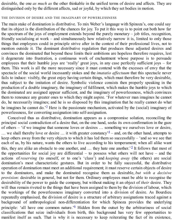desirable, the one *as much as* the other thinkable in the unified terms of desire and affects. They are distinguished only by the different affects, sad or joyful, by which they set bodies in motion.

#### THE DIVISION OF DESIRE AND THE IMAGINARY OF POWERLESSNESS

The main stake of domination is distributive. To mix Weber's language with Spinoza's, one could say that its object is the distribution of the chances for joy. To put it this way is to point out both how far the spectrum of the joys of employment extends beyond the purely monetary – job titles, recognition, friendly socialising at work – and simultaneously how relatively narrow it is, limited to only those things that employees could in principle strive after in the context of their professional lives, not to mention outside it. The dominant distributive regulation that produces these adjusted desires and convinces the dominated that beyond these limits their ambitions are hopeless therefore requires, lest it degenerate into frustration, a continuous work of enchantment whose purpose is to persuade employees that their humble joys are 'really' great joys, in any case perfectly sufficient joys – for them. This work is all the more necessary since it must contend with the excesses of envy that the spectacle of the social world incessantly stokes and the *imatatio af ectuum* that this spectacle never fails to induce: visibly, the great enjoy having certain things, which must therefore be very desirable, thus subject to the imitation of desire. Symbolic violence consists then properly speaking in the production of a double imaginary, the imaginary of fulfilment, which makes the humble joys to which the dominated are assigned appear sufficient, and the imaginary of powerlessness, which convinces them to renounce any greater ones to which they might aspire. 'For whatever man imagines he cannot do, he necessarily imagines; and he is so disposed by this imagination that he really cannot do what he imagines he cannot do.<sup>[3](#page-86-2)</sup> Here is the passionate mechanism, activated by the (social) imaginary of powerlessness, for converting assignation into self-assignation.

Conceived thus as distributive, domination appears as a compromise solution, reconciling the principal social contradiction of a desire that, on the one hand, seeks its own confirmation in the gaze of others – 'if we imagine that someone loves or desires … something we ourselves love or desire, ... we shall thereby love or desire ... it with greater constancy<sup>2[4](#page-86-3)</sup> – and, on the other hand, attempts to keep others away from the very objects to which it has led them so successfully – 'and so we see that each of us, by his nature, wants the others to live according to his temperament; when all alike want this, they are alike an obstacle to one another, and  $\ldots$  they hate one another.<sup>[5](#page-86-4)</sup> It follows that most of the opportunities for social joy are differential – to possess what others will not have – and the actions of *reserving* (to oneself, or to one's 'class') and *keeping away* (the others) are social domination's most characteristic gestures. But in order to be fully successful, the distributive operation of domination must meet an additional requirement; it must reserve certain objects of desire to the dominators, and make the dominated recognise them as desirable, *but with a decisive provision*: desirable in general, but not for them. Ordinary employees must be able to recognise the desirability of the power to guide the company, but without making it an object of *their* desire. They will thus remain riveted to the things that have been assigned to them by the division of labour, which the workings of the powerlessness imaginary converted into a division of desire. As Bourdieu repeatedly emphasised, the division of desire is a structure of arbitrary assignations traced against a background of anthropological non-differentiation for which Spinoza provides the underlying principle: 'all have one common nature.'<sup>[6](#page-86-5)</sup> Hidden from the outset by the arbitrariness of social classifications that seize individuals from birth, this background has very few opportunities to manifest itself as such. That is why it is necessary to keep reiterating the fact of its existence,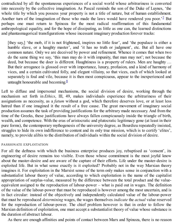contradicted by all the spontaneous experiences of a social world whose arbitrariness is converted into necessity by the collective imagination. As Pascal reminds the son of the Duke of Luynes, 'the whole title by which you possess your property is not a title of nature, but of human establishment. Another turn of the imagination of those who made the laws would have rendered you poor.<sup>'</sup> But perhaps one must return to Spinoza for the most radical reaffirmation of this fundamental anthropological equality, and for the hope of dissipating, as little as one can, the learned distinctions and phantasmagorical transfigurations whose incessant imaginary production forever tracks:

[they say,] 'the mob, if it is not frightened, inspires no little fear', and 'the populace is either a humble slave, or a haughty master', and 'it has no truth or judgment', etc. But all have one common nature. Only we are deceived by power and refinement. Whence it comes that when two do the same thing we say, 'this man may do it with impunity, that man may not'; not because the deed, but because the doer is different. Haughtiness is a property of rulers. Men are haughty … But their arrogance is glossed over with importance, luxury, profusion, and a kind of harmony of vices, and a certain cultivated folly, and elegant villainy, so that vices, each of which looked at separately is foul and vile, because it is then most conspicuous, appear to the inexperienced and untaught honourable and becoming.<sup>[8](#page-86-7)</sup>

Left to diffuse and impersonal mechanisms, the social division of desire, working through the mechanism set forth in *Ethics*, III, 49, makes individuals experience the arbitrariness of their assignations as necessity, as a *fatum* without a god, which therefore deserves love, or at least less hatred than if one imagined it the result of a free cause. The great movement of imaginary social production assumes the task of providing justifications for the arbitrary made necessary. And from the time of the Greeks, these justifications have always fallen conspicuously inside the triangle of birth, wealth, and competence. With the eras of aristocratic and plutocratic legitimacy gone (at least in their pure forms), the contemporary mythogenesis of the university degree, as Bourdieu repeatedly insisted, struggles to hide its own indifference to content and its only true mission, which is to certify 'elites', namely, to provide alibis to the distribution of individuals within the social division of desire.

# PASSIONATE EXPLOITATION

For all the deftness with which the business enterprise produces joy, rebaptised as 'consent', its engineering of desire remains too visible. Even those whose commitment is the most joyful know about the master-desire and are aware of the capture of their efforts. Life under the master-desire is exploited life. But in what sense exactly is it exploited? Probably not in the way Marxian theory imagines it. For exploitation in the Marxist sense of the term only makes sense in conjunction with a substantialist labour theory of value, according to which exploitation is the name of the capitalist appropriation of surplus-value, measured by the difference between the total product and the valueequivalent assigned to the reproduction of labour-power – what is paid out in wages. The definition of the value of the labour-power that must be reproduced is however among the most uncertain, and is in fact circular: instead of the objectively and independently calculated value of the labour-power that must be reproduced *determining* wages, the wages themselves *indicate* the *actual* value reserved for the reproduction of labour-power. The chief problem however is that in order to follow the Marxian definition of exploitation, one must accept a substantialist theory of value whose substance is the duration of abstract labour.

As there are enough affinities and points of contact between Marx and Spinoza, there is no reason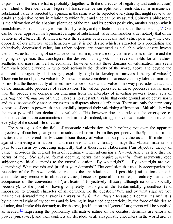to pass over in silence what is probably (together with the dialectics of negativity and contradiction) their chief difference: value. Figure of transcendence surreptitiously reintroduced in immanence, substantial value is rejected by Spinoza in the same way he rejected everything that might serve to reestablish objective norms in relation to which fault and vice can be measured. Spinoza's philosophy is the affirmation of the absolute plenitude of the real and its perfect positivity, another reason why it scandalises: for it is not easy to hear that 'by reality and perfection I understand the same thing'.<sup>[9](#page-86-8)</sup> One can however approach the Spinozist critique of substantial value from another side, notably that of the Scholium of *Ethics*, III, 9, which inverts the relation between desire and value, positing – the exact opposite of our intuitive apprehension – that it is not desire which is attracted to a preexisting and objectively determined value, but rather objects are constituted as valuable when desire invests them.<sup>[10](#page-86-9)</sup> Value has nothing of substance contained in it; there are only the investments of desire and the ongoing axiogenesis that transfigures the desired into a *good*. This reversal holds for all values, aesthetic and moral as well as economic, however distant these domains of valorisation may seem from each other. (Durkheim, who took seriously the identity of the word, above and beyond the apparent heterogeneity of its usages, explicitly sought to develop a transversal theory of value.<sup>[11](#page-86-10)</sup>) There can be no objective value for Spinoza because complete immanence can only tolerate immanent norms. But the theoretically affirmed inexistence of substantial value in no way precludes an account of the innumerable processes of valorisation. The values generated in these processes are no more than the products of composition emerging from the interplay of investing powers, hence acts of *positing* and *affirmations* of value. There is no substantial value that could ground an objective norm and thus incontestably anchor arguments in disputes about distribution. There are only the temporary victories of certain powers that successfully imposed their valorising affirmations. Valuable is what the most powerful has declared as valuable. This however does not rule out the emergence of dissident valorisation communities in certain fields; indeed, struggles over valorisation constitute the everyday of the social life of value.

The same goes for the field of economic valorisation, which nothing, not even the apparent objectivity of numbers, can ground in substantial norms. From this perspective, the Spinozist critique invites rather to reread the Marxian labour theory of value and surplus-value as an affirmation set against competing affirmations – and moreover as an involuntary homage that Marxian materialism pays to idealism by conceding implicitly that a theoretical elaboration ('an objective theory of value') provides the highest form of legitimacy when advancing a *demand*. And it is true that the norms of the *public sphere*, formal debating norms that require *generality* from arguments, keep subjecting political demands to the eternal question, 'By what right?'  $-$  'By what right are you demanding? What grounds and justifies your demands?' The confusion that usually accompanies the reception of the Spinozist critique, read as the annihilation of all possible justifications since it annihilates any recourse to objective values, hence to 'general' principles, is entirely due to the acceptance of the convention of 'justification' (objectively illusory although no doubt socially necessary), to the point of having completely lost sight of the fundamentally groundless (and impossible to ground) character of all demands. To the question 'Why and by what right are you making this demand?' the answer is always *in the final analysis* 'Because': 'Because it's me'. It is by the natural right of my conatus and following its ingrained egocentricity, by the force of this desire of mine, that I make this demand; as for the rest, justification and 'general' arguments will be supplied as needed.<sup>[12](#page-86-11)</sup> Expressing the profoundly affirmative nature of the conatus, demands are efforts of power [*puissance*], and their conflicts are decided, as all antagonistic encounters in the world are, by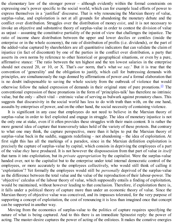the elementary law of the stronger power – although evidently within the formal constraints on expressing one's power specific to the social world, which can for example lead efforts of power to express themselves in a 'justified' discourse. That is why renouncing the Marxian theory of value, surplus-value, and exploitation is not at all grounds for abandoning the monetary debate and the conflict over distribution. Struggles over the distribution of money *exist*, and it is not necessary to invoke an objective and substantive theory of surplus-value in order to contest the division of value as unjust – assuming the constitutive partiality of the point of view that challenges the injustice. The ratio of income share distribution between the upper and lower deciles or centiles (inside the enterprise or in the whole economy), the rate of distribution of profits (i.e. dividends), or the part of the added-value captured by shareholders are all quantitative indicators that can validate the claim of injustice (in fact of discontent) by one of the parties in the conflict over distribution, a party that asserts its own norms by reference to other historical or geographical situations, or even by a pure, affirmative stance: 'The ratio between the ten highest and the ten lowest salaries in the enterprise should not exceed 20, or 10, or X. That's *our* norm, that's what *we say*.' But it is true that the convention of 'generality' and the obligation to justify, which call for buttressing demands with principles, are simultaneously the rags donned by affirmations of power *and* a formal elaboration that is no doubt indispensable to saving the whole society from the outbreak of violence that would otherwise follow the naked expression of demands in their original state of pure pronations.<sup>[13](#page-86-12)</sup> The conventional expression of these pronations in the form of 'principles-talk' has therefore no intrinsic value, but the only – albeit vital – extrinsic value of serving as bulwark against pronatory chaos. This suggests that discursivity in the social world has less to do with truth than with, on the one hand, assaults by enterprises of power, and on the other hand, the social necessity of containing violence.

It is significant in any case that employees do not need to believe in the Marxian theory of surplus-value in order to feel exploited and engage in struggle. The idea of monetary injustice is not the only one at stake, even if it often provides these struggles with their main content. It is rather the more general idea of capture that transversely takes hold of the variety of these protests. But contrary to what one may think, the capture perspective, more than it helps to put the Marxian theory of surplus-value back in the saddle, suggests redefining – not abandoning – the idea of exploitation. At first sight this has all the markings of a paradox, since in the Marxian definition exploitation is precisely the capture of surplus-value by capital, which consists in depriving the employees of a part of the value *they* have produced. It is not however the dispossession from that part of value *in itself* that turns it into exploitation, but its *private appropriation* by the capitalist. Were the surplus-value handed over, not to the capitalist but to the enterprise under total internal democratic control of the employees, or more accurately to the employees collectively, who would still think of calling it 'exploitation'? Yet formally the employees would still be *personally* deprived of the surplus-value as the difference between the total value and the value of the reproduction of their labour-power. The 'objective' calculus of the labour theory of value, which supposedly entails a finding of exploitation, would be maintained, without however leading to that conclusion. Therefore, if exploitation there is, it falls under a political theory of capture more than under an economic theory of value. Since the Marxian theory of objective value was conceived, and its impasses tolerated, for the very purpose of supporting a concept of exploitation, the cost of renouncing it is less than imagined once that concept can be supported in another way.

Moving from the economics of surplus-value to the politics of capture requires specifying the nature of what is being captured. And to this there is an immediate Spinozist reply: the power of acting. The master-desire captures the power of acting of the enlistees. It makes the conative energies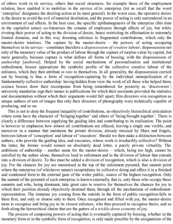of others work in its service, others that social structures, for example those of the employment relation, have enabled it to mobilise in the service of *its* enterprise (let us recall that the word 'enterprise' designates the desiring action at its most general). In the worst case, the operative desire is the desire to avoid the evil of material destitution, and the power of acting is only surrendered in an environment of sad affects. In the best case, the specific epithumogenesis of the enterprise (this time in the capitalist sense) co-linearises the conatus of employees through affects of joy, but while riveting their power of acting to the division of desire, hence restricting its effectuation to extremely limited domains, and in this way dooming enlistees to fragmented contributions, which only the master-desire totalises. The capture by the master-desire – the powers of acting occupying themselves in its service – constitutes therefore a *dispossession of creative labour*, dispossession not only of the monetary value of the product of labour through the capture of surplus-value by capital, but more generally, because capture is what defines all forms of bossing, with the dispossession of *authorship* [*authorat*]. Helped by the social mechanisms of personalisation and institutional embodiment, bosses appropriate the symbolic profits of the collective creative labour of the enlistees, which they then attribute *in toto* to themselves. In all generality, the dispossession carried out by bossing is thus a form of recognition-capturing by the individual monopolisation of a fundamentally collective authorship: having hidden from view the work of all those who helped them, science bosses draw their recompense from being remembered for posterity as 'discoverers'; university mandarins sign their names to publications for which their assistants provided the statistics and documentation without which their arguments would fall apart; film directors win recognition as unique authors of sets of images that only their directors of photography were technically capable of producing, and so on.

This is not to deny the frequent inequality of contributions, an objectively hierarchical articulation where some have the character of 'bringing together' and others of 'being brought together'. There is clearly a difference between supplying the guiding idea and contributing to its realisation. The point is however to emphasise how almost all contributions are effaced, leaving a single one visible, and moreover in a manner that maintains the primal division, already stressed by Marx and Engels, between labour of 'conception' and labour of 'execution'. Should we then make a distinction between authors, who provide the guiding idea, and executors, whose work is irreducibly collective? Without the latter, the former would remain an absolutely dead letter, a purely private virtuality. The ambitions of authorship – another name for the master-desire – which, being too high, cannot be satisfied by the author alone, themselves lead to enlistment and to the division of labour that extends into a division of desire. To this must be added a division of recognition, which is also a division of joy. For the chances for joy are maximised at the top of the enlistment pyramid, that summit point where the enterprise (of whichever nature) recapitulates its collective doing and offers it in a finished and condensed form to the external gaze of the wider public, source of the highest recognition. Only the summit of the pyramid of each enterprise is known externally, that is, only those who occupy those summits and who, being dominant, take great care to reserve for themselves the chances for joy to which their position already objectively destined them, through all the mechanisms of embodimentrepresentation. The immense joy coming from the outside in the form of public recognition falls to them first, and only or almost only to them. Once recognised and filled with joy, the master-desire turns to recognise and bring joy to its closest enlistees, who then proceed to recognise theirs, and so forth along the hierarchical chains that are the gutters of a *trickle-down economy* of joy.

The process of composing powers of acting that is eventually captured by bossing, whether in the monetary form or in the symbolic form of recognition, is only made possible by the assignations of the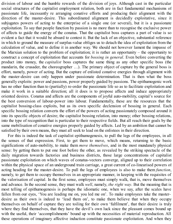division of labour and the humble rewards of the division of joys. Although cast in the particular social structures of the capitalist employment relation, both are in fact fundamental mechanisms of passionate life, incessantly re arranging conative efforts and producing their alignment with the direction of the master-desire. This subordinated alignment is decidedly exploitative, since it subjugates powers of acting to the enterprise of a single one (or several), but it is a passionate exploitation. To say that people function by passion is no more than to recognise the exclusive power of affects to guide the energy of the conatus. That the capitalist boss captures a part of value is so evident a fact that it would be absurd to contest it. But the lack of an objective, substantial reference in which to ground the measure of surplus-value obliges us to detach the idea of exploitation from the calculation of value, and to define it in another way. We should not however lament the impasse of the Marxian solution to the problem of exploitation; it is rather an opportunity – the opportunity to construct a concept of exploitation that accounts for *bossing in general*. Even before converting the product into money, the *capitalist* boss captures the same thing as any other specific boss (the mandarin, the crusader, the choreographer …). The primary object of capture by the general boss is effort, namely, power of acting. But the capture of enlisted conative energies through alignment with the master-desire can only happen under passionate determination. That is then what the boss generally exploits: power and passions, power properly guided by passions. The epithumogenic work has no other function than to (partially) re-order the passionate life so as to facilitate exploitation and make it work in a suitable direction; all it does is to propose affects and induce appropriately oriented desires. Conatus and affects are the components of joyful auto-mobility, capital's source for the best conversion of labour-power into labour. Fundamentally, these are the resources that the capitalist bossing-class exploits, but as its own specific declension of bossing in general. Each specific bossing relation converts the effort of the powers of acting passionately composed around it into its specific objects of desire; the capitalist bossing relation, into money; other bossing relations, into the type of recognition that is particular to their respective fields. But all reach their goals by the same mobilisation of conative energies properly guided by affects. Led by an ambition that cannot be satisfied by their own means, they must all seek to lead on the enlistees in their direction.

For this is indeed the task of capitalist epithumogenesis, to pull the legs of the employees, in all the senses of that expression. First, to get them to move, which means, returning to the basic significations of auto-mobility, to make them *move themselves*, and in the most mundanely physical sense: by getting them to put one foot before the other, as revealed by the striking spectacle of the daily migration towards factories and business districts, those large concentrations of capitalist passionate exploitation on which waves of conatus-vectors converge, aligned up to their correlation within the physical space of an underground train carriage, a great current of co-linearised powers of acting heading for the master-desire. To pull the legs of employees is also to make them *function*, namely, to get them to occupy themselves in an appropriate manner, in keeping with the requisites of the valorisation of capital. In the first sense, employees must simply walk, that is, move themselves and advance. In the second sense, they must walk *well*, namely, *the right way*. But the meaning that is most telling of epithumogenesis is perhaps the idiomatic one, when we say, after the scales have fallen from our eyes, 'You are leading me on, you led me on'. To make employees take the masterdesire as their own is indeed to 'lead them on', to make them believe that when they occupy themselves on behalf of capture they are toiling for their own 'fulfilment', that their desire is truly where they find themselves, that they have the devil's own luck since the pleasant comes bound up with the useful, their 'accomplishments' bound up with the necessities of material reproduction. All these operations of imaginary affective induction constitute passionate exploitation. And when they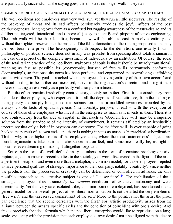are particularly successful, as the saying goes, the enlistees no longer walk – they run.

## COMMUNISM OR TOTALITARIANISM (TOTALITARIANISM, THE HIGHEST STAGE OF CAPITALISM?)

The well co-linearised employees may very well run; yet they run a little sideways. The residue of the backdrop of threat and its sad affects persistently muddles the joyful affects of the best epithumogeneses, hanging over them as a confused but nagging awareness of the master-desire and its deliberate, targeted, intentional, and (above all) easy to identify and pinpoint affective engineering. The crab walk will be their lot, first, because few will be able to cast themselves entirely and without the slightest reserve into the project of the full colonisation of their being proposed to them by the neoliberal enterprise. The heterogeneity with respect to the definitions one usually finds in philosophy or political science does not in any way prohibit from speaking about totalitarianism in the case of a project of the complete investment of individuals by an institution. Of course, the ideal of the totalitarian practice of the neoliberal makeover of souls is that it should be merely transitional, reaching as fast as possible its (oxymoronic) horizon of free wills permanently conforming ('consenting'), so that once the norm has been perfected and engrammed the normalising scaffolding can be withdrawn. The goal is reached when employees, 'moving entirely of their own accord' and without needing to be further co-linearised, strive in the organization's direction and bring it their power of acting unreservedly as a perfectly voluntary commitment.

But the effort remains irreducibly contradictory, doubly so in fact. First, it is contradictory from the side of the employees, who experience it at all the degrees of recalcitrance, from the feeling of being purely and simply bludgeoned into submission, up to a muddled awareness troubled by the always visible facts of epithumogenesis (intentionality, purpose, threat) – with the exception of course of those elite employees who invest in the enterprise as much as it invests in them. Then, it is also contradictory from the side of capital, in that much as 'obedient free will' may be a superior solution from the standpoint of the intensity of commitment, it remains afflicted by an irreducible uncertainty that only a belief in oxymora can overcome. For the 'free will' is ever capable of going back to the pursuit of its own ends, and there is nothing it hates as much as hierarchical subordination. That is why in the highest ranks of the employee-class, where the most 'autonomous' subjects are found, organisations take pains to make subordination feel, and sometimes really be, as light as possible, even dreaming of making it altogether forgotten.

Some in the form of a well-defined analysis, others in the form of premature prophesy or naive rapture, a good number of recent studies in the sociology of work discovered in the figure of the artist a pertinent metaphor, and even more than a metaphor, a common model, for those employees reputed to have personal qualities of strategic importance to their company, notably 'creativity'. Since neither the products nor the processes of creativity can be determined or controlled in advance, the only possible approach to the creative subject is one of 'laissez-faire'.<sup>[14](#page-86-13)</sup> The mobilisation of these strategic employees thus assumes *by its essence* conditions of extensive autonomy and weak directionality. Yet this very rare, isolated tribe, this limit-point of employment, has been turned into a general model for the overall project of neoliberal normalisation. Is not the artist the very emblem of 'free will', and the unreserved commitment of the self? More to the point, is not the artist the proof par excellence that the second correlates with the first? For artistic productivity arises from the alliance between the artist's specific skills and the condition of coinciding with one's desire. And this is precisely the ideal formula which the neoliberal enterprise would like to reproduce on a large scale, evidently with the provision that each employee's 'own desire' must be aligned with the desire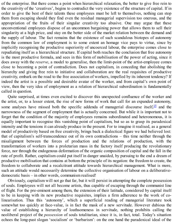of the enterprise. But there comes a point when hierarchical relaxation, the better to give free rein to the creativity of the 'creatives', begins to contradict the very existence of the structure of capital. If in order to give the best of their talents these employees must be left to themselves, nothing can stop them from escaping should they find even the residual managerial supervision too onerous, and the appropriation of the fruits of their singular creativity too abusive. One may argue that these unconventional employees dispose of an uncommon bargaining power that allows them to sell their singularity at a high price, and stay on the better side of the market relation between the demand and the supply of labour. The fact remains that the existence of such scandalous biotopes of autonomy from the common law of employment is to some extent an homage vice pays to virtue, since by implicitly recognising the productive superiority of uncoerced labour, the enterprise comes close to repudiating itself as a hierarchical structure. If capital both reaches the conclusion that free autonomy is the most productive formula, and sees in this form of mobilisation of the power of acting, since it does away with the *reserve*, a model to generalise, then the limit-point of the artist-employee comes close to becoming a point of contradiction. Does not capitalism, in conceding that abolishing the hierarchy and giving free rein to initiative and collaboration are the real requisites of productive creativity, embark on the road to the free association of workers, impelled by its inherent tendency? If indeed the artist is a possible and desirable avatar of the worker, and from capital's own point of view, then the very idea of employment as a relation of hierarchical subordination is fundamentally called in question.

Quite surprised, at times even excited to discover this unexpected confluence of the worker and the artist, or, to a lesser extent, the rise of new forms of work that call for an expanded autonomy, some analyses have missed both the specific addenda of managerial discourse itself,  $\frac{15}{12}$  $\frac{15}{12}$  $\frac{15}{12}$  and the narrowness of the segment of employment that is actually concerned. But while it is important not to forget that the condition of the majority of employees remains subordinated and heteronomous, it is equally important to recognise this vanishing point of capitalism, but so as to grasp its paradoxical intensity and the tensions it can already produce in the present. For to imagine it realised, as a general model of productivity based on free creativity, brings back a dialectical figure we had believed lost: that of capitalism's self-transcendence out of its own contradictions – this time neither through the misalignment between the forces of production and the relations of production, with the transformation of workers into a proletarian mass in the factory itself producing the revolutionary force, nor through the endogenous deformation of the organic composition of capital and the fall in the rate of profit. Rather, capitalism could put itself in danger unaided, by pursuing to the end a dream of productive mobilisation that contains at bottom the principle of its negation: the freedom to create, the freedom to collaborate and a recalcitrant attitude towards hierarchical management. What is more, such an attitude would necessarily determine the collective organisation of labour on a deliberativedemocratic basis – in other words, communism realised!

Obviously, capitalism will not go that far, but it will persist in attempting the complete possession of souls. Employees will not all become artists, thus capable of escaping through the communist line of flight. For the pre-eminent among them, the extension of their latitude, considered by capital itself to be in keeping with its new productive requisites, implies a firm adherence to the work of colinearisation. Thus this 'autonomy', which a superficial reading of managerial literature took somewhat too quickly at face-value, is in fact the mask of a new servitude. However dubious the value of establishing a hierarchy of loathsomeness in servitude, nothing prohibits calling the neoliberal project of the *possession* of souls totalitarian, since it is, in fact, total. Today's situation echoes the long-past slogan 'socialism' or 'barbarism': on the one hand the paradoxical ideal of the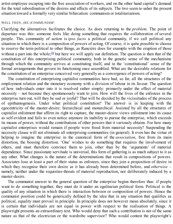artist-employee escaping into the free association of workers, and on the other hand capital's demand for the total subordination of the desires and affects of its subjects. The two seem to usher the present situation toward a formally very similar bifurcation: communism or totalitarianism.

#### WELL THEN, (RE-)COMMUNISM!

Clarifying the alternatives facilitates the choice. As does returning to the *problem*. The point of departure was this: someone feels like doing something that requires the collaboration of several people. This community of action is *ipso facto* a political community, if we call political any situation in which there is a composition of powers of acting. Of course, it is quite possible to choose to reserve the term political to other things, as Rancière does for example with the eruption of those without a part into the whole;  $\frac{16}{10}$  $\frac{16}{10}$  $\frac{16}{10}$  but here we will apply our definition. The question is then that of the constitution of this enterprising political community, both in the genetic sense of the mechanisms through which the community arrives at constituting itself, and in the 'constitutional' sense of the formal arrangements that govern its functioning once assembled. What are the desirable relations for the constitution of an enterprise conceived very generally as a convergence of powers of acting?

The constitution of enterprising capitalist communities have had, so far, all the structures of the employment relation and the monetary economy with a division of labour in its favour. The question of how individuals enter into it is resolved rather simply: primarily under the effect of material necessity – not because they spontaneously want to join. How will the lives of the enlistees in the enterprise turn out, will they be sad or joyful? That will be decided by the vicissitudes of the process of epithumogenesis. Under what political constitution? The answer is in keeping with the egocentricity of the master-desire: hierarchical and monarchical. Assisted by all the structures of capitalist enlistment that affirm its right to capture, the master-desire views enlistment into its cause as self-evident and fails to even notice anymore its inability to pursue the enterprise, which exceeds its means of power, without the contributions of other powers that it variously obtains. For how many capitalist enterprises would remain if people were freed from material necessity? Suspending the necessity clause will not eliminate all enterprising communities (in general). It even has the virtue of helping to imagine the enterprise in the canonical form of the *association*, free from its main distortion, the bossing distortion. 'One' wishes to do something that requires the involvement of others, and must therefore convince them to join, other than by the 'arguments' of material dependence. Since passionate servitude is universal, this form of gathering is as much subject to it as any other. What changes is the nature of the determinations that result in compositions of powers. Associates lose at least a part of their status as enlistees, since they join a proposition of desire in which they recognise their own desire as it has already been determined before, and *otherwise* – namely, neither under the requisites-threats of material reproduction, nor deliberately induced by a master-desire.

The communist answer to the general question of the enterprise begins therefore thus: if people want to do something together, they must do it under an egalitarian political form. Political is the quality of any situation in which there is interaction between or composition of powers. Hence the communist position could be generically defined by the idea that in any situation that qualifies as political, equality must prevail in principle. In principle does not however mean absolutely, since it is certain that individuals are not equal in power with respect to the realisation of things. A playwright presents an extraordinary text. Who would deny that such a contribution is not of the same nature as that of the electrician or the wardrobe supervisor? Who would contest the playwright's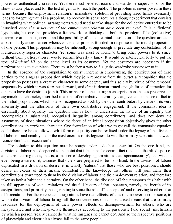power as authentically creative? Yet there must be electricians and wardrobe supervisors for the show to take place, and for the text of genius to reach the public. The problem is never posed in these terms, because the employment relation's 'immediate' solution of providing hired hands eventually leads to forgetting that it is a problem. To recover its sense requires a thought experiment that consists in imagining what political arrangements would need to take shape for the collective enterprise to be launched, *once the structures of the employment relation have been removed* . It is a fictional hypothesis, but one that provides a framework for thinking out both the problem of the (collective) enterprise at its most general, and the possibility of its non-capitalist solutions. The question arises in a particularly acute manner whenever the enterprise is founded in response to the initial proposition of one person. This proposition may be inherently strong enough to preclude any contestation of its hierarchically superior character. Yet some way must be found to bring other powers to it, since without their participation it would remain literally a fancy. It would be intellectual folly to put the text of *Richard III* on the same level as its costumes. Yet the costumes are necessary if the performance is to take place. There must be then a way to *bring* the wardrobe supervisor to it.

In the absence of the compulsion to enlist inherent in employment, the contributions of third parties to the singular proposition which they join represent from the outset a recognition that the proposition possesses a creative character to some degree, and this solely by virtue of the temporal sequence by which it was *first* put forward, and *then* it demonstrated enough force of attraction for others to have the desire to join it. This manner of constituting an enterprise nonetheless preserves an asymmetrical character, inscribed in a kind of contributive hierarchy that gives an eminence of fact to the initial proposition, which is also recognised as such by the other contributors by virtue of its very anteriority and the ulteriority of their own contributive engagement. If the communist idea is essentially about equality, the question then is how to understand the nature of an equality that accompanies a substantial, recognised inequality among contributors, and does not deny the asymmetry of those situations where the force of an initial proposition objectively gives the other contributions an *auxiliary* character. One formulation of what we might call the communist equation could therefore be as follows: what form of equality can be realised under the legacy of the division of labour – and notably under the most onerous of its legacies, to wit, the primary separation between 'conception' and 'execution'?

The solution to this equation must be sought under a double constraint. On the one hand, the division of labour has deepened to the point that it became the central fact (and also the blind spot) of an entire desiring ethos, that is, a manner of developing ambitions that 'spontaneously', and without even being aware of it, assumes that others are prepared to be mobilised. In the division of labour duplicated in a division of desire, it is wholly 'natural' that those who are best positioned should desire in excess of their means, confident in the knowledge that others will join them, their contributions guaranteed to them by the division of labour and the employment relation, and therefore taken as both a habit and a certainty. On the other hand, the division of labour supports this habit with its full apparatus of social relations and the full history of that apparatus, namely, the inertia of its assignations, and primarily those granting to some the role of 'conception' and reserving to others that of 'execution.' For these repeated assignations have real effects: effects of empowerment for some, to whom the division of labour brings all the conveniences of its specialised means that are so many resources for the deployment of their power; effects of disempowerment for others, who are incapacitated and who incapacitate themselves according to the passionate (and social) mechanism by which a person 'really cannot do what he imagines he cannot do'. And so the respective positions of playwright and electrician always fall to the same people.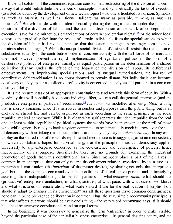<span id="page-72-1"></span><span id="page-72-0"></span>If the full solution of the communist equation consists in a restructuring of the division of labour in a way that would redistribute the chances of conception – and symmetrically the tasks of execution (assisted no doubt by the development of new technologies) – no one articulated its horizon, Spinozist as much as Marxist, as well as Étienne Balibar: 'as many as possible, thinking as much as possible'.<sup>[17](#page-86-0)</sup> But what to do with the idea of equality during the long transition, under the persistent constraint of the division of labour and the unequal distribution of the work of conception and execution, save for the miraculous emancipations of certain 'proletarian nights', <sup>[18](#page-86-1)</sup> or the minor local victories that gradually facilitate the rescue of certain individuals from the specialisations to which the division of labour had riveted them, so that the electrician might increasingly come to have opinions about the staging? While the unequal social division of desire still resists the realisation of substantive equality in the contributive order of concrete activity with the full force of its inertia, it does not however prevent the rapid implementation of egalitarian politics in the form of a deliberative politics of enterprise, namely, as equal participation in the determination of a shared collective destiny. Under the effect of the legacy of the division of labour, its differential empowerments, its imprisoning specialisations, and its unequal authorisations, the horizon of contributive dehierarchisation is no doubt doomed to remain distant. Yet individuals can become equal very quickly, as far as collective reflexivity is concerned, namely, as full partners in a common destiny of doing.

<span id="page-72-2"></span>It is the recurrent task of an appropriate constitution to tend towards this form of equality. With a wordplay that will hopefully have some inducing effect, we can call the general enterprise (and the productive enterprise in particular) recommune, [19](#page-86-2) *res communa* modelled after *res publica*, a thing that is merely common, since it is narrower in number and purposes than the public thing, but is an enclave of shared life and can be organised as such according to the same principle as the ideal republic: radical democracy. While it is clear what gulf separates the ideal republic from the real one, at least within 'republican' political systems the words have been spoken, at the peril of those who, while generally ready to back a system committed to systematically mock it, crow over the idea of democracy without taking into consideration that one day they may be *taken seriously*. In any case, to play on the shared root of the words republic and recommune is to suggest, against an inconsistency on which capitalism's hopes for survival hang, that the principle of radical democracy applies universally to any enterprise conceived as the co-existence and convergence of powers, hence independently of its purpose. Specifically, there are no grounds for exempting the industrial production of goods from this constitutional form. Since members place a part of their lives in common in an enterprise, they can only escape the enlistment relation, two-tiered by its nature as a monarchical constitution (the *imperium* of the master-desire), by sharing not only the enterprise's goal but also the complete command over the conditions of its collective pursuit, and ultimately by asserting their indisputable right to be full partners in what *concerns them*: what should the (productive) enterprise manufacture, in what quantities, at what pace, with what size of workforce and what structures of remuneration; what scale should it use for the reallocation of surplus, how should it adapt to changes in its environment? As all these questions have common consequences, none can in principle escape deliberation in common. Thus, the very simple recommunist principle is that what affects everyone should be everyone's thing – the very word recommune says it! It should be debted by everyone constitutionally and on equal terms.

In the beginning it was necessary to generalise the term 'enterprise' in order to make visible, beyond the particular case of the capitalist business enterprise – its general desiring nature, and the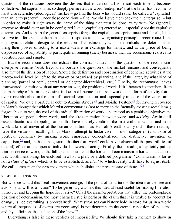question of the relations between the desires that it cannot fail to elicit each time it becomes collective. But capitalism has so deeply permeated the word 'enterprise' that the latter has become its most characteristic (ideological) marker – go find the boss who would rather be called a 'capitalist' than an 'entrepreneur'. Under these conditions – fine! We shall give them back their 'enterprise' – but in order to make it right away the name of the thing that must be done away with. No (general) enterprise should ever again be configured like a (capitalist) enterprise – especially not the capitalist enterprises. And to help the general enterprise forget the capitalist enterprise once and for all, let us reserve to it for example the name that corresponds to its new organising principle: recommune. If the employment relation designates the relation of enlistment by which individuals are determined to bring their power of acting to a master-desire in exchange for money, and at the price of being dispossessed of any ability to participate in running (their) business, then the recommune realises its abolition pure and simple.

<span id="page-73-1"></span><span id="page-73-0"></span>But the recommune does not exhaust the communist idea. For the question of the recommuneenterprise remains *local*. Beyond its borders the question of the market remains, and consequently also that of the division of labour. Should the definition and coordination of economic activities at the macro-social level be left to the market or organised by planning, and if the latter, by what kind of planning (partial or total, central or delegated-hierarchical, etc.)? Finally, the recommune leaves unanswered, or rather without any *new* answer, the problem of work. If it liberates its members from the monarchy of the master-desire, it does not liberate them from work as the form of activity that is ever more absorbed in the aims of material reproduction, and especially in those of the valorisation of capital. We owe a particular debt to Antoine Artous  $\frac{20}{2}$  $\frac{20}{2}$  $\frac{20}{2}$  and Moishe Postone<sup>[21](#page-86-4)</sup> for having recovered in Marx's thought that which Marxist commentaries (not to mention the 'actually existing socialisms') forgot about, to wit, the goal of the radical liberation of work, understood as a genitive objective: the liberation of people *from* work, and the (re)separation between *work* and *activity*. Against all essentialisations-anthropologisations that have entirely confused the first with the second and made work a kind of universal of the human condition – as Hannah Arendt notably did – these readings have the virtue of recalling, both Marx's attempt to historicise his own categories (and those of political economy) by making work, rigorously conceptualised, the distinctive invention of capitalism,  $\frac{22}{3}$  $\frac{22}{3}$  $\frac{22}{3}$  and, in the same gesture, the fact that 'work' could never absorb all the possibilities of (social) effectuations open to individual powers of acting. Finally, these readings explicitly put the transcendence of work, to the full extent possible, at the horizon of communism, a horizon that cannot, it is worth mentioning, be enclosed in a list, a plan, or a defined programme: 'Communism is for us not a *state* of *affairs* which is to be established, an *ideal* to which reality will have to adjust itself. We call communism the *real* movement which abolishes the present state of things.<sup>2[23](#page-86-6)</sup>

#### <span id="page-73-3"></span><span id="page-73-2"></span>SEDITIOUS PASSIONS

But whence would this 'real' movement emerge, if the point of departure is the idea that the free and autonomous will is a fiction? To be generous, was not this idea at least useful for making liberation thinkable, and keeping the hope for it alive? Of all the misinterpretations that afflict the philosophical position of determinism, the most characteristic is perhaps the claim that it is unable to account for change, 'since everything is preordained'. What surprises can history hold in store for us in a world where all sequences of events are necessary? Is not determinism the eternal repetition of the same, and, by definition, the exclusion of the 'new'?

Everything is false in these verdicts of impossibility. We should first take a moment to show in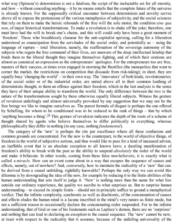what way (Spinoza's) determinism is not a fatalism, the script of the ineluctable set for all eternity, and how – without conceding anything – it by no means entails that the complete future of the universe is already known. For the supposedly critical encounter between determinism and novelty serves above all to expose the pretensions of the various metaphysics of subjectivity, and the social sciences that rely on them to make the heroic rebounds of the free will the sole motor, the condition *sine qua non*, of major historical transformations. To make a revolution is to shake off the yoke; therefore, one must have had the will to break one's chains, and this will could only have been a great moment of 'freedom'. Those who breathlessly clamour for the anti-capitalist uprising, calling for a liberation understood as emancipation from the servitudes of the social order, and potentially as – using the language of rupture – total liberation, namely, the reaffirmation of the sovereign autonomy of the subjects who regain the free command of their lives, are unaware of the deep intellectual kinship that binds them to the liberal thought they imagine themselves fighting, and of which their orations are almost as canonical an expression as the entrepreneurs' apologies. For the entrepreneurs too are free, masters of their success, at times even engaged in storming the Bastilles (the monopolies that want to corner the market, the restrictions on competition that dissuade from risk-taking); in short, they are equally busy 'changing the world' – in their own way. The 'innovators' of both kinds, revolutionaries of the social order or of the industrial order, are united above all in their common loathing of deterministic thought, to them an offence against their freedom, which in the last analysis is the sense they have of their unique ability to transform the world. The only difference between the two is the nature of the transformations sought by these otherwise equally liberal subjects. Witness the gesture of revulsion unfailingly and almost universally provoked by any suggestion that we may not be the free beings we like to imagine ourselves as. The purest formula of disgust is perhaps the one offered by Schelling, for whom to be conditioned was to be reduced to the rank of things – that by which 'anything becomes a thing'.  $\frac{24}{1}$  $\frac{24}{1}$  $\frac{24}{1}$  This gesture of revulsion indicates the depth of the roots of a scheme of thought shared by agents who believe themselves to differ politically in everything, whereas philosophically they differ in nothing (in any case, nothing *fundamental*).

<span id="page-74-0"></span>The category of the 'new' is perhaps the site par excellence where all these confusions and common grounds are concentrated. For the new is the counterpart, in the world of objective things, of freedom in the world of subjective actions, and thus would like to pass for a kind of uncaused advent, an ineffable event that is an absolute exception to all known laws; a dazzling manifestation of freedom's ability to break with the past as the ability to suspend *absolutely* the order of the world and make it bifurcate. In other words, coming from these false non-believers, it is exactly what is called a *miracle*. How can an event come about in a way that escapes the sequence of causes and effects, namely, out of nowhere? And, conversely, how to maintain the radicality of a 'new' that can be derived from a causal unfolding, rightfully knowable? Perhaps the only way we can avoid this dilemma is by downgrading the idea of the new, for example by reducing it to the finite abilities of the human understanding that sets itself to judge it. 'New' is nothing more than the name for what lies outside our ordinary experience, the quality we ascribe to what surprises us. But to surprise human understanding – to exceed its simple limits – should not in principle suffice to ground a metaphysical verdict. That the infinite complexity, synchronic as well as diachronic, of the concatenation of causes and effects eludes the human mind is a lacuna inscribed in the mind's very nature as finite mode, but not a sufficient reason to occasionally declare the concatenating order suspended. For to the infinite understanding, that of God or one of his lieutenants such as Laplace's demon, there are no 'surprises' and nothing that can lead to declaring an exception to the causal sequence. The 'new' cannot be new, at least with respect to the radicality that it assumes, because of the unfailing universality of the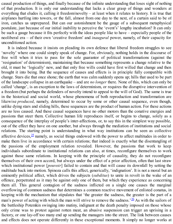causal production of things, and finally because of the infinite understanding that loses sight of nothing of that production. It is only our understanding that lacks a clear grasp of things and wonders at everything that eludes it, calling it freedom/novelty – at least when it relates to history. It is true that airplanes hurtling into towers, or the fall, almost from one day to the next, of a curtain said to be of iron, catches us unprepared. But can our astonishment be the gauge of a subsequent metaphysical postulate, just because of our initial inability to perceive the 'event's' lengthy incubation? It can only be such a gauge because it fits perfectly with the ideas people like to have – especially people of the neoliberal era – of their own 'creative freedom' and *inaugural* power, namely, of their capacity for unconditioned action.

<span id="page-75-1"></span><span id="page-75-0"></span>It is indeed because it insists on pleading its own defence that liberal freedom struggles to see 'novelty' where one could simply speak of change. For, obviously, nothing holds in the discourse of free will when it tries to pass for the sole guarantor of political transformations (against the 'resignation' of determinism), maintaining that because something represents a change relative to the old, it must be 'logically' new, and that only free wills could have first willed that change and then brought it into being. But the sequence of causes and effects is in principle fully compatible with change. Stars die that once shone; the earth that was calm suddenly opens up; hills that used to be part of the landscape collapse in an earthquake – and are *no longer* there. None of this, which can only be called 'change', is an exception to the laws of determinism, or requires the disruptive intervention of a freedom (but perhaps the defenders of novelty intend to appeal to the will of God). The same is true in the historical and social world, whose phenomena of both reproduction and transformation are likewise *produced*, namely, determined to occur by some or other causal sequence, even though, unlike dying stars and sliding hills, these sequences are the product of human action. For these actions are no less caused. And these causal sequences have no other motors than the conative energies and passions that steer them. Collective human life reproduces itself, or begins to change, solely as a consequence of the interplay of people's inter-affections, or, to say this in the simplest way possible, out of the effect they have on one another, but always through the mediation of institutions and social relations. The starting point is understanding in what way institutions can be seen as collective affective devices,  $\frac{25}{2}$  $\frac{25}{2}$  $\frac{25}{2}$  namely, as social things endowed with the power to affect multitudes in order to make them live in accordance with certain relations; that indeed is exactly what the disentangling of the passions of the employment relation revealed. However, the passions that work to keep individuals subordinate to institutional relations can also, at times, reconfigure themselves to work against those same relations. In keeping with the principle of causality, they do not reconfigure themselves of their own accord, but always under the effect of a prior affection, often that last straw which institutional power [*pouvoir*] failed to contain and that will cause its downfall by setting the multitude back into motion. Spinoza calls this affect, generically, 'indignation'. It is not a moral but an eminently political affect, which drives the subjects (*subditus*) to unite in revolt in the wake of an offence, perpetrated as it may be against only one of them, but which they experience as concerning them all. This general contagion of the sadness inflicted on a single one causes the marginal overflowing of common sadness that determines a common reactive movement of enlisted conatus, in keeping with the mechanism that stipulates that 'the greater the sadness, the greater is the part of a man's power of acting with which the man will strive to remove the sadness.  $26$  As with the sailors of the battleship Potemkin swinging into mutiny, indignant at the death penalty imposed on those whose only crime was to protest against rotten meat, an abusive suspension can trigger an uprising in a factory, or one lay-off too many end up sending the managers into the street. The link between causes and effects does not operate differently in these exceptional moments. It simply no longer works at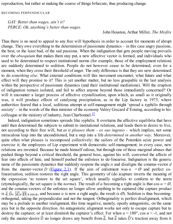reproduction, but rather at making the course of things bifurcate, thus producing change.

#### BECOMING PERPENDICULAR

*GAY: Better than wages, ain't it? PERCE: Oh, anything's better than wages*.

<span id="page-76-0"></span>John Houston, Arthur Miller, *The Misfits*

Thus there is no need to appeal to any free will hypothesis in order to account for moments of abrupt change. They owe everything to the determinism of passionate dynamics – in this case angry passions, the best, or the least bad, of the sad passions. When the indignation that gets people moving prevails over the *obsequium* that makes them stay put, a new affective vector is formed, and individuals who used to be determined to respect institutional norms (for example, those of the employment relation) are suddenly determined to sedition. People do not however cease to be determined, even for a moment, when they cross their threshold of anger. The only difference is that they are now determined to do *something else*. What external conditions will this movement encounter, what future and what effect will they promise to it? This is yet another matter, but no less graspable in the last analysis within the perspective of passionate dynamics (and their institutional mediations). Will the eruption of indignation remain isolated, and fail to affect anyone beyond those immediately concerned? Or will it encounter a larger process of affective crystallisation, upon which, as small as it originally was, it will produce effects of catalysing precipitation, as in the Lip factory in 1973, where authorities feared that a local, seditious attempt at self-management might 'spread a syphilis through society' – in the words of the then minister of the economy Valéry Giscard d'Estaing, according to his colleague at the ministry of industry, Jean Charbonnel.<sup>[27](#page-87-0)</sup>

Indeed, indignation sometimes spreads like syphilis. It overturns the affective equilibria that have until then determined the subjects to submit to institutional relations, and leads them to desire to live, not according to their free will, but *as it pleases them* – *ex suo ingenio* – which implies, not some miraculous leap into the unconditioned, but a step into a life *determined in another way*. Moreover, quite often what pleases is recomposed collectively: the sailors of the Potemkin seize power and exercise it; the employees of Lip experiment with democratic self-management; in every case, new relations are invented. Because he made himself odious, but through one of those marginal abuses that pushed things beyond a critical threshold, the general boss, against his will, converted the affects of fear into affects of hate, and himself pushed the enlistees to de-linearise. Indignation is the generic name of the passionate dynamics that suddenly reopens the angle  $\alpha$  and disaligns the conatus-vector  $d$ from the master-vector *D* [\(Figure](#page-77-0) 2.1). If the aim of enlistment was  $\alpha = \emptyset$  and perfect colinearisation, sedition restores the right angle. This geometry of (de-)capture inverts the meaning of the expression 'to restore to the set square', which usually signifies to conform to the norm (etymologically, the set square is the *norma*). The result of  $\alpha$  becoming a right angle is that cos  $\alpha = \emptyset$ , and the conatus-vectors of the enlistees no longer allow anything to be captured (the capture product is  $\vec{d}$ ,  $\vec{D} = |\vec{d}| \times |\vec{D}| \times \cos \alpha$ , and because  $\alpha$  is now a right angle, the result is  $\emptyset$ ). Sedition is thus becomingorthogonal, taking the perpendicular and not the tangent. Orthogonality is perfect disalignment, which may be a prelude to another realignment, this time negative, namely, openly antagonistic, on the same axis but in the opposite direction. An antagonistic alignment works not only to escape capture but to destroy the capturer, or at least diminish the capturer's effect. For when  $\alpha = 180^{\circ}$ , cos  $\alpha = -1$ , and not only the master-desire  $\vec{D}$  no longer draws any benefit from  $\vec{d}$ , but  $\vec{d}$  takes  $\vec{D}$ 's traction away from it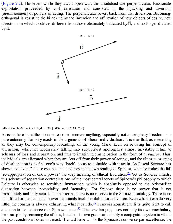<span id="page-77-0"></span>([Figure](#page-77-1) 2.2). However, while they await open war, the unsubdued are perpendicular. Passionate exploitation proceeded by co-linearisation and consisted in the hijacking and diversion [*détournement*] of powers of acting. The perpendicular revert back from that diversion. Becomingorthogonal is resisting the hijacking by the invention and affirmation of new objects of desire, new directions in which to strive, different from those obstinately indicated by  $\vec{D}$ , and no longer dictated by it.



#### <span id="page-77-1"></span>DE-FIXATION (A CRITIQUE OF [DIS-]ALIENATION)

<span id="page-77-4"></span><span id="page-77-3"></span><span id="page-77-2"></span>At issue here is neither to restore nor to recover anything, especially not an originary freedom or a pure autonomy that only exists in the arguments of liberal individualism. It is true that, as interesting as they may be, contemporary rereadings of the young Marx, keen on reviving his concept of alienation, while not necessarily falling into subjectivist apologetics almost inevitably return to schemas of loss and separation, and thus to imagining emancipation in the form of a *reunion*. Thus, individuals are alienated when they are 'cut off from their power of acting', and the ultimate meaning of disalienation is to find one's way 'back', so as to coincide with it again. As Pascal Sévérac has shown, not even Deleuze escapes this tendency in his own reading of Spinoza, when he makes the full 're-appropriation of one's power' the very meaning of ethical liberation. [28](#page-87-1) Yet as Sévérac insists, this scheme of separation contradicts one of the most central tenets of Spinoza's philosophy to which Deleuze is otherwise so sensitive: immanence, which is absolutely opposed to the Aristotelian distinction between 'potentiality' and 'actuality'. For Spinoza there is no power that is not immediately and fully actual. In other terms, there is no reserve in the Spinozist ontology. There is no unfulfilled or uneffectuated power that stands back, available for activation. Even when it can do very little, the conatus is always exhausting what it can do. $\frac{29}{2}$  $\frac{29}{2}$  $\frac{29}{2}$  François Zourabichvili is quite right to call attention to the existence of a Spinoza-speak. $\frac{30}{2}$  $\frac{30}{2}$  $\frac{30}{2}$  This new language uses not only its own vocabulary, for example by renaming the affects, but also its own grammar, notably a conjugation system in which the past conditional does not exist. 'I could have …' is the Spinozist non-sense par excellence, the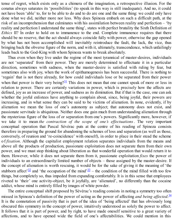tense of regret, which exists only as a chimera of the imagination, a retrospective illusion. For the conatus always saturates its 'possibilities' (to speak in this way is still inadequate). And no, it could not have been 'able' to, for to be able to do and to do are one and the same thing: we could only have done what we did, neither more nor less. Why does Spinoza embark on such a difficult path, at the risk of an incomprehension that culminates with his assimilation between reality and perfection – 'by reality and perfection I understand the same thing', states with perfect brutality the Sixth Definition of *Ethics* II? In order to hold on to immanence to the end. Complete immanence requires that there should be no reserve, that the act should always coincide fully with power, otherwise the gap opened by what has not been accomplished will inevitably reintroduce the fault, the lack, the vice, thus bringing back the obverse figure of the norm, and with it, ultimately, transcendence, which unfailingly leads back to the God-King with whom Spinoza wants to break absolutely.

<span id="page-78-0"></span>Thus even when they live under the regime of the most tyrannical of master-desires, individuals are not 'separated' from their power. They are merely determined to effectuate it in a particular direction, sometimes with sadness, when the master-desire is satisfied with ruling by fear, but sometimes also with joy, when the work of epithumogenesis has been successful. There is nothing to 'regain' that is not there already, for how could individuals lose or be separated from their power when that power is their very being?<sup>[31](#page-87-4)</sup> This does not mean that one cannot speak of more or less in relation to power. There are certainly variations in power, which is precisely how the affects are defined, joy as an increase of power, and sadness as its diminution. But if that is the case, one can ask whether the joyful enlistees have anything to complain about, since, being joyful, their powers are increasing, and in what sense they can be said to be victims of alienation. In none, evidently, if by alienation we mean the loss of one's autonomy as subject; that autonomy does not exist, and passionate servitude is ubiquitous. Neither does one gain much from understanding alienation through the mysterious figure of the loss of or separation from one's powers. Significantly more, however, if we take it to mean *the contraction of the scope of one's ef ectuations*. The very important conceptual operation that Pascal Sévérac puts at the centre of his reading of Spinoza consists therefore in preparing the ground for abandoning the schemes of loss and separation (as well as those, conversely, of reunion and 're-coincidence' with oneself), in order to place in their stead the scheme o f *fixation*. Although the capitalist employment relation separates individuals from the means and above all the products of production, passionate exploitation does not separate them from their own power, and we must stop thinking about liberation as that wonderful operation that would return it to them. However, while it does not separate them from it, passionate exploitation *fixes* the power of individuals to an extraordinarily limited number of objects – those assigned by the master-desire. If the concept of alienation is worth rescuing, it would be for the sake of giving it the meaning of 'the stubborn affect<sup>[32](#page-87-5)</sup> and 'the occupation of the mind<sup>[33](#page-87-6)</sup> – the condition of the mind filled with too few things, but completely so, thus impeded from expanding comfortably. It is in this sense that employees riveted to 'their' one activity-object, be it joyfully, are 'alienated', no differently than the cocaine addict, whose mind is entirely filled by images of white powder.

<span id="page-78-3"></span><span id="page-78-2"></span><span id="page-78-1"></span>The entire conceptual shift proposed by Sévérac's reading consists in noting a symmetry too often missed in Spinoza's definition of the power of acting as the power of affecting *and being affected*.<sup>[34](#page-87-7)</sup> It is the connotation of passivity that is part of the idea of 'being affected' that has obviously long obscured this symmetry in the concept of power, intuitively understood as solely the power to affect. It follows that it is part of power, and by right, to have made oneself sensitive to a great variety of affections, and to have opened wide the field of one's affectabilities. We could mention in this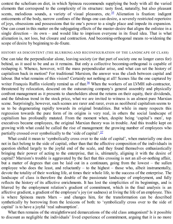<span id="page-79-0"></span>context the scholium on diet, in which Spinoza recommends supplying the body with all the varied elements that correspond to the complexity of its structure: tasty food, naturally, but also pleasant scents, melodious sounds, a variety of visual pleasures, etc.<sup>[35](#page-87-8)</sup> Alienation is fixation: indigent enticements of the body, narrow confines of the things one can desire, a severely restricted repertoire of joys, obsessions and possessions that tie one's power to a single place and impede its expansion. One can count in this matter on the subjugating effects of the master-desire that aligns the enlistee in a single direction – its own – and would like to imprison everyone in its fixed idea. That is what alienation is, not loss, but closure and contraction. And becoming-orthogonal means re-widening the scope of desire by beginning to de-fixate.

### HISTORY AS DISCONTENT (THE BLURRING AND RECONFIGURATION OF THE LANDSCAPE OF CLASS)

<span id="page-79-1"></span>One can take the perpendicular alone, leaving society (or that part of society one no longer cares for) behind, as it used to be and as it remains. But only a collective becoming-orthogonal is capable of reshaping it. Whence, however, will the mass perpendicular arise, and what can set the history of capitalism back in motion? For traditional Marxism, the answer was the clash between capital and labour. But what remains of this vision? Certainly not nothing at all! Scenes like the one captured by writer François Ruffin violently remind us of that.<sup>[36](#page-87-9)</sup> When the workers of an LVMH sub-contractor, threatened by relocation, descend on the outsourcing company's general assembly and physically confront management as it presents to shareholders about the returns on their equity, their dividends, and the fabulous trend in the stock price, what we are invited to witness is an almost pure Marxian scene. Surprisingly, however, such scenes are rarer and rarer, even as neoliberal capitalism seems to us to be degenerating rapidly towards its original brutalities. But while in many respects this regression towards the pure form of its origins is very real, in others the social landscape of capitalism has profoundly mutated. From the moment when, despite being 'capital's men', top executives became employees, the original Marxian theory was in trouble. And this trouble kept on growing with what could be called the rise of management: the growing number of employees who partially crossed over symbolically to the 'side of capital'.<sup>[37](#page-87-10)</sup>

<span id="page-79-2"></span>What could it mean to 'symbolically cross over to the side of capital', when materially one does not in fact belong to the side of capital, other than that the affective composition of the individuals in question shifted largely to the joyful end of the scale, and they found themselves enthusiastically bringing their power of acting to the enterprise, that is, ultimately, aligning it with the desire of capital? Marxism's trouble is aggravated by the fact that this crossing is not an all-or-nothing affair, but a matter of degrees that can be laid out in a continuum, going from the lowest – the sullen employee who does the least, and reluctantly – to the highest – those who, albeit instrumentally, devote the totality of their working life, at times their whole life, to the success of the enterprise. The landscape of class is therefore the double of the passionate landscape of employment, and fully reflects the history of its affective enrichments. It has lost the simplicities of its beginnings, and is blurred by the employment relation's gradient of commitment, which in the final analysis is an affective gradient, a gradient of the employee's joy (or sadness) at living the life of an employee. This is where Spinoza meets Marx – and changes him, for the transformation can be described synthetically by borrowing from the lexicons of both: to 'symbolically cross over to the side of capital' is to have a joyful 'real subsumption'.

What then remains of the straightforward demarcations of the old class antagonism? Is it possible to discount as negligible the individuals' lived experience of commitment, arguing that it is no more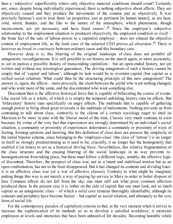<span id="page-80-0"></span>than a 'subjective' superficiality where only objective material conditions should count? Certainly not, since, despite being individually experienced, there is nothing subjective about affects. They are objectively caused and they produce the movements of the conatus just as objectively. It was precisely Spinoza's aim to treat them 'as properties, just as pertinent [to human nature], as are heat, cold, storm, thunder, and the like to the nature of the atmosphere, which phenomena, though inconvenient, are yet necessary, and have fixed causes<sup> $38$ </sup> Since the employee's subjective relationship to the employment situation is produced objectively, the employed condition *in itself* – the brute fact of the sale of labour-power to a capitalist employer – does not exhaust the objective content of employment life, as the limit case of the salaried CEO proves *ad absurdum*. [39](#page-87-12) There is however no *break in continuity* between ordinary cases and this boundary case.

<span id="page-80-1"></span>However deep it is, this blurring of the original landscape of class does not prohibit all antagonistic reconfigurations. It is still possible to set history on the march again, or more accurately, to set in motion a possible history of transcending capitalism – but an open-ended history, not yet written and without any teleological guarantees. The driving antagonism of such a history cannot be simply that of 'capital and labour', although its task would be to overturn capital (but capital as a reified social relation). What could then be the structuring principle of this new antagonism? The answer is, again, the affects – more precisely, the clash between the joyful who want nothing changed, and who want more of the same, and the discontented who want something else.

Discontent then is the affective historical force that is capable of bifurcating the course of events. Like social life as a whole, of which it is simply the temporal unfolding, history runs on affects. But 'bifurcatory' history runs specifically on angry affects. The multitude that is capable of gathering enough power to bring about great reversals is the multitude of malcontents. Nothing prevents us from continuing to talk about class, contrarily to the claims of a certain sociology eager to shed its Marxism to be more in tune with the liberal mood of the time. Classes very much continue to exist because, by virtue of the very fact that experiences are strongly determined by an individual's social situation, a community or proximity of experiences determines a community or proximity of ways of feeling, forming opinions and desiring. But this definition of class does not possess the simplicity of the initial bipolar scheme, since belonging to the 'employee-class' (the class of 'labour') is no longer in itself as strongly predetermining as it used to be; crucially, it no longer has the homogeneity that enabled it (at times) to act as a historical driving force. Nevertheless, this relative fragmentation of the class structure and the ensuing blurring of the social landscape in no way prevents rehomogenisations from taking place, but these must follow a different logic, notably, the affective logic of discontent. Therefore, the prospect of class war, not as a latent and stabilised tension but as an open confrontation, has not in the least disappeared. But it has changed its contents and dividing lines: it is an affective class war (or a war of affective classes). Contrary to what might be imagined, putting things this way is not merely a way of paying lip service to Marx in order to better dispose of him. Common affects do not fall from the sky; one must still ask what prior common affection produced them. In the present case it is rather on the side of capital that one must look, not so much capital as an antagonistic class – of which a solid core remains thoroughly identifiable, although its contours and periphery have become fuzzier – but capital as social relation, and ultimately as the very form of social life.

For the contemporary paradox of capitalism consists in that, at the very moment when it strives to increase the sophistication of its methods so as to develop a satisfied workforce, it mistreats employees at levels and intensities that have been unheard-of for decades. Becoming hateable while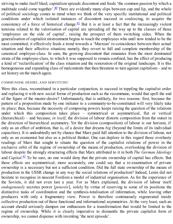<span id="page-81-1"></span><span id="page-81-0"></span>striving to make itself liked, capitalism spreads discontent and feeds 'the common passion by which a multitude could come together'.  $\frac{40}{10}$  $\frac{40}{10}$  $\frac{40}{10}$  There are evidently many slips between cup and lip, and the whole of political sociology comes to mind when we think of the very specific institutional and political conditions under which isolated instances of discontent succeed in coalescing, to acquire the consistency of a force of historical change. $\frac{41}{1}$  $\frac{41}{1}$  $\frac{41}{1}$  But it is at least a fact that the increasingly violent tensions related to the valorisation of capital are spreading all the way up to the classes of those 'employees on the side of capital', raising the prospect of them switching sides. When the generalisation of capitalist mistreatment begins to touch the employees who until now tended to be the most committed, it effectively feeds a trend towards a 'Marxian' re-coincidence between their actual situation and their affective situation; namely, they revert to full and complete membership of the canonical employee-class. In sum, the growing discontent that emanates from the most dominated strata of the employee-class, to which it was supposed to remain confined, has the effect of producing a kind of 'reclarification' of the class situation and the restoration of the original landscape. It is this homogeneous and expanding class of malcontents that then threatens to turn against capitalism – and to set history on the march again.

#### COMMUNISM, DESIRE, AND SERVITUDE!

<span id="page-81-2"></span>Were this class, reconstituted in a particular conjunction, to succeed in toppling the capitalist order and replacing it with new social forms of production such as the recommune, would that spell the end of the figure of the master-desire? Unfortunately, that is unlikely, for two reasons: first, because the pattern of a proposition made by one initiator to a community-to-be-constituted will very likely take its place; then, because the necessity of composing powers keeps raising the question of the relations under which this composition takes place – symmetrical or asymmetrical, flat or vertical (hierarchical) – and because, *in itself*, the division of labour distorts composition from the outset in the direction of hierarchical asymmetry. Yet the division (composition) of labour is our horizon, if only as an effect of ambition, that is, of a desire that dreams *big* (beyond the limits of its individual capacities). It is undoubtedly not by chance that Marx paid full attention to the division of labour, not only as an economist but also as a political thinker. One can deplore in this regard those overhasty readings of Marx that sought to situate the question of the capitalist relations of power in the exclusive orbit of the regime of ownership of the means of production, overlooking the division of labour despite the strongly structuring effects that Marx attributed to it in both *The German Ideology* and *Capital*. [42](#page-87-15) To be sure, no one would deny that the private ownership of capital has effects. But these effects are asymmetrical; more accurately, one could say that a re-examination of private ownership is a necessary but not a sufficient condition. Did the full state ownership of the means of production in the USSR change in any way the social relations of production? Indeed, Lenin did not hesitate to recognise in nascent Fordism a model of industrial organisation. As for the experience of the Soviets, it did not even last a year. For as Marx explained, the division of labour itself *endogenously* secretes power [*pouvoir*], solely by virtue of reserving to some of its positions the distinctive tasks of coordination and the synthesis-totalisation of information, while leaving other producers with only a fragmentary view. Power is therefore continuously regenerated inside collective production out of these functional and informational asymmetries. At the very least, such an account should seriously dampen our enthusiasm for a transformation that would be limited to the regime of ownership. While it is clearly imperative to dismantle the private capitalist form of ownership, we cannot dispense with inventing 'the next episode'.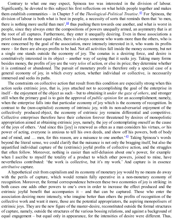<span id="page-82-1"></span><span id="page-82-0"></span>Contrary to what one may expect, Spinoza too was interested in the division of labour. Significantly, he devoted to this subject his first reflections on what holds people together and makes them establish communities – in Chapter 5 of the *Theological-Political Treatise*. [43](#page-87-16) For Spinoza, the division of labour is both what is best in people, a necessity of sorts that reminds them that 'to men, there is nothing more useful than men',  $\frac{44}{3}$  $\frac{44}{3}$  $\frac{44}{3}$  thus pushing them towards one another, and what is worst in people, since they always enter the compositions of powers unequally armed, an asymmetry that is at the root of all captures. Furthermore, they enter it unequally desiring. Even in those associations a priori based on the most equal rules, there is always someone who wants more than the others, who is more concerned by the goal of the association, more intensely interested in it, who wants its profits more – for there are always profits to be had. Not all activities fall inside the money economy, but not a single one stands outside the economy of joy. The conatus is a desiring force, and desire is constitutively interested in its object – another way of saying that it seeks joy. Taking many forms besides money, the profits of joy are the very *telos* of action, or else its price; they determine whether it is continued or abandoned. The pursuit of monetary profit is therefore only a special case of a general economy of joy, in which every action, whether individual or collective, is necessarily immersed and seeks its paths.

The constraints on collective action that result from this condition are especially strong when this action seeks extrinsic joys, that is, joys attached not to accomplishing the goal of the enterprise in itself – the enjoyment of the object as such – but to obtaining it *under the gaze of others*, and stronger still when the primary goal is to gain the approval of *public opinion* for an accomplishment; namely, when the enterprise falls into that particular economy of joy which is the economy of recognition. In contrast to the (non-capitalist) economy of intrinsic joy, with its non-adversarial enjoyment of the collectively produced object, the economy of extrinsic joy remains differential and competitive. Collective enterprises therefore have their cohesion forever threatened by desires of monopolistic appropriation aimed at obtaining extrinsic joys, namely, the joy of contemplating oneself as the cause of the joys of others. 'And since this [joy] is renewed as often as a man considers his virtues, *or* his power of acting, everyone is anxious to tell his own deeds, and show off his powers, both of body and of mind, and ... men, for this reason, are a nuisance to one another.<sup>2[45](#page-87-18)</sup> Taking Spinoza's words beyond the literal sense, we could clarify that the nuisance is not only the bragging itself, but also the unjustified individual capture of the (extrinsic) joyful profits of collective action, and the struggles that often follow. Moreover, nothing is easier than self-delusion about one's power, for example when I ascribe to myself the totality of a product to which other powers, joined to mine, have nevertheless contributed: 'the work is collective, but it's my work.' And capture is in essence *attributive* capture.

<span id="page-82-2"></span>A hypothetical exit from capitalism and its economy of monetary joy would by no means do away with the perils of capture, which would remain fully operative in a non-monetary economy of recognition. Moreover, the formal correspondence between these two economies of joy is striking: in both cases one adds other powers to one's own in order to increase the effect produced and the extrinsic joyful benefit that accompanies it – and that can be captured. Those who enter the association desiring more intensely, who imagine better than others the profits of recognition of the collective work and want it more, those are the potential appropriators, the aspiring monopolisers of extrinsic joys. They are the new figure of the master-desire, reconstituted outside the formal structures of capture, namely, outside the structures of the various bossing relations, and against a background of equal engagement – but equal only in appearance, for the intensities of desire were different. Thus,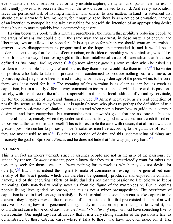even outside the social relations that formally institute capture, the dynamics of passionate interests is sufficiently powerful to recreate that which the association wanted to avoid. And every association faces the permanent risk of having a member who offers 'to take matters in hand', a statement that should cause alarm to fellow members, for it must be read literally as a notice of pronation, namely, of an intention to monopolise and take everything for oneself, the intention of an appropriating desire that is bound to mutate quickly into a commanding desire.

<span id="page-83-2"></span><span id="page-83-1"></span><span id="page-83-0"></span>Having begun this book with a Kantian parenthesis, the maxim that prohibits reducing people to the status of means, we could end in the same way and ask what, in these matters of capture and liberation, 'we are allowed to hope for'. It is a question for which we should want an unvarnished answer: every disappointment is proportional to the hopes that preceded it, and it would be an understatement to say that the idea of communism, or the idea of breaking with capitalism, was full of hope. It is also a way of not losing sight of that hard intellectual virtue of materialism that Althusser defined as 'no longer fooling oneself'.<sup>[46](#page-87-19)</sup> Spinoza already gave his own version when he asked his readers to take people 'as they are' and not 'as they themselves would like them to be'.<sup>[47](#page-87-20)</sup> The writer on politics who fails to take this precaution is condemned to produce nothing but 'a chimera, or [something that] might have been formed in Utopia, or in that golden age of the poets when, to be sure, there was least need for it'. $\frac{48}{10}$  $\frac{48}{10}$  $\frac{48}{10}$  The meaning of this warning is as clear as can be: as much as capitalism, but in a totally different way, communism too must contend with desire and its passions, namely, with the 'force of the affects' responsible, not for the local oddities of voluntary servitude, but for the permanence of universal 'human servitude'.  $\frac{49}{1}$  $\frac{49}{1}$  $\frac{49}{1}$  Almost negatively, as its real condition of possibility seems so far away from us, it is again Spinoza who gives us perhaps the definition of true communism: passionate exploitation comes to an end when people know how to guide their common desires – and form enterprises, but communist ones – towards goals that are no longer subject to unilateral capture; namely, when they understand that the truly good is what one must wish for others to possess at the same time as oneself. This is for example the case with reason, that all must want the greatest possible number to possess, since 'insofar as men live according to the guidance of reason, they are most useful to man'.<sup>[50](#page-87-23)</sup> But this redirection of desire and this understanding of things are precisely the goal of Spinoza's *Ethics*, and he does not hide that 'the way [is] very hard.' [51](#page-87-24)

#### <span id="page-83-5"></span><span id="page-83-4"></span><span id="page-83-3"></span>'A HUMAN LIFE'

<span id="page-83-6"></span>This is in fact an understatement, since it assumes people are not in the grip of the passions, but guided by reason. *Ex ductu rationis*, people know that they must unrestrictedly want for others the joys they seek for themselves, and 'want nothing for themselves which they do not desire for other[s]'.<sup>[52](#page-87-25)</sup> But this is indeed the highest formula of communism, resting on the generalised nonrivalry of the (true) goods, which can therefore be genuinely produced and enjoyed in common, namely, rid of the capturing efforts of individual desires that the passionate life otherwise keeps recreating. Only non-rivalry really saves us from the figure of the master-desire. But it requires people living lives guided by reason, and this is not a minor presupposition. The overthrow of capitalism is not in itself enough to satisfy it. For if capitalism's social structures take capture to the extreme, they largely draw on the resources of the passionate life that pre-existed it – and that will survive it. Seeing how it is generated endogenously in situations a priori designed to avoid it, one could almost come to the conclusion that the *formal structure of capture* must have something like its own conatus. One might say less allusively that it is a very strong attractor of the passionate life, as demonstrated by those extreme cases where it falls to those who have not even asked for it (like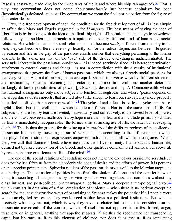<span id="page-84-0"></span>Pascal's castaway, made king by the inhabitants of the island where his ship ran aground). <sup>[53](#page-87-26)</sup> That is why true communism does not come about *immediately* just because capitalism has been (hypothetically) defeated, at least if by communism we mean the final emancipation from the figure of the master-desire.

Thus, 'the free development of each, the condition for the free development of all' is less simple an affair than Marx and Engels suggested in the *Manifesto*. The best means of saving the idea of liberation is by breaking with the idea of the final 'big night' of liberation, the apocalyptic showdown followed by the sudden and miraculous irruption of a totally different kind of human and social relations. But while human and social relations cannot become *totally* different from one day to the next, they can become different, even significantly so. For the radical disjunction between life guided by reason and life in the grip of the passions entails neither that everything pertaining to the former amounts to the same, nor that on the 'bad' side of the divide everything is undifferentiated. The servitude inherent in the passionate condition – it is indeed servitude since it is heterodetermination, attachment to external causes and things – is not in contradiction with the diversity of institutional arrangements that govern the flow of human passions, which are always already social passions for that very reason. And not all arrangements are equal. Shaped in diverse ways by different structures and institutions, passions interacting and entering in composition with one another determine strikingly different possibilities of power [*puissance*], desire and joy. A Commonwealth whose institutional arrangements only move subjects to function through fear, and where 'peace depends on the sluggishness of its subjects, that are led about like sheep, to learn but slavery, may more properly be called a solitude than a commonwealth'.  $\frac{54}{1}$  $\frac{54}{1}$  $\frac{54}{1}$  The yoke of sad affects is no less a yoke than that of joyful affects, but it is, well, sad – which is quite a difference. Nor is it the same form of life. For subjects who are led by fear are riveted, individually and collectively, to the lowest level of power, and the contrast between a multitude led by hope more than by fear and a multitude primarily subdued by fear is immediately recognisable: 'the former aims at making use of life, the latter but at escaping death.<sup>[55](#page-87-28)</sup> This is then the ground for drawing up a hierarchy of the different regimes of the collective passionate life: not by loosening passions' servitude, but according to the difference in how the interplay of their institutional expressions empowers individuals and allows them to rejoice. 'When, then, we call that dominion best, where men pass their lives in unity, I understand a human life, defined not by mere circulation of the blood, and other qualities common to all animals, but above all by reason, the true excellence and life of the mind.<sup>[56](#page-87-29)</sup>

<span id="page-84-5"></span><span id="page-84-4"></span><span id="page-84-3"></span><span id="page-84-2"></span><span id="page-84-1"></span>The end of the social relations of capitalism does not mean the end of our passionate servitude. It does not by itself free us from the disorderly violence of desire and the efforts of power. It is perhaps on this precise point that the Spinozist realism of the passions is most useful to the Marxian utopia: as a sobering-up. The extinction of politics by the final dissolution of classes and the conflict between them, transcending all antagonisms by the victory of the working class, that non-class without any class interest, are post-political phantasmagoria, perhaps Marx's deepest anthropological error, [57](#page-87-30) which consists in dreaming of a final eradication of violence – when there is no horizon except the search for the least destructive ways of organising it. Spinoza makes the point that if all people were wise, namely, led by reason, they would need neither laws nor political institutions. But wise is precisely what they are not, which is why they have no choice but to take into consideration the passionate movements of the conatus, which, of itself, 'is not opposed to strifes, hatred, anger, treachery, or, in general, anything that appetite suggests.'<sup>[58](#page-87-31)</sup> Neither the recommune nor transcending capitalism liberates us from this element of violence, nor does it exempt us from reinventing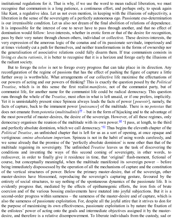institutional regulations for it. That is why, if we use the word to mean radical liberation, we must recognise that communism is a long patience, a continuous effort, and perhaps only, to speak again like Kant, a regulative idea. Let us not even mention, in keeping with the illusions of subjectivity, a liberation in the sense of the sovereignty of a perfectly autonomous ego. Passionate exo-determination is our irremissible condition. Let us also not dream of the final abolition of relations of dependence. It is impossible for the interest of one to never have to pass through another, and that no effect of domination would follow: love-interests, whether in erotic form or that of the desire for recognition, pass by their very nature through chosen others, individual or collective. These desires-interests, the very expression of the amorous logic of the conatus and of its passionate servitude, imperiously and at times violently cut a path for themselves, and neither transformations in the forms of ownership nor the generalisation of associative relations could fully disarm them. If true communism consists in living *ex ductu rationis*, it is better to recognise that it is a horizon and forego early the illusions of the radiant society.

<span id="page-85-2"></span><span id="page-85-1"></span><span id="page-85-0"></span>But to forego the *telos* is not to forego every progress that can take place in its direction. Any reconfiguration of the regime of passions that has the effect of pushing the figure of capture a little further away is worthwhile. What arrangements of our collective life maximise the effectuations of our powers of acting and our powers of thinking? This is exactly the question posed by the *Political Treatise*, which is in this sense the first realist *manifesto*, not of the communist party, but of communist life, for another name for the communist life could be radical democracy. This question runs through the whole of the *Treatise*, most often in what is left unsaid, or if one prefers, implicitly. Yet it is unmistakably present since Spinoza always leads the facts of power [*pouvoir*], namely, the facts of capture, back to the immanent power [*puissance*] of the multitude. There is no *potestas* that does not emanate from *potentia* (*multitudinis*) [59](#page-87-32) – but in the form of hijacking and to the advantage of the most powerful of master-desires, the desire of the sovereign. However, of all these regimes, only democracy organises the reunion of the multitude with its own power. <sup>[60](#page-87-33)</sup> I pass, at length, to the third and perfectly absolute dominion, which we call democracy.<sup>'[61](#page-87-34)</sup> Thus begins the eleventh chapter of the *Political Treatise*, an unfinished chapter that is left for us as a sort of opening, at once opaque and vertiginous: *omino absolutum imperium*. Spinoza is not in the habit of using words carelessly, and we sense already that the promise of the 'perfectly absolute dominion' is none other than that of the multitude regaining its sovereignty. The unfinished *Treatise* leaves us the task of discovering the conditions and inventing the ways of this second coming of sovereignty, in other words, to rediscover, in order to finally give it residence in time, that 'original' flash-moment, fictional of course, but conceptually meaningful, when the multitude manifested its sovereign power – before being immediately dispossessed by the operation of all the mechanisms of capture and the constitution of the vertical structures of power. Below the primary master-desire, that of the sovereign, other master-desires have blossomed, reproducing the sovereign's capturing gesture, favoured by the entirety of social structures, to say nothing of the spontaneous dynamics of the passionate life. It is evidently progress that, mediated by the effects of epithumogenic efforts, the iron fists of brute coercion and of the various bossing enslavements have mutated into joyful subjections. But it is a second-order progress within sameness – the sameness of the master-desire and of capture, which is also the sameness of passionate exploitation. For, despite all the joyful attire that it strives to don for the purpose of maximising its own effectiveness, passionate exploitation is by nature the fixation of the enlistees' power of acting onto the goals and intermediate objectives assigned it by the masterdesire, and therefore is a relative disempowerment. To liberate individuals from the custody, sad or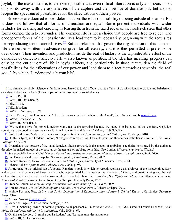joyful, of the master-desire, to the extent possible and even if final liberation is only a horizon, is not only to do away with the asymmetries of the capture and their retinue of dominations, but also to reopen the spectrum of possibilities for the effectuations of their power.

<span id="page-86-10"></span>Since we are doomed to exo-determination, there is no possibility of being outside alienation. But it does not follow that all forms of alienation are equal. Some present individuals with wider latitudes for desiring and enjoying, releasing them from the fixed ideas of the master-desires that other forms compel them to live under. The common life is not a choice that people are free to reject. The endogenous forces of their passionate lives lead them to it necessarily, beginning with the requisites for reproducing their material lives.  $\frac{62}{2}$  $\frac{62}{2}$  $\frac{62}{2}$  But the relations that govern the organisation of this common life are neither written in advance nor given for all eternity, and it is thus permitted to prefer some over others. Their invention and production inside the real of history is the unpredictable effect of the dynamics of collective affective life – also known as politics. If the idea has meaning, progress can only be the enrichment of life in joyful affects, and particularly in those that widen the field of possibilities for the effectuations of our power and lead them to direct themselves towards 'the real good', by which 'I understand a human life'.

 $\overline{\phantom{a}}$ 

[7](#page-63-0) Blaise Pascal, 'First Discourse', in 'Three Discourses on the Condition of the Great', trans. Samuel Webb, [marxists.org.](http://marxists.org)

[8](#page-63-1) *Political Treatise*, VII, 27.

[9](#page-64-0) *Ethics*, II, Definition 6.

[10](#page-64-1) 'We neither strive for, nor will, neither want, nor desire anything because we judge it to be good; on the contrary, we judge something to be good because we strive for it, will it, want it, and desire it.' *Ethics*, III, 9, Scholium.

[11](#page-64-2) Émile Durkheim, 'Value Judgements and Judgments of Reality', in *Sociology and Philosophy*, Routledge, 2010.

[13](#page-65-0) Pronation is the posture of the hand, knuckles facing forward, in the motion of grabbing, a technical term used by the author to describe the naked attitude of the conatus as the gesture of grabbing something. See Lordon, *L'intérêt souverain*. [Trans.]

[14](#page-68-0) See especially Pierre-Michel Menger, *Portrait de l'artiste en travailleur. Métamorphoses du capitalisme*, Seuil, 2006.

[15](#page-69-0) Luc Boltanski and Eve Chiapello, *The New Spirit of Capitalism*, Verso, 2007.

[16](#page-70-0) Jacques Rancière, *Disagreement: Politics and Philosophy*, University of Minnesota Press, 2004.

<span id="page-86-1"></span><span id="page-86-0"></span>[17](#page-72-0) Étienne Balibar, *Spinoza and Politics*, Verso, 2008, p. 98.

[18](#page-72-1) A reference to the original title of Jacques Rancière's book, in which he rereads working-class archives of the nineteenth century and reports the experience of those workers who appropriated for themselves the practices of literary and poetic writing and the high culture from which all social mechanisms worked to exclude them. See Rancière, *The Nights of Labor: The Workers' Dream in Nineteenth-Century France*, trans. John Drury, Temple University Press, 1989.

<span id="page-86-2"></span>[19](#page-72-2) Frédéric Lordon, *La crise de trop. Reconstruction d'un monde failli*, Fayard, 2009.

<span id="page-86-3"></span>[20](#page-73-0) Antoine Artous, *Travail et émancipation sociale. Marx et le travail*, Éditions Syllepse, 2003.

<span id="page-86-4"></span>[21](#page-73-1) Moishe Postone, *Time, Labor, and Social Domination: A Reinterpretation of Marx's Critical Theory* , Cambridge University Press, 1996.

<span id="page-86-5"></span>[22](#page-73-2) Artous, *Travail*, Chapters 1–3.

<span id="page-86-7"></span><span id="page-86-6"></span>[23](#page-73-3) Marx and Engels, 'The German Ideology', p. 57.

[24](#page-74-0) F. W. J. Schelling, 'Du Moi comme principe de la philosophie', in *Premiers écrits*, PUF, 1987. Cited in Franck Fischbach, *Sans objet. Capitalisme, subjectivité, aliénation*, Vrin, 2009, p. 67.

<span id="page-86-8"></span>[25](#page-75-0) On this see Lordon, 'L'empire des institutions' and 'La puissance des institutions'.

<span id="page-86-9"></span>[26](#page-75-1) *Ethics*, III, 37, Demonstration.

[<sup>1</sup>](#page-61-0) Incidentally, symbolic violence is far from being limited to joyful affects, and its effects of classification, interdiction and belittlement can also produce sad affects (for example, of embarrassment or social shame).

[<sup>2</sup>](#page-61-1) *Ethics*, IV, 38.

[<sup>3</sup>](#page-62-0) *Ethics*, III, Definition 28.

 $\overline{4}$  $\overline{4}$  $\overline{4}$  Ibid., III, 31.

[<sup>5</sup>](#page-62-2) Ibid., Scholium.

[<sup>6</sup>](#page-62-3) *Political Treatise*, VII, 27.

[<sup>12</sup>](#page-64-3) On this subject, see Frédéric Lordon, 'La légitimité n'existe pas. Éléments pour une théorie des institutions', *Cahiers d'Économie Politique* 53 (2007).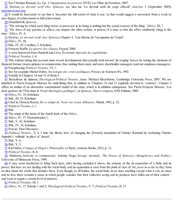<span id="page-87-0"></span>See Christian Rouaud, *Les Lip. L'imagination au pouvoir*, DVD, Les Films du Paradoxe, 2007.

<span id="page-87-1"></span> Sévérac, *Le devenir actif chez Spinoza*; see also his 'Le devenir actif du corps affectif',*Astérion* 3 (September 2005), [asterion.revues.org.](http://asterion.revues.org)

<span id="page-87-2"></span> It would be inaccurate to say that it 'becomes the full extent of what it can,' as that would suggest a movement from a weak or zero degree of achievement to full achievement.

<span id="page-87-3"></span>Zourabichvili, *Spinoza*.

<span id="page-87-4"></span>'The striving by which each thing strives to persevere in its being is nothing but the actual essence of the thing.' *Ethics*, III, 7.

<span id="page-87-5"></span> 'The force of any passion, or affect, can surpass the other actions, or power, of a man, so that the affect stubbornly clings to the man.' *Ethics*, IV, 6.

<span id="page-87-6"></span>Sévérac, *Le devenir actif chez Spinoza*, Chapter 4, 'Une théorie de l'occupation de l'esprit'.

<span id="page-87-7"></span>*Ethics*, IV, 38.

<span id="page-87-8"></span>Ibid., IV, 45, Corollary 2, Scholium.

<span id="page-87-9"></span>François Ruffin, *La guerre des classes*, Fayard, 2008.

<span id="page-87-10"></span>A term borrowed from Duménil and Lévy, *Économie marxiste du capitalisme*.

<span id="page-87-11"></span>*Political Treatise*, I, 4.

<span id="page-87-12"></span> This without taking into account more recent developments that actually tend toward 'de-waging' bosses by raising the elements of financial fortune (stock-options) in remuneration, thus making them more and more shareholder-managers (and not employee-managers).

<span id="page-87-13"></span>Paraphrasing *Political Treatise*, VI, 1.

<span id="page-87-14"></span>See for example Michel Dobry, *Sociologie des crises politiques*, Presses de Sciences-Po, 1992.

<span id="page-87-15"></span>Notably in Chapters 14 and 15 of Book I.

<span id="page-87-16"></span> Benedictus de Spinoza, *Theological-Political Treatise* , trans. Michael Silverthorne, Cambridge University Press, 2007. We are indebted to Pierre-François Moreau for underlining that, in addition to Chapters 16 and 17 explicitly devoted to 'contract', Chapter 5 offers an outline of an alternative constitutional model of the state, which is in addition endogenous. See Pierre-François Moreau, 'Les deux genèses de l'État dans le *Traité théologico-politique*', in *Spinoza, État et religion*, ENS Éditions, 2005.

<span id="page-87-17"></span>*Ethics*, IV, 18, Scholium.

<span id="page-87-18"></span>Ibid., III, 55, Scholium.

<span id="page-87-19"></span>Cited in Clément Rosset, *En ce temps-là. Notes sur Louis Althusser*, Minuit, 1992, p. 22.

<span id="page-87-20"></span>*Political Treatise*, I, 1.

<span id="page-87-21"></span>Ibid.

<span id="page-87-22"></span>The origin of the name of the fourth book of the *Ethics*.

<span id="page-87-23"></span>*Ethics*, IV, 37, Demonstration 1.

<span id="page-87-24"></span>Ibid., V, 42, Scholium.

<span id="page-87-25"></span>Ibid., IV, 18, Scholium.

<span id="page-87-26"></span>Pascal, 'First Discourse'.

<span id="page-87-27"></span> *Political Treatise* , V, 4. I take the liberty here of changing the [French] translation of Charles Ramond by restituting Charles Appuhn's 'solitude' in place of 'desert'.

<span id="page-87-28"></span>Ibid., V, 6.

<span id="page-87-29"></span>Ibid., V, 5.

<span id="page-87-30"></span>Karl Marx, *Critique of Hegel's Philosophy of Right*, Aristeus Books, 2012, p. 12.

<span id="page-87-31"></span>*Political Treatise*, II, 8.

<span id="page-87-32"></span> Matheron, *Individu et communauté*; Antonio Negri, *Savage Anomaly: The Power of Spinoza's Metaphysics and Politics*, University of Minnesota Press, 1999.

<span id="page-87-33"></span> It may seem incoherent to bring back here, after having excluded it above, the scheme of the de-separation of a body and its power. But here we are dealing with the social body, and de-separation is seen from the point of view of *the parts* in so far as they form an idea about the whole that includes them. Even though, as all bodies, the social body never does anything except what it can, no more and no less, there remains a sense in which people consider that their collective acting and its products have fallen out of their control – and want to regain a certain level of mastery.

<span id="page-87-34"></span>*Political Treatise*, XI, 1.

<span id="page-87-35"></span>*Ethics*, IV, 37, Scholia 1 and 2; *Theological-Political Treatise*, V, 7; *Political Treatise*, II, 15.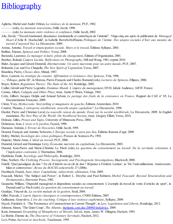# **Bibliography**

- Alis, David, '"Travail émotionnel, dissonance émotionnelle et contrefaçon de l'intimité". Vingt-cinq ans après la publication de *Managed Heart* d'Arlie R. Hochschild', in Isabelle Berrebi-Hoffmann, *Politiques de l'intime. Des utopies sociales d'hier aux mondes du travail d'aujourd'hui*, La Découverte, 2009.
- Artous, Antoine, *Travail et émancipation sociale. Marx et le travail*, Éditions Syllepse, 2003.
- Balibar, Étienne, *Spinoza and Politics*, Verso, 2008.
- Baranski, Laurence, *Le manager éclairé, pilote du changement*, Éditions d'Organisation, 2001.
- Barthes, Roland, *Camera Lucida: Reflections on Photography*, Hill and Wang, 1981, reprint 2010.
- Bidet, Jacques and Gérard Duménil, *Altermarxisme. Un autre marxisme pour un autre monde*, PUF, 2007.
- Boltanski, Luc and Eve Chiapello, *The New Spirit of Capitalism*, Verso, 2007.

Bourdieu, Pierre, *Choses dites*, Minuit, 1987.

Bove, Laurent, *La stratégie du conatus. Affirmation et résistance chez Spinoza*, Vrin, 1996.

—, '*Éthique*, partie III', in Moreau, Pierre-François and Charles Ramond (eds), *Lectures de Spinoza*, Ellipses, 2006.

- Boyer, Robert, *Regulation Theory: The State of the Art*, Routledge, 2002.
- Caillat, Gérald and Pierre Legendre, *Dominus Mundi. L'empire du management*, DVD, Idéale Audience, ARTE France.
- Camus, Albert, *Caligula and Other Plays*, trans. Justin O'Brien, Vintage, 1962.
- Cette, Gilbert, Jacques Delpla and Arnaud Sylvain, *Le partage des fruits de la croissance en France*, Rapport du CAE n° 85, La Documentation Française, 2009.
- Citton, Yves, *Mythocratie. Storytelling et imaginaire de gauche*, Éditions Amsterdam, 2010.
- Coutrot, Thomas, *L'entreprise néolibérale, nouvelle utopie capitaliste?*, La Découverte, 1998.
- Dardot, Pierre and Christian Laval, *La nouvelle raison du monde. Essai sur la société néolibérale*, La Découverte, 2009. In English translation, *The New Way of the World: On Neoliberal Society*, trans. Gregory Elliott, Verso, 2014.
- Deleuze, Gilles, *Proust and Signs*, University of Minnesota Press, 2004.

Delumeau, Jean, *L'aveu et le pardon*, Fayard, 1990.

- Damasio, Antonio, *L'Erreur de Descartes*, Odile Jacob, 1995.
- Denord, François and Antoine Schwartz, *L'Europe sociale n'aura pas lieu*, Éditions Raisons d'agir, 2009.
- Dobry, Michel, *Sociologie des crises politiques*, Presses de Sciences-Po, 1992.
- Dujarier, Marie-Anne, *L'idéal au travail*, PUF, 2006.
- Duménil, Gérard and Dominique Lévy, *Économie marxiste du capitalisme*, La Découverte, 2003.
- Durand, Jean-Pierre and Marie-Christine Le Floch (eds), *La question du consentement au travail. De la servitude volontaire à l'implication contrainte*, L'Harmattan, 2006.

Durkheim, Émile, *Sociology and Philosophy*, Routledge, 2010.

Elias, Norbert, *The Civilizing Process: Sociogenetic and Psychogenetic Investigations*, Blackwell, 2000.

- Falafil, 'Quel paradigme du don ? En clé d'intérêt ou en clé de don ? Réponse à Frédéric Lordon', in 'De l'anti-utilitarisme. Anniversaire, bilan et controverses', *Revue du MAUSS semestrielle* 27 (2006).
- Fischbach, Franck, *Sans objet. Capitalisme, subjectivité, aliénation*, Vrin, 2009.
- Foucault, Michel, 'The Subject and Power', in Hubert L. Dreyfus and Paul Rabinow, *Michel Foucault: Beyond Structuralism and Hermeneutics*, Harvester Press, 1982.
- Gasparini, William, 'Dispositif managérial et dispositions sociales au consentement. L'exemple du travail de vente d'articles de sport', in Durand and Le Floch (eds), *La question du consentement au travail*.
- Gauléjac, Vincent de, *La société malade de la gestion*, Seuil, 2004.
- Gillot, Pascale, *L'esprit, figures classiques et contemporaines*, CNRS Éditions, 2007.
- Guilhaume, Geneviève, *L'ère du coaching. Critique d'une violence euphémisée*, Syllepse, 2009.
- Hayek, Friedrich A. 'The Persistence of Constructivism in Current Thought', in *Law, Legislation and Liberty*, Routledge, 2012.
- Johnson, Simon, 'The Quiet Coup', *The Atlantic*, [thetlantic.com.doc/200905/imfadvice,](http://thetlantic.com.doc/200905/imfadvice) 2009.
- Kant, Immanuel, *Grounding of Metaphysics of Morals*, 3rd ed., trans. James W. Ellington, Hackett, 1993.
- La Boétie, Étienne de, *The Discourse of Voluntary Servitude*, Hackett, 2012.
- Levi, Primo, *Survival at Auschwitz*, Touchstone, 1995.

Aglietta, Michel and André Orléan, *La violence de la monnaie*, PUF, 1982.

<sup>———.</sup> (eds), *La monnaie souveraine*, Odile Jacob, 1998.

<sup>———.</sup> (eds) *La monnaie entre violence et confiance*, Odile Jacob, 2002.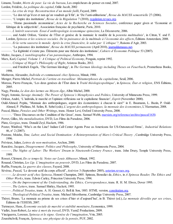Limann, Teodor, *Morts de peur. La vie de bureau*, Les empêcheurs de penser en rond, 2007. Lordon, Frédéric, *La politique du capital*, Odile Jacob, 2002

- ———. *La crise de trop. Reconstruction d'un monde failli*, Fayard, 2009.
- ———. 'Le don tel qu'il est et non qu'on voudrait qu'il fût', in 'De l'anti-utilitarisme', *Revue du MAUSS semestrielle* 27 (2006).
- ———. 'L'empire des institutions', *Revue de la Régulation* 7 (2010), [regulation.revues.org.](http://regulation.revues.org)
- ———. 'Homo passionalis æconomicus', *Actes de la Recherche en Sciences Sociales*, conference paper given at 'Economie et fabrique de la subjectivité', Association française de psychiatrie, Paris, 2010.
	- ———. *L'intérêt souverain. Essai d'anthropologie économique spinoziste*, La Découverte, 2006.

———. and André Orléan, 'Genèse de l'État et genèse de la monnaie: le modèle de la *potentia multitudinis*', in Citton, Y. and F. Lordon, Spinoza et les sciences sociales. De la puissance de la multitude à l'économie des affects, Éditions Amsterdam, 2008.

———. *Et la vertu sauvera le monde. Après la crise financière, le salut par 'L'ethique'?*, Raisons d'Agir, 2003.

- ———. 'La puissance des institutions', *Revue du MAUSS permanente* (April 2010), [journaldumauss.net](http://journaldumauss.net).
- ———. 'La légitimité n'existe pas. Éléments pour une théorie des institutions', *Cahiers d'Économie Politique* 53 (2007).
- Maître, Jacques, *L'autobiographie d'un paranoïaque*, Anthropos, 1994.
- Marx, Karl, *Capital, Volume 1: A Critique of Political Economy*, Penguin, reprint 1992.
	- ———. *Critique of Hegel's Philosophy of Right*, Aristeus Books, 2012.
- ———. and Friedrich Engels, 'The German Ideology', in *The German Ideology including Theses on Feuerbach*, Prometheus Books, 1998.
- Matheron, Alexandre, *Individu et communauté chez Spinoza*, Minuit, 1988.
- Menger, Pierre-Michel, *Portrait de l'artiste en travailleur. Métamorphoses du capitalisme*, Seuil, 2006.
- Moreau, Pierre-François, 'Les deux genèses de l'État dans le *Traité théologicopolitique*', in *Spinoza, État et religion*, ENS Éditions, 2005.
- Nagy, Piroska, *Le don des larmes au Moyen-Âge*, Albin Michel, 2000.
- Negri, Antonio, *Savage Anomaly: The Power of Spinoza's Metaphysics and Politics*, University of Minnesota Press, 1999.
- Orléan, André, 'L'individu, le marché et l'opinion: réflexions sur le capitalisme financier', *Esprit* (November 2000).
- Ould-Ahmed, Pepita, 'Monnaie des anthropologues, argent des économistes: à chacun le sien?' in E. Baumann, L. Bazin, P. Ould-Ahmed, P. Phélinas, M. Selim, R. Sobel (eds), *L'argent des anthropologues, la monnaie des économistes*, L'Harmattan, 2008.
- Pascal, Blaise, *Pensées and Other Writings*, trans. Honor Levi, Oxford University Press, 2008.
- —. 'Three Discourses on the Condition of the Great', trans. Samuel Webb, [marxists.org/reference/archive/pascal/1630](http://marxists.org/reference/archive/pascal/1630).
- Perret, Gilles, *Ma mondialisation*, DVD, Les Films du Paradoxe, 2006.

Plato, *Gorgias*, trans. Donald Zeyl, Hackett, 1986.

- Poster, Winifred, 'Who's on the Line? Indian Call Center Agents Pose as Americans for US-Outsourced Firms', *Industrial Relations* 46, n° 2 (2007).
- Postone, Moishe, *Time, Labor, and Social Domination: A Reinterpretation of Marx's Critical Theory* , Cambridge University Press, 1996.
- Prévieux, Julien, *Lettres de non-motivation*, Archon, 2000.
- Rancière, Jacques, *Disagreement: Politics and Philosophy*, University of Minnesota Press, 2004.
- ———. *The Nights of Labor: The Workers' Dream in Nineteenth-Century France* , trans. John Drury, Temple University Press, 1989.
- Rosset, Clément, *En ce temps-là. Notes sur Louis Althusser*, Minuit, 1992.
- Rouaud, Christian, *Les Lip. L'imagination au pouvoir*, DVD, Les Films du Paradoxe, 2007.
- Ruffin, François, *La guerre des classes*, Fayard, 2008.
- Sévérac, Pascal, 'Le devenir actif du corps affectif', *Astérion* 3 (September 2005), [asterion.revues.org](http://asterion.revues.org).
- ———. *Le devenir actif chez Spinoza*, Honoré Champion, 2005. Spinoza, Benedict de, *Ethics*, in *A Spinoza Reader, The Ethics and Other Works*, trans. Edwin Curley, Princeton University Press, 1994.
- ———. *On the Improvement of the Understanding, the Ethics, Correspondence*, trans. R. H. M. Elwes, Dover 1995.
- ———. *The Letters*, trans. Samuel Shirley, Hackett, 1995.
- ———. *Political Treatise*, trans. A. H. Gosset, G. Bell & Son, 1883. HTML version, [constitution.org](http://constitution.org).
- ———. *Theological-Political Treatise*, trans. Michael Silverthorne, Cambridge University Press, 2007.
- Théret, Bruno, 'La monnaie au prisme de ses crises d'hier et d'aujourd'hui', in B. Théret (ed.), *La monnaie dévoilée par ses crises*, Éditions de l'EHESS, 2007.
- Tietmeyer, Hans, *Économie sociale de marché et stabilité monétaire*, Economica, 1999.
- Viallet, Jean-Robert, *La mise à mort du travail*, DVD, Yami2 Productions, 2009.
- Vinciguerra, Lorenzo, *Spinoza et le signe. Genèse de l'imagination*, Vrin, 2005.
- Zourabichvili, François, *Spinoza, une physique de la pensée*, PUF, 2002.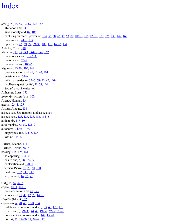## Index

acting, 26, 45, 57, 62, 69, 127, 147 alienation and, 143 auto-mobility and, 87, 103 capturing enlistees' power of, 3–4, 35, 38, 43, 49, 53, 80, 106–7, 118, 120–1, 123, 125, 133, 142, 162 conatus and,  $\frac{24-5}{5}$ , 139 Spinoza on, 66, 69, 72, 89–90, 108, 118, 145–6, 154 Aglietta, Michel, 10 alienation, 17, 29, 143, 144–5, 146, 162 commodities and,  $31-2$ ,  $33$ consent and,  $\frac{57-9}{5}$ domination and, 105–6 alignment, 73, 88, 103, 141 co-linearisation and,  $41$ ,  $101-2$ ,  $104$ enlistment as, 32–9 with master-desire, 33–7, 69–70, 97, 120–1 neoliberal quest for full, 51, 79, 124 *See also* co-linearisation Althusser, Louis, 155 *amor fati capitalistis*, 100 Arendt, Hannah, 134 artists, 123–4, 125 Artous, Antoine, 134 association. *See* memory and association associations, 125, 126, 128, 153, 154–5 authorship, 118-19 auto-mobility,  $\frac{53}{57}$ ,  $\frac{121}{-2}$ autonomy, 74, 96–7, 99 employees and,  $\frac{124}{5}$ ,  $\frac{126}{5}$ loss of, 144–5 Balibar, Étienne, 131 Barthes, Roland, 56–7 bossing, 118, 128, 161 as capturing,  $3-4$ ,  $33$ desire and, 5, 98, 154–5 exploitation and,  $120-1$ Bourdieu, Pierre, xii, 23, 50, 100 on desire, 102, 111, 112 Bove, Laurent, 14, 23, 72 Caligula, 46, 47-8 capital, 40–1, 147–8 co-linearisation and, 41, 126 labour and, 18, 40, 47, 79, 148–9 *Capital* (Marx), 152 capitalism, ix, 28, 45, 67–8, 154 collaborative relations under,  $\frac{3}{2}$ ,  $\frac{33}{45}$ ,  $\frac{45}{125}$ ,  $\frac{126}{126}$ desire and, 5, 29–30, 44, 47, 49–52, 67–8, 155–6 discontent and revolts under,  $\frac{147}{150}$ Fordist, 25, 29–30, 31, 39–40, 42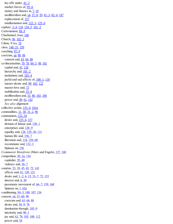lay-offs under,  $\frac{41-3}{5}$ market forces of, 95–6 money and finance in, 7, 19 neoliberalism and, xii, 37–8, 39, 41–3, 83–4, 147 replacement of, 157 totalitarianism and,  $122-3$ ,  $125-6$ capture, 3–4, 118, 154–5, 161–2 Cartesianism, 88-9 Charbonnel, Jean, 140 Church, 96, 102–3 Citton, Yves,  $\frac{76}{5}$ class, 148–51, 159 coaching, 97–9 coercion, xii, 90, 98 consent and, 63, 64, 88 co-linearisation, 70, 78, 84–5, 98, 101 capital and,  $41, 126$ hierarchy and,  $101-2$ institutions and, 103–4 joyful and sad affects of, 100–1, 118 master-desire and, **99**, **102**, **122** master-love and, 73 mobilisation and, 33–4 neoliberalism and, 53, 80, 103, 104 power and, 49, 61, 142 *See also* alignment collective action, 153–4, 161n commodities, 11, 30, 31–2, 96 communism, 122–34 desire and, 155–6, 157 division of labour and,  $130-1$ enterprises and,  $128-9$ equality and, 128, 129–30, 131 human life and, 156–7 liberation and, 134, 159–60 recommune and, 132–3 Spinoza on, 156 *Communist Manifesto* (Marx and Engels), 157, 160 competition,  $30 - 1n$ ,  $154$ capitalist, 39–40 violence and,  $26-7$ conatus, 23, 39, 45, 65, 72, 143 affects and, 61, 120, 121 desire and,  $1-2$ , 6, 15, 33–7, 72, 153 interest and,  $6, 50$ passionate movement of, 66–7, 159, 160 Spinoza on,  $1, 62n$ conditioning,  $94-5$ , 100, 107, 136 consent, xii, 53–60, 98 coercion and,  $63, 64, 88$ desire and,  $\frac{58-9}{2}$ ,  $\frac{78}{2}$ domination through, 105–9 interiority and,  $90-1$ joy and, 63, 78, 105, 108, 112 power and, 54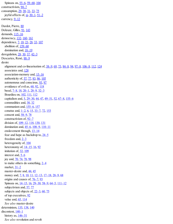Spinoza on, 55–6, 59–60, 104 constructivism, 94–7 consumption, 29, 30, 31, 33, 75 joyful affects of,  $\underline{x}i$ ,  $\underline{30-1}$ ,  $\underline{51-2}$ currency,  $9-12$ Dardot, Pierre, 80 Deleuze, Gilles, 91, 143 demands, 115–16 democracy, 132, 160, 161 dependence, 7, 18, 23, 28, 33, 107 abolition of,  $159-60$ domination and,  $18-19$ deregulation, 28, 30, 37, 42–3 Descartes, René, 88-9 desire alignment and co-linearisation of, 38–9, 69, 73, 84–8, 94, 97–8, 106–8, 112, 124 associates and, 128 association-memory and, 15–16 authenticity of, 57, 77, 83, 86, 105 autonomous and conscious, 93, 97 avoidance of evil as,  $60$ ,  $92$ ,  $118$ basal, 7–8, 18, 20–1, 28–9, 32–3 Bourdieu on, 102, 111, 112 capitalism and, 5, 29–30, 44, 47, 49–51, 52, 67–8, 155–6 commodities and, 30, 32 communism and,  $155-6$ ,  $157$ conatus and,  $1-2$ ,  $6$ ,  $15$ ,  $33-7$ ,  $72$ ,  $153$ consent and, 58–9, 78 constructivism of,  $92-7$ division of, 109–12, 118, 130, 131 domination and,  $45-6$ ,  $108-9$ ,  $110-11$ enslavement through, 13–14 fear and hope as backdrop to,  $24-5$ freedom and, 2–3 heterogeneity of, 104 heteronomy of, 14–15, 16, 92 imitation of,  $32, 109$ interest and,  $5-6$ joy and, 70, 74, 78, 98 to make others do something,  $2-4$ market, 31–2 master-desire and,  $44, 45$ money and, <u>7, 8, 10, 11, 12–13, 17–18, 28–9, 68</u> origins and causes of,  $76-7$ ,  $93$ Spinoza on, 14–15, 16, 29–30, 58–9, 64–5, 111–12 subjectivism and, 57, 77 subjects and objects of,  $22-3$ , 60, 75 of top executives, 92 value and,  $65$ ,  $114$ *See also* master-desire determinism, 135, 138, 140 discontent,  $\frac{140-1}{2}$ history as,  $146-51$ *See also* revolution and revolt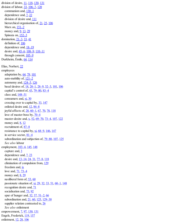division of desire, **11**, **118**, **130**, **131** division of labour, 33, 106–7, 120 communism and,  $130-1$ dependence and,  $\frac{7}{2}$ ,  $\frac{22}{2}$ division of desire and, 111 hierarchical organisation of, 21, 25, 106 Marx on, 151–2 money and, 9, 13, 29 Spinoza on,  $152-3$ domination, 21–3, 33, 41 definition of, 106 dependence and, 18–19 desire and, 45–6, 108–9, 110–11 through consent,  $105-9$ Durkheim, Émile, 64, 114 Elias, Norbert, 22 employees adaptation by,  $64$ ,  $79$ ,  $101$ auto-mobility of,  $\frac{121-2}{2}$ autonomy and,  $124-5$ ,  $126$ basal desires of, 18, 20–1, 28–9, 32–3, 101, 106 capital's control of,  $\frac{43}{79}$ ,  $\frac{79-80}{83}$ ,  $\frac{83-4}{4}$ class and,  $\frac{148-51}{2}$ consumers and,  $\chi i$ ,  $\frac{30}{20}$ crossing over to capital by, 33, 147 enlisted desire and, 12, 84–8 joyful affects of, 28, 60–1, 67, 70, 78, 118 love of master-boss by, 70–4 master-desire and, <u>x, 52, 69–70, 73–4, 107, 122</u> money and,  $\frac{8}{2}$ ,  $\frac{12}{2}$ recruitment of, 87–8 resistance to capital by, xi, 68-9, 146, 147 in service sector,  $81-4$ subordination and subjection of,  $\frac{79-80}{107}$ ,  $\frac{125}{125}$ *See also* labour employment, 103–4, 145, 148 capture and, 3 dependence and,  $\frac{7}{2}$ ,  $\frac{23}{2}$ desire and, 13–14, 24, 31, 77–8, 118 elimination of compulsion from, 129 freedom and, ix love and, **71**, **73–4** money and,  $8, 29$ neoliberal form of,  $\frac{53}{60}$ passionate situation of,  $x_i$ ,  $29$ ,  $32$ ,  $33$ ,  $51$ ,  $60-1$ ,  $148$ recognition desire and,  $\frac{71}{2}$ socialisation and,  $\frac{73}{92}$ spur of hunger and,  $32, 37, 51-2, 66$ subordination and, 21, 60, 125, 129–30 supplier relation contrasted to, 26 *See also* enlistment empowerment, <u>7, 97, 130, 131</u> Engels, Frederick, 119, 157 enlistment, 12, 28, 106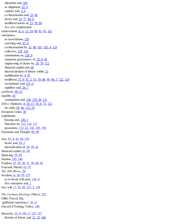alienation and, 105 as alignment, 32–9 capture and, 3–4 co-linearisation and, 33, 49 desire and, 25, 77, 84–8 neoliberal norms of, 33, 79–80 *See also* employment enslavement, ix-x, 13-14, 80, 81, 91, 161 enterprises as associations, 128 coaching and,  $\frac{97-9}{9}$ co-linearisation by, 51, 80, 101, 103-4, 118 collective, 129, 154 communism on,  $128-9$ corporate governance of, 25–8, 68 engineering of desire by, 38, 79, 112 financial capital and, 68 internal division of labour within, 33 mobilisation by,  $\frac{4}{5}$ ,  $\frac{87}{7}$ neoliberal, 37–9, 51–2, 53, 79–80, 94, 96–7, 122, 124 recommune and,  $131-3$ suppliers and,  $26-7$ *epithumè*, 49–51 equality, 63 communism and, 128, 129–30, 131 *Ethics* (Spinoza), 8, 16–17, 55–6, 71, 112 on value, 65, 66, 113–14 European Union, 30 exploitation bossing and,  $120-1$ Marxism on, 113, 116, 117 passionate, 112–22, 142, 145, 156 Extension and Thought, 88–90 fear, 47–8, 62, 94, 158 desire and, 24–5 intensification of,  $26, 39-41$ financial capital,  $\frac{43}{68}$ financing,  $19-20$ fixation, 145, 146 Fordism, 25, 29–30, 31, 39–40, 42 Foucault, Michel, 61, 97 *The 400 Blows*, 20 freedom, ix, 56, 95, 157 as to break with past,  $136-8$ free enterprise and, 2 free will, 17, 54, 59, 122–3, 138 *The German Ideology* (Marx), 152 Gillot, Pascal, 89n 'girlfriend experience,' 81–4 Giscard d'Estaing, Valéry, 140 hierarchy, 23–4, 101–2, 125, 127 division of labour and,  $21, 25, 106$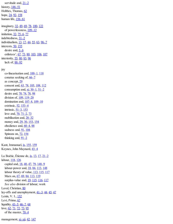history,  $146-51$ Hobbes, Thomas, 62 hope, 24, 92, 158 human life, 156–61 imaginary, 32, 49, 69, 78, 100, 122 of powerlessness, 109–12 imitation, 32, 75–6, 77 indebtedness,  $31-2$ individualism, 13, 17, 44, 55, 63, 96–7 interests, 50, 155 desire and, 5–6 enlistees', 67, 73, 80, 103, 106, 107 interiority, 55, 80, 83, 96 lack of, 88–92 joy co-linearisation and,  $100-1$ ,  $118$ conatus seeking of,  $66-7$ as concept, 29 consent and, 63, 78, 105, 108, 112 consumption and,  $\underline{\text{xi}}$ ,  $\underline{\text{30–1}}$ ,  $\underline{\text{51–2}}$ desire and, <u>70, 74, 78, 98</u> division of, 109, 119–20 domination and, 107–8, 109–10 extrinsic, 52, 153–4 intrinsic,  $51-3$ ,  $153$ love and,  $\frac{70}{71-2}$ ,  $\frac{73}{7}$ mobilisation and, 28–32 money and, 29, 30, 153, 154 obedience and, 60–4, 88 sadness and, 91, 104 Spinoza on, **72**, **154** thinking and,  $91-2$ Kant, Immanuel, ix, 155, 159 Keynes, John Maynard, 43–4 La Boétie, Étienne de,  $\underline{\text{ix}}$ ,  $\underline{13}$ ,  $\underline{17}$ ,  $\underline{21-2}$ labour, 118, 126 capital and, 18, 40, 47, 79, 148–9 labour-power and, 18, 84, 113, 148 labour theory of value,  $113$ ,  $115$ ,  $117$ Marx on, 67, 69, 84, 113, 119 surplus-value and, 19, 115, 116, 117 *See also* division of labour; work Laval, Christian, 80 lay-offs and unemployment,  $41-3$ ,  $44$ ,  $45$ ,  $47$ Lenin, V. I., 152 Levi, Primo, 67 liquidity,  $43-5$ ,  $46-7$ ,  $68$ love, <u>62, 71, 72, 73, 95</u> of the master,  $\frac{70-4}{4}$ 

servitude and,  $21-2$ 

management,  $x$ i–xii, 42, 147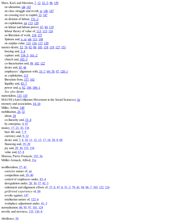Marx, Karl, and Marxism, 7, 12, 32–3, 96, 159 on alienation, xiii, 143 on class struggle and revolt, xi, 146, 147 on crossing over to capital, 33, 147 on division of labour,  $151-2$ on exploitation, xii, 113, 120 on labour and labour-power, 67, 84, 119 labour theory of value of, 113, 115, 116 on liberation of work, 134, 157 Spinoza and, x-xi, xiii, 113, 148 on surplus-value, 115, 116, 117, 120 master-desire, 52, 74, 82, 88, 105, 118, 119, 127, 151 bossing and,  $3-4$ capture and,  $154-5$ ,  $161-2$ church and, 102–3 co-linearisation and, 99, 102, 122 desire and, 45, 46 employees' alignment with,  $33-7, 69-70, 97, 120-1$ as exploitation, 113 liberation from, 157, 162 liquidity and,  $43-7$ power and,  $x, 62, 144, 160-1$ *See also* desire materialism, 115, 155 MAUSS (Anti-Utilitarian Movement in the Social Sciences), 5n memory and association,  $14-16$ Miller, Arthur, 140 mobilisation, 26, 32 about, 28 co-linearity and, 33–4 by enterprise,  $\frac{4}{3}$ ,  $\frac{87}{3}$ money,  $17-21$ ,  $43$ ,  $116$ bare life and,  $7-9$ currency and,  $9-12$ desire and, 7, 8, 10, 11, 12-13, 17-18, 28-9, 68 financing and,  $19-20$ joy and, 29, 30, 153, 154 value and,  $67-8$ Moreau, Pierre-François, 152–3n Müller-Armack, Alfred, 31n neoliberalism, 37–41 coercive nature of, xii competition and, 39–40 control of employees under, 83-4 deregulation under,  $28$ ,  $30$ ,  $37$ ,  $42-3$ enlistment and alignment efforts of,  $\frac{37-8}{37-8}$ ,  $\frac{47-8}{37-8}$ ,  $\frac{51-3}{37-8}$ ,  $\frac{79-81}{37-8}$ ,  $\frac{94}{37-8}$ ,  $\frac{96-7}{37}$ ,  $\frac{103}{37}$ ,  $\frac{122}{37}$ ,  $\frac{124}{37}$ *girlfriend experience* of, 84 revolts against, 147 totalitarian nature of,  $122-6$ workplace adjustment under,  $\frac{41-3}{2}$ normalisation, 86, 95, 97, 101, 124 novelty and newness, 135, 136–8

obedience, 54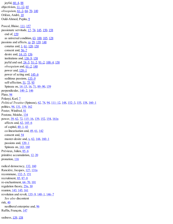joyful, 60–4, 88 objectivism,  $11-12, 65$ *obsequium*, 61–2, 64, 70, 140 Orléan, André, 10 Ould-Ahmed, Pepita, 9 Pascal, Blaise, 111, 157 passionate servitude, 17, 74, 145, 150, 158 end of, 159 as universal condition, 63, 100, 105, 128 passions and affects,  $x_i$ ,  $29$ ,  $139$ ,  $148$ conatus and, 1, 61, 120, 150 consent and, 56–7 desire and, 14–15, 156 institutions and, 138–9, 158 joyful and sad, 24–5, 51–2, 91–2, 100–4, 158 *obsequium* and, 61–2, 140 power and,  $\frac{120-1}{2}$ power of acting and,  $145-6$ seditious passions, 135–9 self-affection, 51, 75, 95 Spinoza on, 14–15, 16, 71, 89–90, 159 perpendicular, 140–2, 146 Plato, 94 Polanyi, Karl, 7 *Political Treatise* (Spinoza), 62, 74, 94, 111–12, 148, 152–3, 155, 158, 160–1 politics, 94, 131, 159, 162 Poster, Winifred, 81 Postone, Moishe, 134 power, 39, 62, 72, 115–16, 139, 152, 154, 161n affects and,  $62, 145-6$ of capital,  $40-1$ ,  $43$ co-linearisation and,  $\frac{49}{61}$ ,  $\frac{142}{61}$ consent and,  $\frac{54}{3}$ master-desire and,  $x$ ,  $62$ ,  $144$ ,  $160-1$ passions and,  $120-1$ Spinoza on, 143, 160 Prévieux, Julien, 85–6 primitive accumulation, 12, 20 pronation, 116 radical democracy, 132, 160 Rancière, Jacques, 127, 131n recommune, 132–5, 151 recruitment, 85, 87–8 re-enchantment, 64–70, 101 regulation theory, 25n, 30 reunion, 143, 145, 161 revolution and revolt, 135–9, 140–1, 146–7 *See also* discontent risk, 40 neoliberal enterprise and, 96 Ruffin, François, 147

```
sadness, 139, 158
```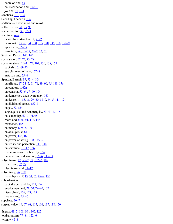coercion and, 63 co-linearisation and, 100–1 joy and, 91, 104 sanctions, 101, 104 Schelling, Friedrich, 136 sedition. *See* revolution and revolt self-affection, 51, 75, 95 service sector, 38, 82–3 servitude,  $\frac{ix-x}{x}$ hierarchical structure of,  $21-2$ passionate, 17, 63, 74, 100, 105, 128, 145, 150, 158-9 Spinoza on,  $16-17$ voluntary, xiii, 13-17, 21-2, 33, 53 Sévérac, Pascal, 143, 145 socialisation, 32, 73, 75, 78 social relations, 10–11, 73, 107, 130, 138, 155 capitalist,  $6, 49-50$ establishment of new,  $\frac{157-8}{8}$ imitation and,  $75-6$ Spinoza, Baruch, 89, 93–4, 104 on affects, 17, 24–5, 61, 71, 89–90, 95, 148, 156 on conatus,  $\frac{1}{62n}$ on consent, 55–6, 59–60, 104 on democracy and sovereignty, 161 on desire, 14–15, 16, 29–30, 58–9, 64–5, 111–12 on division of labour, 152–3 on joy, 72, 154 language use and renaming by,  $63-4$ ,  $143$ ,  $161$ on leadership,  $62-3$ ,  $94$ ,  $98$ Marx and, x-xi, xiii, 113, 148 mentioned, 155 on money,  $8-9$ ,  $29-30$ on *obsequium*, 61–2 on power, 143, 160 on power of acting, 108, 145–6 on reality and perfection, 113, 144 on servitude,  $16-17$ ,  $156$ true communism defined by, 156 on value and valorisation, 65–6, 113–14 subjectivism, 17, 58–9, 97, 102–3, 108 desire and,  $\frac{57}{77}$ objectivism and,  $11-12$ subjectivity, **96**, 159 metaphysics of, 13, 54, 55, 88–9, 135 subordination capital's demand for, 125, 126 employment and, 21, 60, 79–80, 107 hierarchical, 106, 123, 125 tyranny and,  $45, 46$ suppliers, 26–7 surplus-value, 19, 67, 68, 115, 116, 117, 118, 120 threats, 41–2, 101, 104, 105, 122 totalitarianism, 79–81, 122–6

tyranny,  $45-8$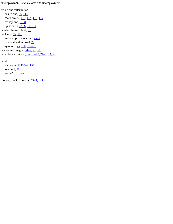unemployment. *See* lay-offs and unemployment

```
value and valorization
  desire and, 65, 114Marxism on, 113, 115, 116, 117
  money and, 67-8Spinoza on, 65–6, 113–14
Viallet, Jean-Robert, 81
violence, 97, 105
  ambient pressures and, 25–8
  external and internal, 27
  symbolic, xii, 108, 109-10
vocational images, 74–8, 92, 103
voluntary servitude, xiii, 13-17, 21-2, 33, 53
```
#### work

liberation of, 133-4, 157 love and,  $71$ *See also* labour

Zourabichvili, François, 63–4, 143